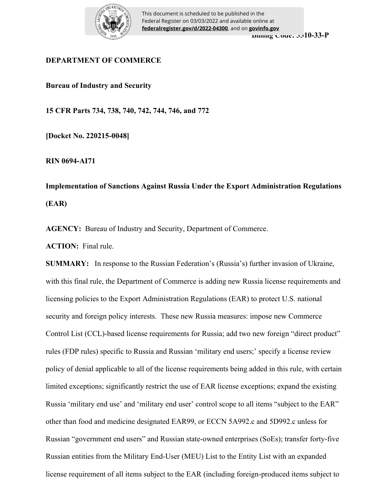

# **DEPARTMENT OF COMMERCE**

**Bureau of Industry and Security**

**15 CFR Parts 734, 738, 740, 742, 744, 746, and 772**

**[Docket No. 220215-0048]**

**RIN 0694-AI71** 

**Implementation of Sanctions Against Russia Under the Export Administration Regulations (EAR)**

**AGENCY:** Bureau of Industry and Security, Department of Commerce.

**ACTION:** Final rule.

**SUMMARY:** In response to the Russian Federation's (Russia's) further invasion of Ukraine, with this final rule, the Department of Commerce is adding new Russia license requirements and licensing policies to the Export Administration Regulations (EAR) to protect U.S. national security and foreign policy interests. These new Russia measures: impose new Commerce Control List (CCL)-based license requirements for Russia; add two new foreign "direct product" rules (FDP rules) specific to Russia and Russian 'military end users;' specify a license review policy of denial applicable to all of the license requirements being added in this rule, with certain limited exceptions; significantly restrict the use of EAR license exceptions; expand the existing Russia 'military end use' and 'military end user' control scope to all items "subject to the EAR" other than food and medicine designated EAR99, or ECCN 5A992.c and 5D992.c unless for Russian "government end users" and Russian state-owned enterprises (SoEs); transfer forty-five Russian entities from the Military End-User (MEU) List to the Entity List with an expanded license requirement of all items subject to the EAR (including foreign-produced items subject to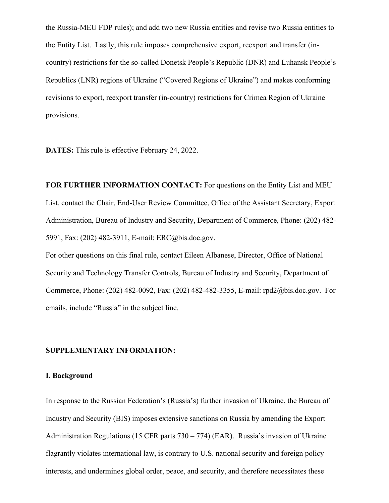the Russia-MEU FDP rules); and add two new Russia entities and revise two Russia entities to the Entity List. Lastly, this rule imposes comprehensive export, reexport and transfer (incountry) restrictions for the so-called Donetsk People's Republic (DNR) and Luhansk People's Republics (LNR) regions of Ukraine ("Covered Regions of Ukraine") and makes conforming revisions to export, reexport transfer (in-country) restrictions for Crimea Region of Ukraine provisions.

**DATES:** This rule is effective February 24, 2022.

**FOR FURTHER INFORMATION CONTACT:** For questions on the Entity List and MEU List, contact the Chair, End-User Review Committee, Office of the Assistant Secretary, Export Administration, Bureau of Industry and Security, Department of Commerce, Phone: (202) 482- 5991, Fax: (202) 482-3911, E-mail: ERC@bis.doc.gov.

For other questions on this final rule, contact Eileen Albanese, Director, Office of National Security and Technology Transfer Controls, Bureau of Industry and Security, Department of Commerce, Phone: (202) 482-0092, Fax: (202) 482-482-3355, E-mail: rpd2@bis.doc.gov. For emails, include "Russia" in the subject line.

#### **SUPPLEMENTARY INFORMATION:**

### **I. Background**

In response to the Russian Federation's (Russia's) further invasion of Ukraine, the Bureau of Industry and Security (BIS) imposes extensive sanctions on Russia by amending the Export Administration Regulations (15 CFR parts 730 – 774) (EAR). Russia's invasion of Ukraine flagrantly violates international law, is contrary to U.S. national security and foreign policy interests, and undermines global order, peace, and security, and therefore necessitates these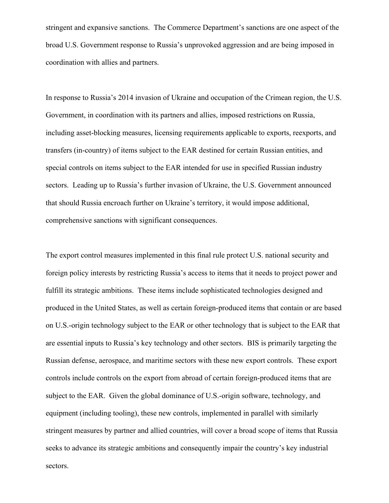stringent and expansive sanctions. The Commerce Department's sanctions are one aspect of the broad U.S. Government response to Russia's unprovoked aggression and are being imposed in coordination with allies and partners.

In response to Russia's 2014 invasion of Ukraine and occupation of the Crimean region, the U.S. Government, in coordination with its partners and allies, imposed restrictions on Russia, including asset-blocking measures, licensing requirements applicable to exports, reexports, and transfers (in-country) of items subject to the EAR destined for certain Russian entities, and special controls on items subject to the EAR intended for use in specified Russian industry sectors. Leading up to Russia's further invasion of Ukraine, the U.S. Government announced that should Russia encroach further on Ukraine's territory, it would impose additional, comprehensive sanctions with significant consequences.

The export control measures implemented in this final rule protect U.S. national security and foreign policy interests by restricting Russia's access to items that it needs to project power and fulfill its strategic ambitions. These items include sophisticated technologies designed and produced in the United States, as well as certain foreign-produced items that contain or are based on U.S.-origin technology subject to the EAR or other technology that is subject to the EAR that are essential inputs to Russia's key technology and other sectors. BIS is primarily targeting the Russian defense, aerospace, and maritime sectors with these new export controls. These export controls include controls on the export from abroad of certain foreign-produced items that are subject to the EAR. Given the global dominance of U.S.-origin software, technology, and equipment (including tooling), these new controls, implemented in parallel with similarly stringent measures by partner and allied countries, will cover a broad scope of items that Russia seeks to advance its strategic ambitions and consequently impair the country's key industrial sectors.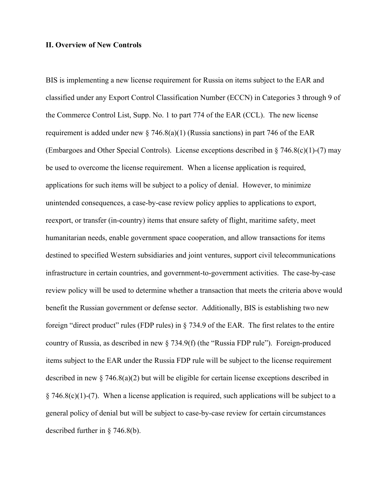## **II. Overview of New Controls**

BIS is implementing a new license requirement for Russia on items subject to the EAR and classified under any Export Control Classification Number (ECCN) in Categories 3 through 9 of the Commerce Control List, Supp. No. 1 to part 774 of the EAR (CCL). The new license requirement is added under new  $\S$  746.8(a)(1) (Russia sanctions) in part 746 of the EAR (Embargoes and Other Special Controls). License exceptions described in  $\S$  746.8(c)(1)-(7) may be used to overcome the license requirement. When a license application is required, applications for such items will be subject to a policy of denial. However, to minimize unintended consequences, a case-by-case review policy applies to applications to export, reexport, or transfer (in-country) items that ensure safety of flight, maritime safety, meet humanitarian needs, enable government space cooperation, and allow transactions for items destined to specified Western subsidiaries and joint ventures, support civil telecommunications infrastructure in certain countries, and government-to-government activities. The case-by-case review policy will be used to determine whether a transaction that meets the criteria above would benefit the Russian government or defense sector. Additionally, BIS is establishing two new foreign "direct product" rules (FDP rules) in § 734.9 of the EAR. The first relates to the entire country of Russia, as described in new § 734.9(f) (the "Russia FDP rule"). Foreign-produced items subject to the EAR under the Russia FDP rule will be subject to the license requirement described in new § 746.8(a)(2) but will be eligible for certain license exceptions described in § 746.8(c)(1)-(7). When a license application is required, such applications will be subject to a general policy of denial but will be subject to case-by-case review for certain circumstances described further in § 746.8(b).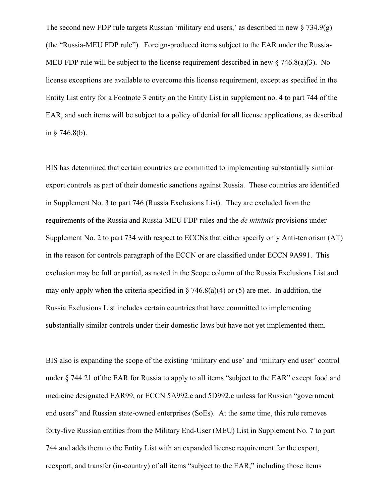The second new FDP rule targets Russian 'military end users,' as described in new  $\S 734.9(g)$ (the "Russia-MEU FDP rule"). Foreign-produced items subject to the EAR under the Russia-MEU FDP rule will be subject to the license requirement described in new  $\S$  746.8(a)(3). No license exceptions are available to overcome this license requirement, except as specified in the Entity List entry for a Footnote 3 entity on the Entity List in supplement no. 4 to part 744 of the EAR, and such items will be subject to a policy of denial for all license applications, as described in  $\S$  746.8(b).

BIS has determined that certain countries are committed to implementing substantially similar export controls as part of their domestic sanctions against Russia. These countries are identified in Supplement No. 3 to part 746 (Russia Exclusions List). They are excluded from the requirements of the Russia and Russia-MEU FDP rules and the *de minimis* provisions under Supplement No. 2 to part 734 with respect to ECCNs that either specify only Anti-terrorism (AT) in the reason for controls paragraph of the ECCN or are classified under ECCN 9A991. This exclusion may be full or partial, as noted in the Scope column of the Russia Exclusions List and may only apply when the criteria specified in  $\S$  746.8(a)(4) or (5) are met. In addition, the Russia Exclusions List includes certain countries that have committed to implementing substantially similar controls under their domestic laws but have not yet implemented them.

BIS also is expanding the scope of the existing 'military end use' and 'military end user' control under § 744.21 of the EAR for Russia to apply to all items "subject to the EAR" except food and medicine designated EAR99, or ECCN 5A992.c and 5D992.c unless for Russian "government end users" and Russian state-owned enterprises (SoEs). At the same time, this rule removes forty-five Russian entities from the Military End-User (MEU) List in Supplement No. 7 to part 744 and adds them to the Entity List with an expanded license requirement for the export, reexport, and transfer (in-country) of all items "subject to the EAR," including those items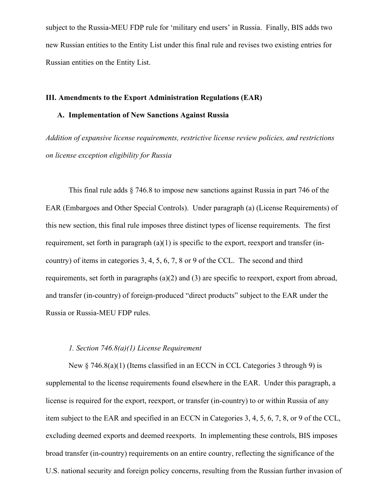subject to the Russia-MEU FDP rule for 'military end users' in Russia. Finally, BIS adds two new Russian entities to the Entity List under this final rule and revises two existing entries for Russian entities on the Entity List.

#### **III. Amendments to the Export Administration Regulations (EAR)**

# **A. Implementation of New Sanctions Against Russia**

*Addition of expansive license requirements, restrictive license review policies, and restrictions on license exception eligibility for Russia*

This final rule adds § 746.8 to impose new sanctions against Russia in part 746 of the EAR (Embargoes and Other Special Controls). Under paragraph (a) (License Requirements) of this new section, this final rule imposes three distinct types of license requirements. The first requirement, set forth in paragraph (a)(1) is specific to the export, reexport and transfer (incountry) of items in categories 3, 4, 5, 6, 7, 8 or 9 of the CCL. The second and third requirements, set forth in paragraphs (a)(2) and (3) are specific to reexport, export from abroad, and transfer (in-country) of foreign-produced "direct products" subject to the EAR under the Russia or Russia-MEU FDP rules.

## *1. Section 746.8(a)(1) License Requirement*

New  $\S$  746.8(a)(1) (Items classified in an ECCN in CCL Categories 3 through 9) is supplemental to the license requirements found elsewhere in the EAR. Under this paragraph, a license is required for the export, reexport, or transfer (in-country) to or within Russia of any item subject to the EAR and specified in an ECCN in Categories 3, 4, 5, 6, 7, 8, or 9 of the CCL, excluding deemed exports and deemed reexports. In implementing these controls, BIS imposes broad transfer (in-country) requirements on an entire country, reflecting the significance of the U.S. national security and foreign policy concerns, resulting from the Russian further invasion of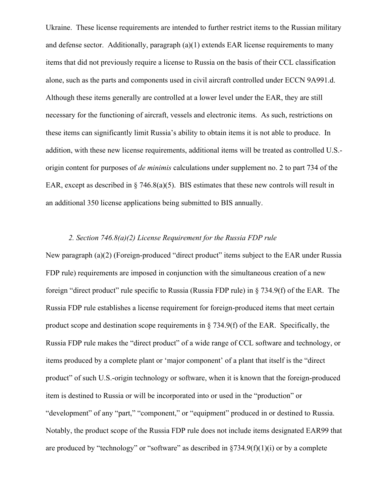Ukraine. These license requirements are intended to further restrict items to the Russian military and defense sector. Additionally, paragraph  $(a)(1)$  extends EAR license requirements to many items that did not previously require a license to Russia on the basis of their CCL classification alone, such as the parts and components used in civil aircraft controlled under ECCN 9A991.d. Although these items generally are controlled at a lower level under the EAR, they are still necessary for the functioning of aircraft, vessels and electronic items. As such, restrictions on these items can significantly limit Russia's ability to obtain items it is not able to produce. In addition, with these new license requirements, additional items will be treated as controlled U.S. origin content for purposes of *de minimis* calculations under supplement no. 2 to part 734 of the EAR, except as described in  $\S$  746.8(a)(5). BIS estimates that these new controls will result in an additional 350 license applications being submitted to BIS annually.

# *2. Section 746.8(a)(2) License Requirement for the Russia FDP rule*

New paragraph (a)(2) (Foreign-produced "direct product" items subject to the EAR under Russia FDP rule) requirements are imposed in conjunction with the simultaneous creation of a new foreign "direct product" rule specific to Russia (Russia FDP rule) in § 734.9(f) of the EAR. The Russia FDP rule establishes a license requirement for foreign-produced items that meet certain product scope and destination scope requirements in § 734.9(f) of the EAR. Specifically, the Russia FDP rule makes the "direct product" of a wide range of CCL software and technology, or items produced by a complete plant or 'major component' of a plant that itself is the "direct product" of such U.S.-origin technology or software, when it is known that the foreign-produced item is destined to Russia or will be incorporated into or used in the "production" or "development" of any "part," "component," or "equipment" produced in or destined to Russia. Notably, the product scope of the Russia FDP rule does not include items designated EAR99 that are produced by "technology" or "software" as described in  $\S 734.9(f)(1)(i)$  or by a complete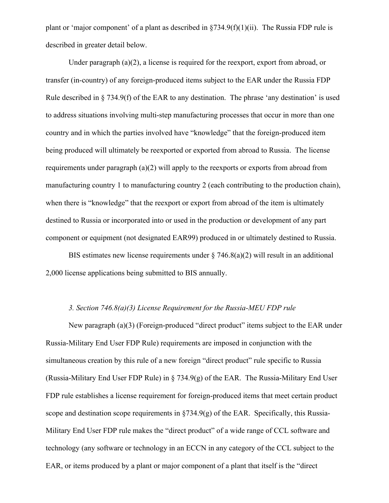plant or 'major component' of a plant as described in  $\S 734.9(f)(1)(ii)$ . The Russia FDP rule is described in greater detail below.

Under paragraph (a)(2), a license is required for the reexport, export from abroad, or transfer (in-country) of any foreign-produced items subject to the EAR under the Russia FDP Rule described in § 734.9(f) of the EAR to any destination. The phrase 'any destination' is used to address situations involving multi-step manufacturing processes that occur in more than one country and in which the parties involved have "knowledge" that the foreign-produced item being produced will ultimately be reexported or exported from abroad to Russia. The license requirements under paragraph (a)(2) will apply to the reexports or exports from abroad from manufacturing country 1 to manufacturing country 2 (each contributing to the production chain), when there is "knowledge" that the reexport or export from abroad of the item is ultimately destined to Russia or incorporated into or used in the production or development of any part component or equipment (not designated EAR99) produced in or ultimately destined to Russia.

BIS estimates new license requirements under  $\S$  746.8(a)(2) will result in an additional 2,000 license applications being submitted to BIS annually.

# *3. Section 746.8(a)(3) License Requirement for the Russia-MEU FDP rule*

New paragraph (a)(3) (Foreign-produced "direct product" items subject to the EAR under Russia-Military End User FDP Rule) requirements are imposed in conjunction with the simultaneous creation by this rule of a new foreign "direct product" rule specific to Russia (Russia-Military End User FDP Rule) in  $\S$  734.9(g) of the EAR. The Russia-Military End User FDP rule establishes a license requirement for foreign-produced items that meet certain product scope and destination scope requirements in  $\S 734.9(g)$  of the EAR. Specifically, this Russia-Military End User FDP rule makes the "direct product" of a wide range of CCL software and technology (any software or technology in an ECCN in any category of the CCL subject to the EAR, or items produced by a plant or major component of a plant that itself is the "direct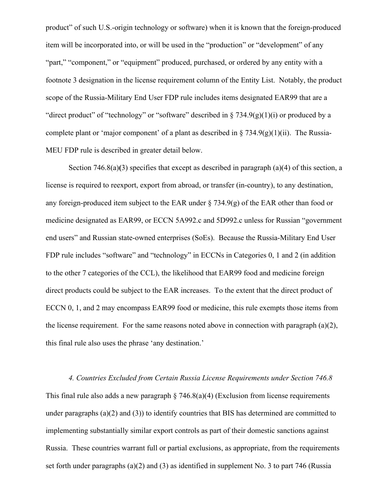product" of such U.S.-origin technology or software) when it is known that the foreign-produced item will be incorporated into, or will be used in the "production" or "development" of any "part," "component," or "equipment" produced, purchased, or ordered by any entity with a footnote 3 designation in the license requirement column of the Entity List. Notably, the product scope of the Russia-Military End User FDP rule includes items designated EAR99 that are a "direct product" of "technology" or "software" described in  $\S 734.9(g)(1)(i)$  or produced by a complete plant or 'major component' of a plant as described in  $\S 734.9(g)(1)(ii)$ . The Russia-MEU FDP rule is described in greater detail below.

Section 746.8(a)**(**3) specifies that except as described in paragraph (a)(4) of this section, a license is required to reexport, export from abroad, or transfer (in-country), to any destination, any foreign-produced item subject to the EAR under  $\S$  734.9(g) of the EAR other than food or medicine designated as EAR99, or ECCN 5A992.c and 5D992.c unless for Russian "government end users" and Russian state-owned enterprises (SoEs). Because the Russia-Military End User FDP rule includes "software" and "technology" in ECCNs in Categories 0, 1 and 2 (in addition to the other 7 categories of the CCL), the likelihood that EAR99 food and medicine foreign direct products could be subject to the EAR increases. To the extent that the direct product of ECCN 0, 1, and 2 may encompass EAR99 food or medicine, this rule exempts those items from the license requirement. For the same reasons noted above in connection with paragraph  $(a)(2)$ , this final rule also uses the phrase 'any destination.'

*4. Countries Excluded from Certain Russia License Requirements under Section 746.8* This final rule also adds a new paragraph  $\S$  746.8(a)(4) (Exclusion from license requirements under paragraphs (a)(2) and (3)) to identify countries that BIS has determined are committed to implementing substantially similar export controls as part of their domestic sanctions against Russia. These countries warrant full or partial exclusions, as appropriate, from the requirements set forth under paragraphs (a)(2) and (3) as identified in supplement No. 3 to part 746 (Russia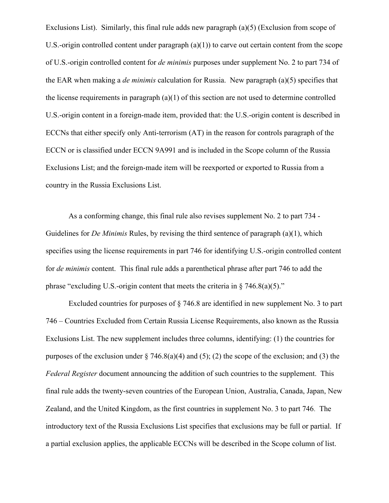Exclusions List). Similarly, this final rule adds new paragraph (a)(5) (Exclusion from scope of U.S.-origin controlled content under paragraph  $(a)(1)$  to carve out certain content from the scope of U.S.-origin controlled content for *de minimis* purposes under supplement No. 2 to part 734 of the EAR when making a *de minimis* calculation for Russia.New paragraph (a)(5) specifies that the license requirements in paragraph (a)(1) of this section are not used to determine controlled U.S.-origin content in a foreign-made item, provided that: the U.S.-origin content is described in ECCNs that either specify only Anti-terrorism (AT) in the reason for controls paragraph of the ECCN or is classified under ECCN 9A991 and is included in the Scope column of the Russia Exclusions List; and the foreign-made item will be reexported or exported to Russia from a country in the Russia Exclusions List.

As a conforming change, this final rule also revises supplement No. 2 to part 734 - Guidelines for *De Minimis* Rules, by revising the third sentence of paragraph (a)(1), which specifies using the license requirements in part 746 for identifying U.S.-origin controlled content for *de minimis* content. This final rule adds a parenthetical phrase after part 746 to add the phrase "excluding U.S.-origin content that meets the criteria in  $\S$  746.8(a)(5)."

Excluded countries for purposes of § 746.8 are identified in new supplement No. 3 to part 746 – Countries Excluded from Certain Russia License Requirements, also known as the Russia Exclusions List. The new supplement includes three columns, identifying: (1) the countries for purposes of the exclusion under  $\S$  746.8(a)(4) and (5); (2) the scope of the exclusion; and (3) the *Federal Register* document announcing the addition of such countries to the supplement. This final rule adds the twenty-seven countries of the European Union, Australia, Canada, Japan, New Zealand, and the United Kingdom, as the first countries in supplement No. 3 to part 746. The introductory text of the Russia Exclusions List specifies that exclusions may be full or partial. If a partial exclusion applies, the applicable ECCNs will be described in the Scope column of list.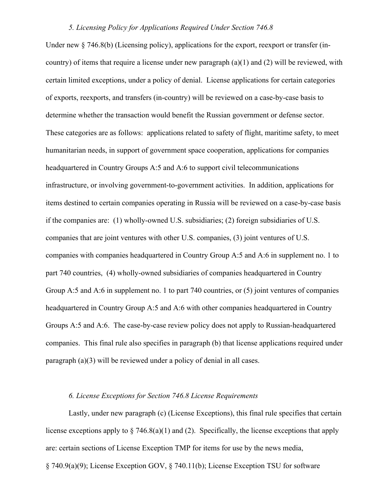## *5. Licensing Policy for Applications Required Under Section 746.8*

Under new  $\S$  746.8(b) (Licensing policy), applications for the export, reexport or transfer (incountry) of items that require a license under new paragraph (a)(1) and (2) will be reviewed, with certain limited exceptions, under a policy of denial. License applications for certain categories of exports, reexports, and transfers (in-country) will be reviewed on a case-by-case basis to determine whether the transaction would benefit the Russian government or defense sector. These categories are as follows: applications related to safety of flight, maritime safety, to meet humanitarian needs, in support of government space cooperation, applications for companies headquartered in Country Groups A:5 and A:6 to support civil telecommunications infrastructure, or involving government-to-government activities. In addition, applications for items destined to certain companies operating in Russia will be reviewed on a case-by-case basis if the companies are: (1) wholly-owned U.S. subsidiaries; (2) foreign subsidiaries of U.S. companies that are joint ventures with other U.S. companies, (3) joint ventures of U.S. companies with companies headquartered in Country Group A:5 and A:6 in supplement no. 1 to part 740 countries, (4) wholly-owned subsidiaries of companies headquartered in Country Group A:5 and A:6 in supplement no. 1 to part 740 countries, or (5) joint ventures of companies headquartered in Country Group A:5 and A:6 with other companies headquartered in Country Groups A:5 and A:6. The case-by-case review policy does not apply to Russian-headquartered companies. This final rule also specifies in paragraph (b) that license applications required under paragraph (a)(3) will be reviewed under a policy of denial in all cases.

# *6. License Exceptions for Section 746.8 License Requirements*

Lastly, under new paragraph (c) (License Exceptions), this final rule specifies that certain license exceptions apply to  $\S$  746.8(a)(1) and (2). Specifically, the license exceptions that apply are: certain sections of License Exception TMP for items for use by the news media, § 740.9(a)(9); License Exception GOV, § 740.11(b); License Exception TSU for software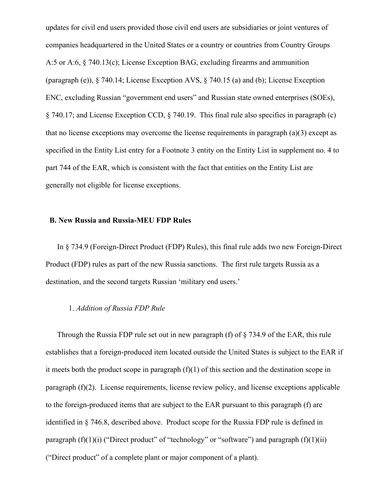updates for civil end users provided those civil end users are subsidiaries or joint ventures of companies headquartered in the United States or a country or countries from Country Groups A:5 or A:6, § 740.13(c); License Exception BAG, excluding firearms and ammunition (paragraph (e)), § 740.14; License Exception AVS, § 740.15 (a) and (b); License Exception ENC, excluding Russian "government end users" and Russian state owned enterprises (SOEs), § 740.17; and License Exception CCD, § 740.19. This final rule also specifies in paragraph (c) that no license exceptions may overcome the license requirements in paragraph  $(a)(3)$  except as specified in the Entity List entry for a Footnote 3 entity on the Entity List in supplement no. 4 to part 744 of the EAR, which is consistent with the fact that entities on the Entity List are generally not eligible for license exceptions.

## **B. New Russia and Russia-MEU FDP Rules**

In § 734.9 (Foreign-Direct Product (FDP) Rules), this final rule adds two new Foreign-Direct Product (FDP) rules as part of the new Russia sanctions. The first rule targets Russia as a destination, and the second targets Russian 'military end users.'

## 1. *Addition of Russia FDP Rule*

Through the Russia FDP rule set out in new paragraph (f) of § 734.9 of the EAR, this rule establishes that a foreign-produced item located outside the United States is subject to the EAR if it meets both the product scope in paragraph  $(f)(1)$  of this section and the destination scope in paragraph (f)(2). License requirements, license review policy, and license exceptions applicable to the foreign-produced items that are subject to the EAR pursuant to this paragraph (f) are identified in § 746.8, described above. Product scope for the Russia FDP rule is defined in paragraph  $(f)(1)(i)$  ("Direct product" of "technology" or "software") and paragraph  $(f)(1)(ii)$ ("Direct product" of a complete plant or major component of a plant).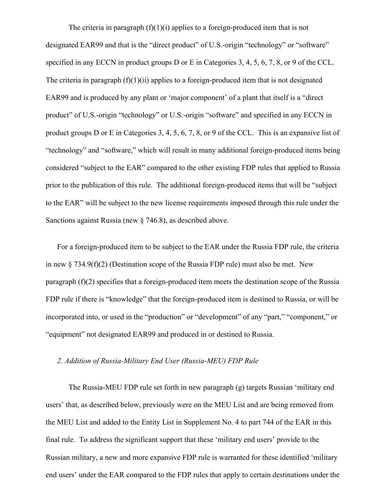The criteria in paragraph  $(f)(1)(i)$  applies to a foreign-produced item that is not designated EAR99 and that is the "direct product" of U.S.-origin "technology" or "software" specified in any ECCN in product groups D or E in Categories 3, 4, 5, 6, 7, 8, or 9 of the CCL. The criteria in paragraph  $(f)(1)(ii)$  applies to a foreign-produced item that is not designated EAR99 and is produced by any plant or 'major component' of a plant that itself is a "direct product" of U.S.-origin "technology" or U.S.-origin "software" and specified in any ECCN in product groups D or E in Categories 3, 4, 5, 6, 7, 8, or 9 of the CCL. This is an expansive list of "technology" and "software," which will result in many additional foreign-produced items being considered "subject to the EAR" compared to the other existing FDP rules that applied to Russia prior to the publication of this rule. The additional foreign-produced items that will be "subject to the EAR" will be subject to the new license requirements imposed through this rule under the Sanctions against Russia (new § 746.8), as described above.

For a foreign-produced item to be subject to the EAR under the Russia FDP rule, the criteria in new  $\S 734.9(f)(2)$  (Destination scope of the Russia FDP rule) must also be met. New paragraph (f)(2) specifies that a foreign-produced item meets the destination scope of the Russia FDP rule if there is "knowledge" that the foreign-produced item is destined to Russia, or will be incorporated into, or used in the "production" or "development" of any "part," "component," or "equipment" not designated EAR99 and produced in or destined to Russia.

### *2. Addition of Russia-Military End User (Russia-MEU) FDP Rule*

The Russia-MEU FDP rule set forth in new paragraph (g) targets Russian 'military end users' that, as described below, previously were on the MEU List and are being removed from the MEU List and added to the Entity List in Supplement No. 4 to part 744 of the EAR in this final rule. To address the significant support that these 'military end users' provide to the Russian military, a new and more expansive FDP rule is warranted for these identified 'military end users' under the EAR compared to the FDP rules that apply to certain destinations under the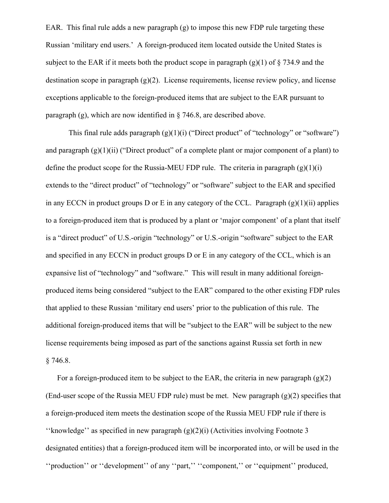EAR. This final rule adds a new paragraph (g) to impose this new FDP rule targeting these Russian 'military end users.' A foreign-produced item located outside the United States is subject to the EAR if it meets both the product scope in paragraph  $(g)(1)$  of  $\S$  734.9 and the destination scope in paragraph (g)(2). License requirements, license review policy, and license exceptions applicable to the foreign-produced items that are subject to the EAR pursuant to paragraph (g), which are now identified in  $\S$  746.8, are described above.

This final rule adds paragraph  $(g)(1)(i)$  ("Direct product" of "technology" or "software") and paragraph  $(g)(1)(ii)$  ("Direct product" of a complete plant or major component of a plant) to define the product scope for the Russia-MEU FDP rule. The criteria in paragraph  $(g)(1)(i)$ extends to the "direct product" of "technology" or "software" subject to the EAR and specified in any ECCN in product groups D or E in any category of the CCL. Paragraph  $(g)(1)(ii)$  applies to a foreign-produced item that is produced by a plant or 'major component' of a plant that itself is a "direct product" of U.S.-origin "technology" or U.S.-origin "software" subject to the EAR and specified in any ECCN in product groups D or E in any category of the CCL, which is an expansive list of "technology" and "software." This will result in many additional foreignproduced items being considered "subject to the EAR" compared to the other existing FDP rules that applied to these Russian 'military end users' prior to the publication of this rule. The additional foreign-produced items that will be "subject to the EAR" will be subject to the new license requirements being imposed as part of the sanctions against Russia set forth in new § 746.8.

For a foreign-produced item to be subject to the EAR, the criteria in new paragraph  $(g)(2)$ (End-user scope of the Russia MEU FDP rule) must be met. New paragraph  $(g)(2)$  specifies that a foreign-produced item meets the destination scope of the Russia MEU FDP rule if there is "knowledge" as specified in new paragraph  $(g)(2)(i)$  (Activities involving Footnote 3 designated entities) that a foreign-produced item will be incorporated into, or will be used in the ''production'' or ''development'' of any ''part,'' ''component,'' or ''equipment'' produced,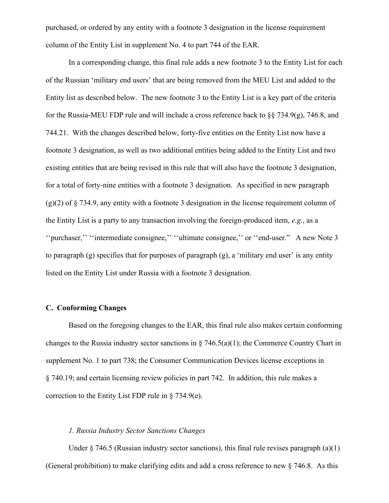purchased, or ordered by any entity with a footnote 3 designation in the license requirement column of the Entity List in supplement No. 4 to part 744 of the EAR.

In a corresponding change, this final rule adds a new footnote 3 to the Entity List for each of the Russian 'military end users' that are being removed from the MEU List and added to the Entity list as described below. The new footnote 3 to the Entity List is a key part of the criteria for the Russia-MEU FDP rule and will include a cross reference back to §§ 734.9(g), 746.8, and 744.21. With the changes described below, forty-five entities on the Entity List now have a footnote 3 designation, as well as two additional entities being added to the Entity List and two existing entities that are being revised in this rule that will also have the footnote 3 designation, for a total of forty-nine entities with a footnote 3 designation. As specified in new paragraph (g)(2) of § 734.9, any entity with a footnote 3 designation in the license requirement column of the Entity List is a party to any transaction involving the foreign-produced item, *e.g.*, as a ''purchaser,'' ''intermediate consignee,'' ''ultimate consignee,'' or ''end-user." A new Note 3 to paragraph (g) specifies that for purposes of paragraph (g), a 'military end user' is any entity listed on the Entity List under Russia with a footnote 3 designation.

# **C. Conforming Changes**

Based on the foregoing changes to the EAR, this final rule also makes certain conforming changes to the Russia industry sector sanctions in  $\S$  746.5(a)(1); the Commerce Country Chart in supplement No. 1 to part 738; the Consumer Communication Devices license exceptions in § 740.19; and certain licensing review policies in part 742. In addition, this rule makes a correction to the Entity List FDP rule in  $\S$  734.9(e).

### *1. Russia Industry Sector Sanctions Changes*

Under  $\S$  746.5 (Russian industry sector sanctions), this final rule revises paragraph (a)(1) (General prohibition) to make clarifying edits and add a cross reference to new § 746.8. As this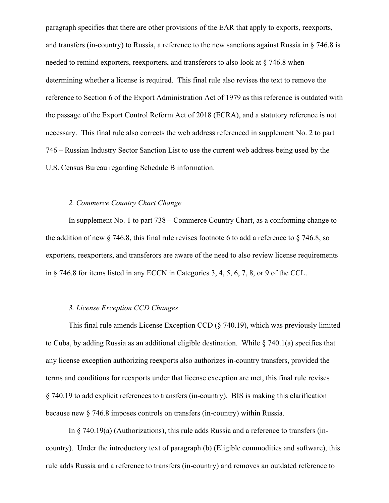paragraph specifies that there are other provisions of the EAR that apply to exports, reexports, and transfers (in-country) to Russia, a reference to the new sanctions against Russia in § 746.8 is needed to remind exporters, reexporters, and transferors to also look at § 746.8 when determining whether a license is required. This final rule also revises the text to remove the reference to Section 6 of the Export Administration Act of 1979 as this reference is outdated with the passage of the Export Control Reform Act of 2018 (ECRA), and a statutory reference is not necessary. This final rule also corrects the web address referenced in supplement No. 2 to part 746 – Russian Industry Sector Sanction List to use the current web address being used by the U.S. Census Bureau regarding Schedule B information.

### *2. Commerce Country Chart Change*

In supplement No. 1 to part 738 – Commerce Country Chart, as a conforming change to the addition of new § 746.8, this final rule revises footnote 6 to add a reference to § 746.8, so exporters, reexporters, and transferors are aware of the need to also review license requirements in § 746.8 for items listed in any ECCN in Categories 3, 4, 5, 6, 7, 8, or 9 of the CCL.

# *3. License Exception CCD Changes*

This final rule amends License Exception CCD (§ 740.19), which was previously limited to Cuba, by adding Russia as an additional eligible destination. While  $\S$  740.1(a) specifies that any license exception authorizing reexports also authorizes in-country transfers, provided the terms and conditions for reexports under that license exception are met, this final rule revises § 740.19 to add explicit references to transfers (in-country). BIS is making this clarification because new § 746.8 imposes controls on transfers (in-country) within Russia.

In § 740.19(a) (Authorizations), this rule adds Russia and a reference to transfers (incountry). Under the introductory text of paragraph (b) (Eligible commodities and software), this rule adds Russia and a reference to transfers (in-country) and removes an outdated reference to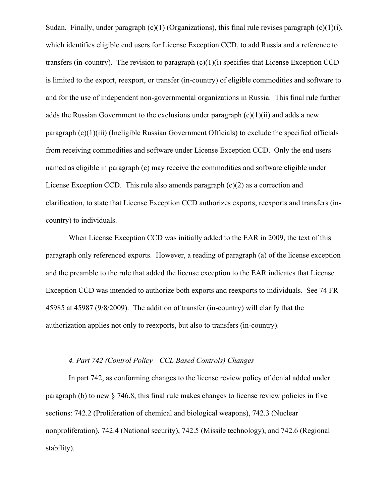Sudan. Finally, under paragraph  $(c)(1)$  (Organizations), this final rule revises paragraph  $(c)(1)(i)$ , which identifies eligible end users for License Exception CCD, to add Russia and a reference to transfers (in-country). The revision to paragraph  $(c)(1)(i)$  specifies that License Exception CCD is limited to the export, reexport, or transfer (in-country) of eligible commodities and software to and for the use of independent non-governmental organizations in Russia. This final rule further adds the Russian Government to the exclusions under paragraph  $(c)(1)(ii)$  and adds a new paragraph (c)(1)(iii) (Ineligible Russian Government Officials) to exclude the specified officials from receiving commodities and software under License Exception CCD. Only the end users named as eligible in paragraph (c) may receive the commodities and software eligible under License Exception CCD. This rule also amends paragraph (c)(2) as a correction and clarification, to state that License Exception CCD authorizes exports, reexports and transfers (incountry) to individuals.

When License Exception CCD was initially added to the EAR in 2009, the text of this paragraph only referenced exports. However, a reading of paragraph (a) of the license exception and the preamble to the rule that added the license exception to the EAR indicates that License Exception CCD was intended to authorize both exports and reexports to individuals. See 74 FR 45985 at 45987 (9/8/2009). The addition of transfer (in-country) will clarify that the authorization applies not only to reexports, but also to transfers (in-country).

## *4. Part 742 (Control Policy—CCL Based Controls) Changes*

In part 742, as conforming changes to the license review policy of denial added under paragraph (b) to new § 746.8, this final rule makes changes to license review policies in five sections: 742.2 (Proliferation of chemical and biological weapons), 742.3 (Nuclear nonproliferation), 742.4 (National security), 742.5 (Missile technology), and 742.6 (Regional stability).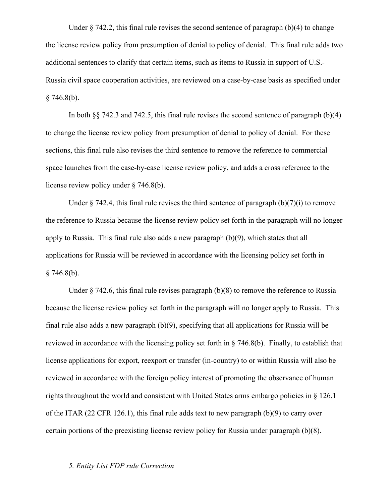Under  $\S$  742.2, this final rule revises the second sentence of paragraph (b)(4) to change the license review policy from presumption of denial to policy of denial. This final rule adds two additional sentences to clarify that certain items, such as items to Russia in support of U.S.- Russia civil space cooperation activities, are reviewed on a case-by-case basis as specified under  $§ 746.8(b).$ 

In both §§ 742.3 and 742.5, this final rule revises the second sentence of paragraph (b)(4) to change the license review policy from presumption of denial to policy of denial. For these sections, this final rule also revises the third sentence to remove the reference to commercial space launches from the case-by-case license review policy, and adds a cross reference to the license review policy under § 746.8(b).

Under  $\S$  742.4, this final rule revises the third sentence of paragraph (b)(7)(i) to remove the reference to Russia because the license review policy set forth in the paragraph will no longer apply to Russia. This final rule also adds a new paragraph (b)(9), which states that all applications for Russia will be reviewed in accordance with the licensing policy set forth in  $§ 746.8(b).$ 

Under  $\S$  742.6, this final rule revises paragraph (b)(8) to remove the reference to Russia because the license review policy set forth in the paragraph will no longer apply to Russia. This final rule also adds a new paragraph (b)(9), specifying that all applications for Russia will be reviewed in accordance with the licensing policy set forth in § 746.8(b). Finally, to establish that license applications for export, reexport or transfer (in-country) to or within Russia will also be reviewed in accordance with the foreign policy interest of promoting the observance of human rights throughout the world and consistent with United States arms embargo policies in  $\S$  126.1 of the ITAR (22 CFR 126.1), this final rule adds text to new paragraph (b)(9) to carry over certain portions of the preexisting license review policy for Russia under paragraph (b)(8).

# *5. Entity List FDP rule Correction*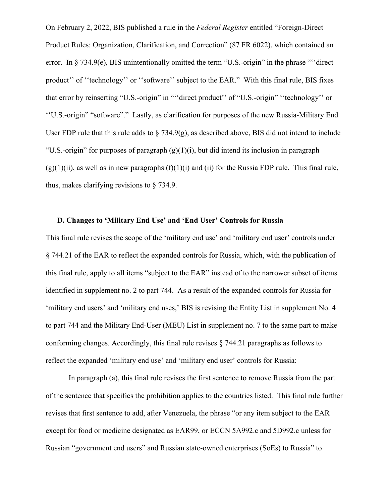On February 2, 2022, BIS published a rule in the *Federal Register* entitled "Foreign-Direct Product Rules: Organization, Clarification, and Correction" (87 FR 6022), which contained an error. In § 734.9(e), BIS unintentionally omitted the term "U.S.-origin" in the phrase ""direct product'' of ''technology'' or ''software'' subject to the EAR." With this final rule, BIS fixes that error by reinserting "U.S.-origin" in "''direct product'' of "U.S.-origin" ''technology'' or ''U.S.-origin" "software"." Lastly, as clarification for purposes of the new Russia-Military End User FDP rule that this rule adds to  $\S$  734.9(g), as described above, BIS did not intend to include "U.S.-origin" for purposes of paragraph  $(g)(1)(i)$ , but did intend its inclusion in paragraph  $(g)(1)(ii)$ , as well as in new paragraphs  $(f)(1)(i)$  and  $(ii)$  for the Russia FDP rule. This final rule, thus, makes clarifying revisions to § 734.9.

## **D. Changes to 'Military End Use' and 'End User' Controls for Russia**

This final rule revises the scope of the 'military end use' and 'military end user' controls under § 744.21 of the EAR to reflect the expanded controls for Russia, which, with the publication of this final rule, apply to all items "subject to the EAR" instead of to the narrower subset of items identified in supplement no. 2 to part 744. As a result of the expanded controls for Russia for 'military end users' and 'military end uses,' BIS is revising the Entity List in supplement No. 4 to part 744 and the Military End-User (MEU) List in supplement no. 7 to the same part to make conforming changes. Accordingly, this final rule revises § 744.21 paragraphs as follows to reflect the expanded 'military end use' and 'military end user' controls for Russia:

In paragraph (a), this final rule revises the first sentence to remove Russia from the part of the sentence that specifies the prohibition applies to the countries listed. This final rule further revises that first sentence to add, after Venezuela, the phrase "or any item subject to the EAR except for food or medicine designated as EAR99, or ECCN 5A992.c and 5D992.c unless for Russian "government end users" and Russian state-owned enterprises (SoEs) to Russia" to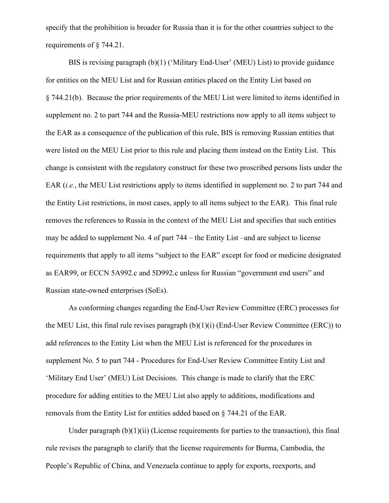specify that the prohibition is broader for Russia than it is for the other countries subject to the requirements of § 744.21.

BIS is revising paragraph (b)(1) ('Military End-User' (MEU) List) to provide guidance for entities on the MEU List and for Russian entities placed on the Entity List based on § 744.21(b). Because the prior requirements of the MEU List were limited to items identified in supplement no. 2 to part 744 and the Russia-MEU restrictions now apply to all items subject to the EAR as a consequence of the publication of this rule, BIS is removing Russian entities that were listed on the MEU List prior to this rule and placing them instead on the Entity List. This change is consistent with the regulatory construct for these two proscribed persons lists under the EAR (*i.e.*, the MEU List restrictions apply to items identified in supplement no. 2 to part 744 and the Entity List restrictions, in most cases, apply to all items subject to the EAR). This final rule removes the references to Russia in the context of the MEU List and specifies that such entities may be added to supplement No. 4 of part 744 – the Entity List –and are subject to license requirements that apply to all items "subject to the EAR" except for food or medicine designated as EAR99, or ECCN 5A992.c and 5D992.c unless for Russian "government end users" and Russian state-owned enterprises (SoEs).

As conforming changes regarding the End-User Review Committee (ERC) processes for the MEU List, this final rule revises paragraph (b)(1)(i) (End-User Review Committee (ERC)) to add references to the Entity List when the MEU List is referenced for the procedures in supplement No. 5 to part 744 - Procedures for End-User Review Committee Entity List and 'Military End User' (MEU) List Decisions. This change is made to clarify that the ERC procedure for adding entities to the MEU List also apply to additions, modifications and removals from the Entity List for entities added based on § 744.21 of the EAR.

Under paragraph  $(b)(1)(ii)$  (License requirements for parties to the transaction), this final rule revises the paragraph to clarify that the license requirements for Burma, Cambodia, the People's Republic of China, and Venezuela continue to apply for exports, reexports, and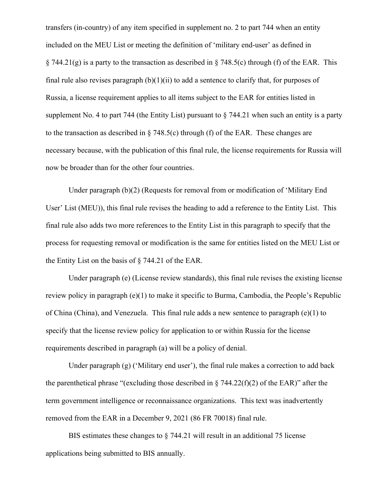transfers (in-country) of any item specified in supplement no. 2 to part 744 when an entity included on the MEU List or meeting the definition of 'military end-user' as defined in  $\S$  744.21(g) is a party to the transaction as described in  $\S$  748.5(c) through (f) of the EAR. This final rule also revises paragraph  $(b)(1)(ii)$  to add a sentence to clarify that, for purposes of Russia, a license requirement applies to all items subject to the EAR for entities listed in supplement No. 4 to part 744 (the Entity List) pursuant to § 744.21 when such an entity is a party to the transaction as described in  $\S$  748.5(c) through (f) of the EAR. These changes are necessary because, with the publication of this final rule, the license requirements for Russia will now be broader than for the other four countries.

Under paragraph (b)(2) (Requests for removal from or modification of 'Military End User' List (MEU)), this final rule revises the heading to add a reference to the Entity List. This final rule also adds two more references to the Entity List in this paragraph to specify that the process for requesting removal or modification is the same for entities listed on the MEU List or the Entity List on the basis of § 744.21 of the EAR.

Under paragraph (e) (License review standards), this final rule revises the existing license review policy in paragraph (e)(1) to make it specific to Burma, Cambodia, the People's Republic of China (China), and Venezuela. This final rule adds a new sentence to paragraph (e)(1) to specify that the license review policy for application to or within Russia for the license requirements described in paragraph (a) will be a policy of denial.

Under paragraph  $(g)$  ('Military end user'), the final rule makes a correction to add back the parenthetical phrase "(excluding those described in  $\S$  744.22(f)(2) of the EAR)" after the term government intelligence or reconnaissance organizations. This text was inadvertently removed from the EAR in a December 9, 2021 (86 FR 70018) final rule.

BIS estimates these changes to § 744.21 will result in an additional 75 license applications being submitted to BIS annually.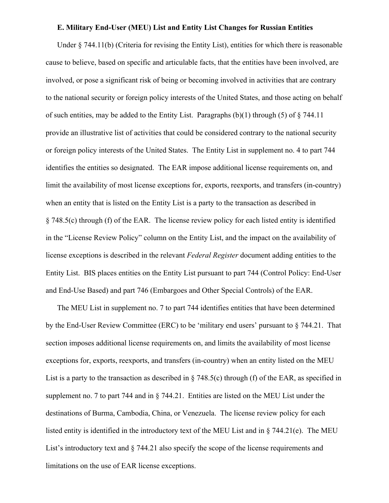### **E. Military End-User (MEU) List and Entity List Changes for Russian Entities**

Under § 744.11(b) (Criteria for revising the Entity List), entities for which there is reasonable cause to believe, based on specific and articulable facts, that the entities have been involved, are involved, or pose a significant risk of being or becoming involved in activities that are contrary to the national security or foreign policy interests of the United States, and those acting on behalf of such entities, may be added to the Entity List. Paragraphs  $(b)(1)$  through (5) of § 744.11 provide an illustrative list of activities that could be considered contrary to the national security or foreign policy interests of the United States. The Entity List in supplement no. 4 to part 744 identifies the entities so designated. The EAR impose additional license requirements on, and limit the availability of most license exceptions for, exports, reexports, and transfers (in-country) when an entity that is listed on the Entity List is a party to the transaction as described in § 748.5(c) through (f) of the EAR. The license review policy for each listed entity is identified in the "License Review Policy" column on the Entity List, and the impact on the availability of license exceptions is described in the relevant *Federal Register* document adding entities to the Entity List. BIS places entities on the Entity List pursuant to part 744 (Control Policy: End-User and End-Use Based) and part 746 (Embargoes and Other Special Controls) of the EAR.

The MEU List in supplement no. 7 to part 744 identifies entities that have been determined by the End-User Review Committee (ERC) to be 'military end users' pursuant to § 744.21. That section imposes additional license requirements on, and limits the availability of most license exceptions for, exports, reexports, and transfers (in-country) when an entity listed on the MEU List is a party to the transaction as described in  $\S$  748.5(c) through (f) of the EAR, as specified in supplement no. 7 to part 744 and in § 744.21. Entities are listed on the MEU List under the destinations of Burma, Cambodia, China, or Venezuela. The license review policy for each listed entity is identified in the introductory text of the MEU List and in § 744.21(e). The MEU List's introductory text and § 744.21 also specify the scope of the license requirements and limitations on the use of EAR license exceptions.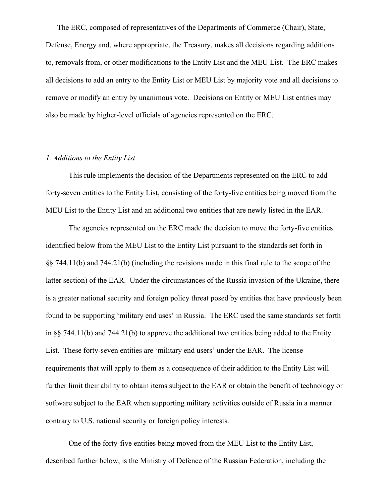The ERC, composed of representatives of the Departments of Commerce (Chair), State, Defense, Energy and, where appropriate, the Treasury, makes all decisions regarding additions to, removals from, or other modifications to the Entity List and the MEU List. The ERC makes all decisions to add an entry to the Entity List or MEU List by majority vote and all decisions to remove or modify an entry by unanimous vote. Decisions on Entity or MEU List entries may also be made by higher-level officials of agencies represented on the ERC.

## *1. Additions to the Entity List*

This rule implements the decision of the Departments represented on the ERC to add forty-seven entities to the Entity List, consisting of the forty-five entities being moved from the MEU List to the Entity List and an additional two entities that are newly listed in the EAR.

The agencies represented on the ERC made the decision to move the forty-five entities identified below from the MEU List to the Entity List pursuant to the standards set forth in §§ 744.11(b) and 744.21(b) (including the revisions made in this final rule to the scope of the latter section) of the EAR. Under the circumstances of the Russia invasion of the Ukraine, there is a greater national security and foreign policy threat posed by entities that have previously been found to be supporting 'military end uses' in Russia. The ERC used the same standards set forth in §§ 744.11(b) and 744.21(b) to approve the additional two entities being added to the Entity List. These forty-seven entities are 'military end users' under the EAR. The license requirements that will apply to them as a consequence of their addition to the Entity List will further limit their ability to obtain items subject to the EAR or obtain the benefit of technology or software subject to the EAR when supporting military activities outside of Russia in a manner contrary to U.S. national security or foreign policy interests.

One of the forty-five entities being moved from the MEU List to the Entity List, described further below, is the Ministry of Defence of the Russian Federation, including the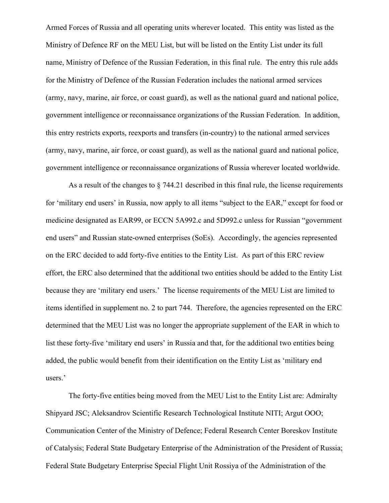Armed Forces of Russia and all operating units wherever located. This entity was listed as the Ministry of Defence RF on the MEU List, but will be listed on the Entity List under its full name, Ministry of Defence of the Russian Federation, in this final rule. The entry this rule adds for the Ministry of Defence of the Russian Federation includes the national armed services (army, navy, marine, air force, or coast guard), as well as the national guard and national police, government intelligence or reconnaissance organizations of the Russian Federation. In addition, this entry restricts exports, reexports and transfers (in-country) to the national armed services (army, navy, marine, air force, or coast guard), as well as the national guard and national police, government intelligence or reconnaissance organizations of Russia wherever located worldwide.

As a result of the changes to § 744.21 described in this final rule, the license requirements for 'military end users' in Russia, now apply to all items "subject to the EAR," except for food or medicine designated as EAR99, or ECCN 5A992.c and 5D992.c unless for Russian "government end users" and Russian state-owned enterprises (SoEs). Accordingly, the agencies represented on the ERC decided to add forty-five entities to the Entity List. As part of this ERC review effort, the ERC also determined that the additional two entities should be added to the Entity List because they are 'military end users.' The license requirements of the MEU List are limited to items identified in supplement no. 2 to part 744. Therefore, the agencies represented on the ERC determined that the MEU List was no longer the appropriate supplement of the EAR in which to list these forty-five 'military end users' in Russia and that, for the additional two entities being added, the public would benefit from their identification on the Entity List as 'military end users.'

The forty-five entities being moved from the MEU List to the Entity List are: Admiralty Shipyard JSC; Aleksandrov Scientific Research Technological Institute NITI; Argut OOO; Communication Center of the Ministry of Defence; Federal Research Center Boreskov Institute of Catalysis; Federal State Budgetary Enterprise of the Administration of the President of Russia; Federal State Budgetary Enterprise Special Flight Unit Rossiya of the Administration of the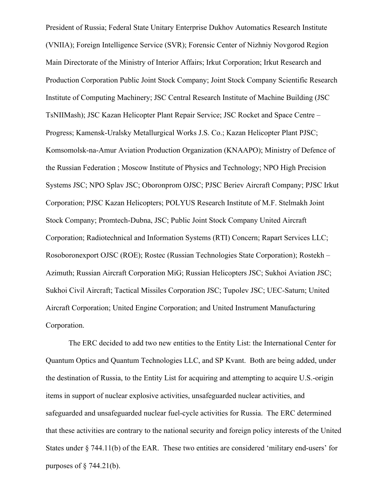President of Russia; Federal State Unitary Enterprise Dukhov Automatics Research Institute (VNIIA); Foreign Intelligence Service (SVR); Forensic Center of Nizhniy Novgorod Region Main Directorate of the Ministry of Interior Affairs; Irkut Corporation; Irkut Research and Production Corporation Public Joint Stock Company; Joint Stock Company Scientific Research Institute of Computing Machinery; JSC Central Research Institute of Machine Building (JSC TsNIIMash); JSC Kazan Helicopter Plant Repair Service; JSC Rocket and Space Centre – Progress; Kamensk-Uralsky Metallurgical Works J.S. Co.; Kazan Helicopter Plant PJSC; Komsomolsk-na-Amur Aviation Production Organization (KNAAPO); Ministry of Defence of the Russian Federation ; Moscow Institute of Physics and Technology; NPO High Precision Systems JSC; NPO Splav JSC; Oboronprom OJSC; PJSC Beriev Aircraft Company; PJSC Irkut Corporation; PJSC Kazan Helicopters; POLYUS Research Institute of M.F. Stelmakh Joint Stock Company; Promtech-Dubna, JSC; Public Joint Stock Company United Aircraft Corporation; Radiotechnical and Information Systems (RTI) Concern; Rapart Services LLC; Rosoboronexport OJSC (ROE); Rostec (Russian Technologies State Corporation); Rostekh – Azimuth; Russian Aircraft Corporation MiG; Russian Helicopters JSC; Sukhoi Aviation JSC; Sukhoi Civil Aircraft; Tactical Missiles Corporation JSC; Tupolev JSC; UEC-Saturn; United Aircraft Corporation; United Engine Corporation; and United Instrument Manufacturing Corporation.

The ERC decided to add two new entities to the Entity List: the International Center for Quantum Optics and Quantum Technologies LLC, and SP Kvant. Both are being added, under the destination of Russia, to the Entity List for acquiring and attempting to acquire U.S.-origin items in support of nuclear explosive activities, unsafeguarded nuclear activities, and safeguarded and unsafeguarded nuclear fuel-cycle activities for Russia. The ERC determined that these activities are contrary to the national security and foreign policy interests of the United States under § 744.11(b) of the EAR. These two entities are considered 'military end-users' for purposes of  $\S$  744.21(b).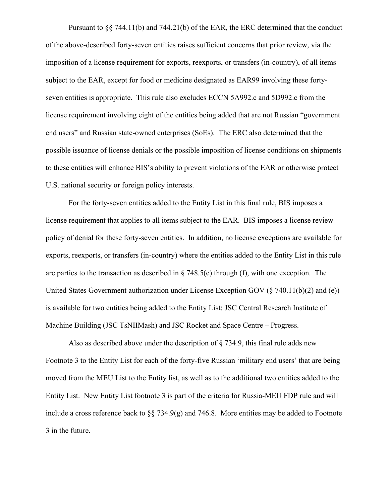Pursuant to §§ 744.11(b) and 744.21(b) of the EAR, the ERC determined that the conduct of the above-described forty-seven entities raises sufficient concerns that prior review, via the imposition of a license requirement for exports, reexports, or transfers (in-country), of all items subject to the EAR, except for food or medicine designated as EAR99 involving these fortyseven entities is appropriate. This rule also excludes ECCN 5A992.c and 5D992.c from the license requirement involving eight of the entities being added that are not Russian "government end users" and Russian state-owned enterprises (SoEs). The ERC also determined that the possible issuance of license denials or the possible imposition of license conditions on shipments to these entities will enhance BIS's ability to prevent violations of the EAR or otherwise protect U.S. national security or foreign policy interests.

For the forty-seven entities added to the Entity List in this final rule, BIS imposes a license requirement that applies to all items subject to the EAR. BIS imposes a license review policy of denial for these forty-seven entities. In addition, no license exceptions are available for exports, reexports, or transfers (in-country) where the entities added to the Entity List in this rule are parties to the transaction as described in  $\S$  748.5(c) through (f), with one exception. The United States Government authorization under License Exception GOV (§ 740.11(b)(2) and (e)) is available for two entities being added to the Entity List: JSC Central Research Institute of Machine Building (JSC TsNIIMash) and JSC Rocket and Space Centre – Progress.

Also as described above under the description of  $\S$  734.9, this final rule adds new Footnote 3 to the Entity List for each of the forty-five Russian 'military end users' that are being moved from the MEU List to the Entity list, as well as to the additional two entities added to the Entity List. New Entity List footnote 3 is part of the criteria for Russia-MEU FDP rule and will include a cross reference back to §§ 734.9(g) and 746.8. More entities may be added to Footnote 3 in the future.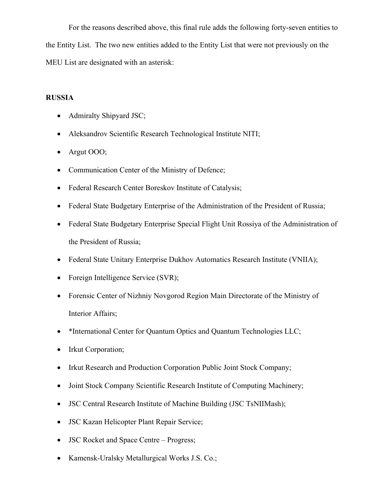For the reasons described above, this final rule adds the following forty-seven entities to the Entity List. The two new entities added to the Entity List that were not previously on the MEU List are designated with an asterisk:

## **RUSSIA**

- Admiralty Shipyard JSC;
- Aleksandrov Scientific Research Technological Institute NITI;
- Argut OOO;
- Communication Center of the Ministry of Defence;
- Federal Research Center Boreskov Institute of Catalysis;
- Federal State Budgetary Enterprise of the Administration of the President of Russia;
- Federal State Budgetary Enterprise Special Flight Unit Rossiya of the Administration of the President of Russia;
- Federal State Unitary Enterprise Dukhov Automatics Research Institute (VNIIA);
- Foreign Intelligence Service (SVR);
- Forensic Center of Nizhniy Novgorod Region Main Directorate of the Ministry of Interior Affairs;
- \*International Center for Quantum Optics and Quantum Technologies LLC;
- Irkut Corporation;
- Irkut Research and Production Corporation Public Joint Stock Company;
- Joint Stock Company Scientific Research Institute of Computing Machinery;
- JSC Central Research Institute of Machine Building (JSC TsNIIMash);
- JSC Kazan Helicopter Plant Repair Service;
- JSC Rocket and Space Centre Progress;
- Kamensk-Uralsky Metallurgical Works J.S. Co.;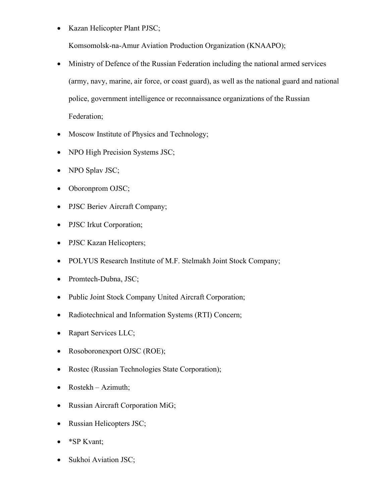• Kazan Helicopter Plant PJSC;

Komsomolsk-na-Amur Aviation Production Organization (KNAAPO);

- Ministry of Defence of the Russian Federation including the national armed services (army, navy, marine, air force, or coast guard), as well as the national guard and national police, government intelligence or reconnaissance organizations of the Russian Federation;
- Moscow Institute of Physics and Technology;
- NPO High Precision Systems JSC;
- NPO Splav JSC;
- Oboronprom OJSC;
- PJSC Beriev Aircraft Company;
- PJSC Irkut Corporation;
- PJSC Kazan Helicopters;
- POLYUS Research Institute of M.F. Stelmakh Joint Stock Company;
- Promtech-Dubna, JSC;
- Public Joint Stock Company United Aircraft Corporation;
- Radiotechnical and Information Systems (RTI) Concern;
- Rapart Services LLC;
- Rosoboronexport OJSC (ROE);
- Rostec (Russian Technologies State Corporation);
- Rostekh Azimuth;
- Russian Aircraft Corporation MiG;
- Russian Helicopters JSC;
- \*SP Kvant;
- Sukhoi Aviation JSC;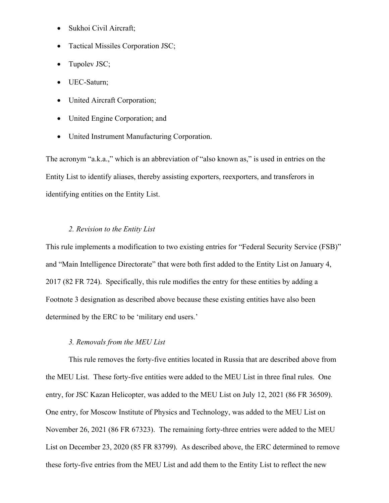- Sukhoi Civil Aircraft;
- Tactical Missiles Corporation JSC;
- Tupolev JSC;
- UEC-Saturn;
- United Aircraft Corporation;
- United Engine Corporation; and
- United Instrument Manufacturing Corporation.

The acronym "a.k.a.," which is an abbreviation of "also known as," is used in entries on the Entity List to identify aliases, thereby assisting exporters, reexporters, and transferors in identifying entities on the Entity List.

## *2. Revision to the Entity List*

This rule implements a modification to two existing entries for "Federal Security Service (FSB)" and "Main Intelligence Directorate" that were both first added to the Entity List on January 4, 2017 (82 FR 724). Specifically, this rule modifies the entry for these entities by adding a Footnote 3 designation as described above because these existing entities have also been determined by the ERC to be 'military end users.'

## *3. Removals from the MEU List*

This rule removes the forty-five entities located in Russia that are described above from the MEU List. These forty-five entities were added to the MEU List in three final rules. One entry, for JSC Kazan Helicopter, was added to the MEU List on July 12, 2021 (86 FR 36509). One entry, for Moscow Institute of Physics and Technology, was added to the MEU List on November 26, 2021 (86 FR 67323). The remaining forty-three entries were added to the MEU List on December 23, 2020 (85 FR 83799). As described above, the ERC determined to remove these forty-five entries from the MEU List and add them to the Entity List to reflect the new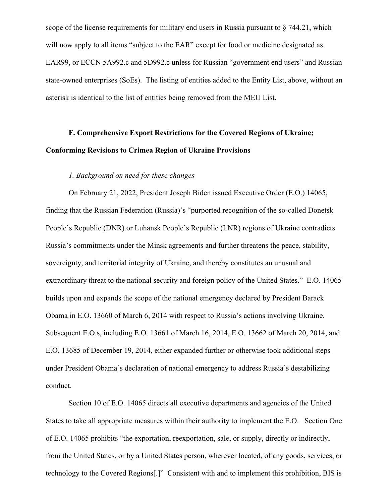scope of the license requirements for military end users in Russia pursuant to § 744.21, which will now apply to all items "subject to the EAR" except for food or medicine designated as EAR99, or ECCN 5A992.c and 5D992.c unless for Russian "government end users" and Russian state-owned enterprises (SoEs). The listing of entities added to the Entity List, above, without an asterisk is identical to the list of entities being removed from the MEU List.

# **F. Comprehensive Export Restrictions for the Covered Regions of Ukraine; Conforming Revisions to Crimea Region of Ukraine Provisions**

## *1. Background on need for these changes*

On February 21, 2022, President Joseph Biden issued Executive Order (E.O.) 14065, finding that the Russian Federation (Russia)'s "purported recognition of the so-called Donetsk People's Republic (DNR) or Luhansk People's Republic (LNR) regions of Ukraine contradicts Russia's commitments under the Minsk agreements and further threatens the peace, stability, sovereignty, and territorial integrity of Ukraine, and thereby constitutes an unusual and extraordinary threat to the national security and foreign policy of the United States." E.O. 14065 builds upon and expands the scope of the national emergency declared by President Barack Obama in E.O. 13660 of March 6, 2014 with respect to Russia's actions involving Ukraine. Subsequent E.O.s, including E.O. 13661 of March 16, 2014, E.O. 13662 of March 20, 2014, and E.O. 13685 of December 19, 2014, either expanded further or otherwise took additional steps under President Obama's declaration of national emergency to address Russia's destabilizing conduct.

Section 10 of E.O. 14065 directs all executive departments and agencies of the United States to take all appropriate measures within their authority to implement the E.O. Section One of E.O. 14065 prohibits "the exportation, reexportation, sale, or supply, directly or indirectly, from the United States, or by a United States person, wherever located, of any goods, services, or technology to the Covered Regions[.]" Consistent with and to implement this prohibition, BIS is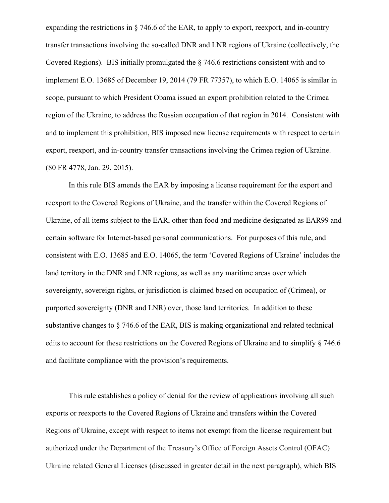expanding the restrictions in § 746.6 of the EAR, to apply to export, reexport, and in-country transfer transactions involving the so-called DNR and LNR regions of Ukraine (collectively, the Covered Regions). BIS initially promulgated the § 746.6 restrictions consistent with and to implement E.O. 13685 of December 19, 2014 (79 FR 77357), to which E.O. 14065 is similar in scope, pursuant to which President Obama issued an export prohibition related to the Crimea region of the Ukraine, to address the Russian occupation of that region in 2014. Consistent with and to implement this prohibition, BIS imposed new license requirements with respect to certain export, reexport, and in-country transfer transactions involving the Crimea region of Ukraine. (80 FR 4778, Jan. 29, 2015).

In this rule BIS amends the EAR by imposing a license requirement for the export and reexport to the Covered Regions of Ukraine, and the transfer within the Covered Regions of Ukraine, of all items subject to the EAR, other than food and medicine designated as EAR99 and certain software for Internet-based personal communications. For purposes of this rule, and consistent with E.O. 13685 and E.O. 14065, the term 'Covered Regions of Ukraine' includes the land territory in the DNR and LNR regions, as well as any maritime areas over which sovereignty, sovereign rights, or jurisdiction is claimed based on occupation of (Crimea), or purported sovereignty (DNR and LNR) over, those land territories. In addition to these substantive changes to § 746.6 of the EAR, BIS is making organizational and related technical edits to account for these restrictions on the Covered Regions of Ukraine and to simplify § 746.6 and facilitate compliance with the provision's requirements.

This rule establishes a policy of denial for the review of applications involving all such exports or reexports to the Covered Regions of Ukraine and transfers within the Covered Regions of Ukraine, except with respect to items not exempt from the license requirement but authorized under the Department of the Treasury's Office of Foreign Assets Control (OFAC) Ukraine related General Licenses (discussed in greater detail in the next paragraph), which BIS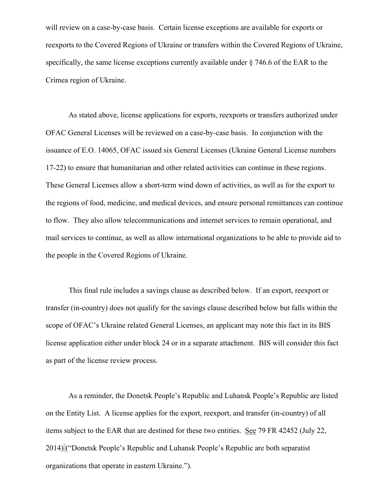will review on a case-by-case basis. Certain license exceptions are available for exports or reexports to the Covered Regions of Ukraine or transfers within the Covered Regions of Ukraine, specifically, the same license exceptions currently available under § 746.6 of the EAR to the Crimea region of Ukraine.

As stated above, license applications for exports, reexports or transfers authorized under OFAC General Licenses will be reviewed on a case-by-case basis. In conjunction with the issuance of E.O. 14065, OFAC issued six General Licenses (Ukraine General License numbers 17-22) to ensure that humanitarian and other related activities can continue in these regions. These General Licenses allow a short-term wind down of activities, as well as for the export to the regions of food, medicine, and medical devices, and ensure personal remittances can continue to flow. They also allow telecommunications and internet services to remain operational, and mail services to continue, as well as allow international organizations to be able to provide aid to the people in the Covered Regions of Ukraine.

This final rule includes a savings clause as described below. If an export, reexport or transfer (in-country) does not qualify for the savings clause described below but falls within the scope of OFAC's Ukraine related General Licenses, an applicant may note this fact in its BIS license application either under block 24 or in a separate attachment. BIS will consider this fact as part of the license review process.

As a reminder, the Donetsk People's Republic and Luhansk People's Republic are listed on the Entity List. A license applies for the export, reexport, and transfer (in-country) of all items subject to the EAR that are destined for these two entities. See 79 FR 42452 (July 22, 2014) ("Donetsk People's Republic and Luhansk People's Republic are both separatist organizations that operate in eastern Ukraine.").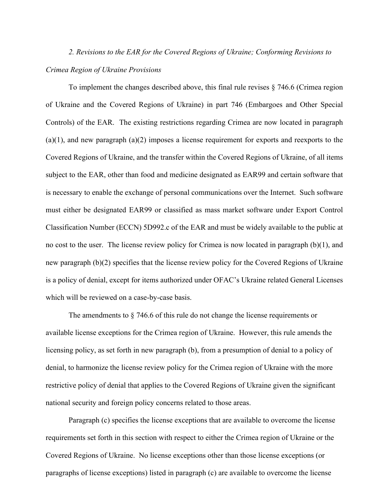# *2. Revisions to the EAR for the Covered Regions of Ukraine; Conforming Revisions to Crimea Region of Ukraine Provisions*

 To implement the changes described above, this final rule revises § 746.6 (Crimea region of Ukraine and the Covered Regions of Ukraine) in part 746 (Embargoes and Other Special Controls) of the EAR. The existing restrictions regarding Crimea are now located in paragraph  $(a)(1)$ , and new paragraph  $(a)(2)$  imposes a license requirement for exports and reexports to the Covered Regions of Ukraine, and the transfer within the Covered Regions of Ukraine, of all items subject to the EAR, other than food and medicine designated as EAR99 and certain software that is necessary to enable the exchange of personal communications over the Internet. Such software must either be designated EAR99 or classified as mass market software under Export Control Classification Number (ECCN) 5D992.c of the EAR and must be widely available to the public at no cost to the user. The license review policy for Crimea is now located in paragraph  $(b)(1)$ , and new paragraph (b)(2) specifies that the license review policy for the Covered Regions of Ukraine is a policy of denial, except for items authorized under OFAC's Ukraine related General Licenses which will be reviewed on a case-by-case basis.

The amendments to  $\S$  746.6 of this rule do not change the license requirements or available license exceptions for the Crimea region of Ukraine. However, this rule amends the licensing policy, as set forth in new paragraph (b), from a presumption of denial to a policy of denial, to harmonize the license review policy for the Crimea region of Ukraine with the more restrictive policy of denial that applies to the Covered Regions of Ukraine given the significant national security and foreign policy concerns related to those areas.

Paragraph (c) specifies the license exceptions that are available to overcome the license requirements set forth in this section with respect to either the Crimea region of Ukraine or the Covered Regions of Ukraine. No license exceptions other than those license exceptions (or paragraphs of license exceptions) listed in paragraph (c) are available to overcome the license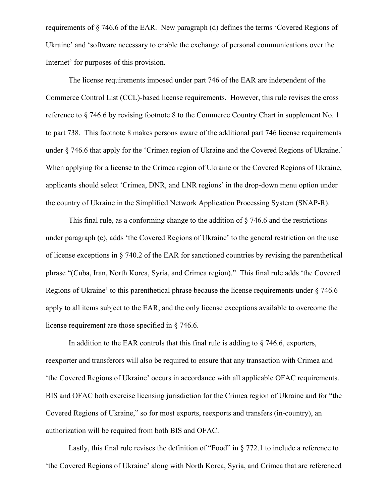requirements of § 746.6 of the EAR. New paragraph (d) defines the terms 'Covered Regions of Ukraine' and 'software necessary to enable the exchange of personal communications over the Internet' for purposes of this provision.

The license requirements imposed under part 746 of the EAR are independent of the Commerce Control List (CCL)-based license requirements. However, this rule revises the cross reference to § 746.6 by revising footnote 8 to the Commerce Country Chart in supplement No. 1 to part 738. This footnote 8 makes persons aware of the additional part 746 license requirements under § 746.6 that apply for the 'Crimea region of Ukraine and the Covered Regions of Ukraine.' When applying for a license to the Crimea region of Ukraine or the Covered Regions of Ukraine, applicants should select 'Crimea, DNR, and LNR regions' in the drop-down menu option under the country of Ukraine in the Simplified Network Application Processing System (SNAP-R).

This final rule, as a conforming change to the addition of § 746.6 and the restrictions under paragraph (c), adds 'the Covered Regions of Ukraine' to the general restriction on the use of license exceptions in § 740.2 of the EAR for sanctioned countries by revising the parenthetical phrase "(Cuba, Iran, North Korea, Syria, and Crimea region)." This final rule adds 'the Covered Regions of Ukraine' to this parenthetical phrase because the license requirements under § 746.6 apply to all items subject to the EAR, and the only license exceptions available to overcome the license requirement are those specified in § 746.6.

In addition to the EAR controls that this final rule is adding to  $\S$  746.6, exporters, reexporter and transferors will also be required to ensure that any transaction with Crimea and 'the Covered Regions of Ukraine' occurs in accordance with all applicable OFAC requirements. BIS and OFAC both exercise licensing jurisdiction for the Crimea region of Ukraine and for "the Covered Regions of Ukraine," so for most exports, reexports and transfers (in-country), an authorization will be required from both BIS and OFAC.

Lastly, this final rule revises the definition of "Food" in § 772.1 to include a reference to 'the Covered Regions of Ukraine' along with North Korea, Syria, and Crimea that are referenced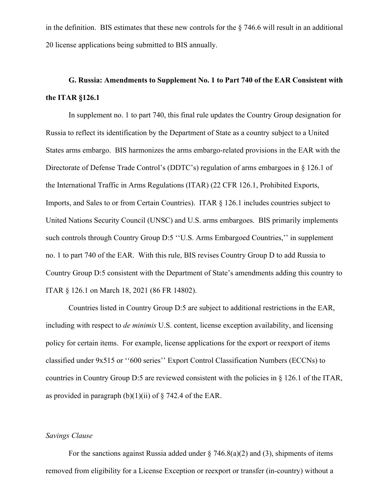in the definition. BIS estimates that these new controls for the § 746.6 will result in an additional 20 license applications being submitted to BIS annually.

# **G. Russia: Amendments to Supplement No. 1 to Part 740 of the EAR Consistent with the ITAR §126.1**

In supplement no. 1 to part 740, this final rule updates the Country Group designation for Russia to reflect its identification by the Department of State as a country subject to a United States arms embargo. BIS harmonizes the arms embargo-related provisions in the EAR with the Directorate of Defense Trade Control's (DDTC's) regulation of arms embargoes in § 126.1 of the International Traffic in Arms Regulations (ITAR) (22 CFR 126.1, Prohibited Exports, Imports, and Sales to or from Certain Countries). ITAR § 126.1 includes countries subject to United Nations Security Council (UNSC) and U.S. arms embargoes. BIS primarily implements such controls through Country Group D:5 ''U.S. Arms Embargoed Countries,'' in supplement no. 1 to part 740 of the EAR. With this rule, BIS revises Country Group D to add Russia to Country Group D:5 consistent with the Department of State's amendments adding this country to ITAR § 126.1 on March 18, 2021 (86 FR 14802).

Countries listed in Country Group D:5 are subject to additional restrictions in the EAR, including with respect to *de minimis* U.S. content, license exception availability, and licensing policy for certain items. For example, license applications for the export or reexport of items classified under 9x515 or ''600 series'' Export Control Classification Numbers (ECCNs) to countries in Country Group D:5 are reviewed consistent with the policies in § 126.1 of the ITAR, as provided in paragraph  $(b)(1)(ii)$  of  $\S$  742.4 of the EAR.

#### *Savings Clause*

For the sanctions against Russia added under  $\S$  746.8(a)(2) and (3), shipments of items removed from eligibility for a License Exception or reexport or transfer (in-country) without a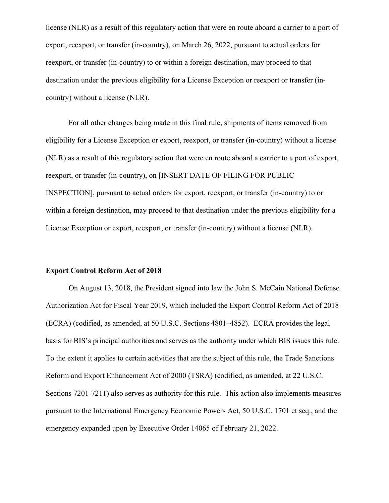license (NLR) as a result of this regulatory action that were en route aboard a carrier to a port of export, reexport, or transfer (in-country), on March 26, 2022, pursuant to actual orders for reexport, or transfer (in-country) to or within a foreign destination, may proceed to that destination under the previous eligibility for a License Exception or reexport or transfer (incountry) without a license (NLR).

For all other changes being made in this final rule, shipments of items removed from eligibility for a License Exception or export, reexport, or transfer (in-country) without a license (NLR) as a result of this regulatory action that were en route aboard a carrier to a port of export, reexport, or transfer (in-country), on [INSERT DATE OF FILING FOR PUBLIC INSPECTION], pursuant to actual orders for export, reexport, or transfer (in-country) to or within a foreign destination, may proceed to that destination under the previous eligibility for a License Exception or export, reexport, or transfer (in-country) without a license (NLR).

#### **Export Control Reform Act of 2018**

On August 13, 2018, the President signed into law the John S. McCain National Defense Authorization Act for Fiscal Year 2019, which included the Export Control Reform Act of 2018 (ECRA) (codified, as amended, at 50 U.S.C. Sections 4801–4852). ECRA provides the legal basis for BIS's principal authorities and serves as the authority under which BIS issues this rule. To the extent it applies to certain activities that are the subject of this rule, the Trade Sanctions Reform and Export Enhancement Act of 2000 (TSRA) (codified, as amended, at 22 U.S.C. Sections 7201-7211) also serves as authority for this rule. This action also implements measures pursuant to the International Emergency Economic Powers Act, 50 U.S.C. 1701 et seq., and the emergency expanded upon by Executive Order 14065 of February 21, 2022.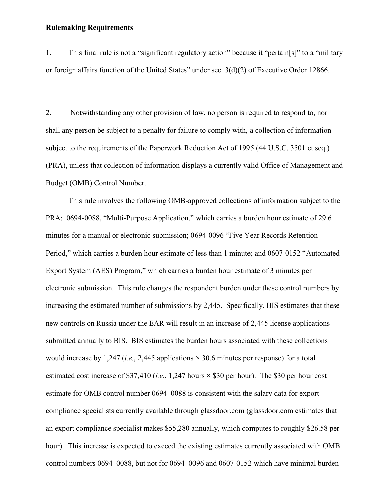## **Rulemaking Requirements**

1. This final rule is not a "significant regulatory action" because it "pertain[s]" to a "military or foreign affairs function of the United States" under sec. 3(d)(2) of Executive Order 12866.

2. Notwithstanding any other provision of law, no person is required to respond to, nor shall any person be subject to a penalty for failure to comply with, a collection of information subject to the requirements of the Paperwork Reduction Act of 1995 (44 U.S.C. 3501 et seq.) (PRA), unless that collection of information displays a currently valid Office of Management and Budget (OMB) Control Number.

This rule involves the following OMB-approved collections of information subject to the PRA: 0694-0088, "Multi-Purpose Application," which carries a burden hour estimate of 29.6 minutes for a manual or electronic submission; 0694-0096 "Five Year Records Retention Period," which carries a burden hour estimate of less than 1 minute; and 0607-0152 "Automated Export System (AES) Program," which carries a burden hour estimate of 3 minutes per electronic submission. This rule changes the respondent burden under these control numbers by increasing the estimated number of submissions by 2,445. Specifically, BIS estimates that these new controls on Russia under the EAR will result in an increase of 2,445 license applications submitted annually to BIS. BIS estimates the burden hours associated with these collections would increase by 1,247 (*i.e.*, 2,445 applications × 30.6 minutes per response) for a total estimated cost increase of \$37,410 (*i.e.*, 1,247 hours × \$30 per hour). The \$30 per hour cost estimate for OMB control number 0694–0088 is consistent with the salary data for export compliance specialists currently available through glassdoor.com (glassdoor.com estimates that an export compliance specialist makes \$55,280 annually, which computes to roughly \$26.58 per hour). This increase is expected to exceed the existing estimates currently associated with OMB control numbers 0694–0088, but not for 0694–0096 and 0607-0152 which have minimal burden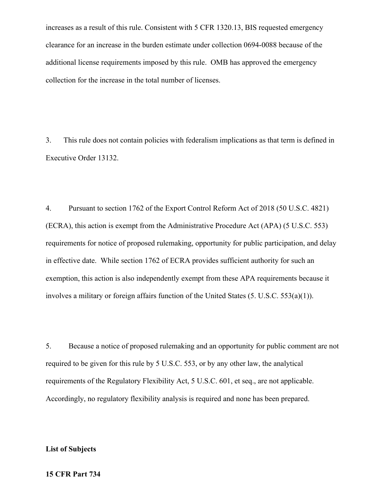increases as a result of this rule. Consistent with 5 CFR 1320.13, BIS requested emergency clearance for an increase in the burden estimate under collection 0694-0088 because of the additional license requirements imposed by this rule. OMB has approved the emergency collection for the increase in the total number of licenses.

3. This rule does not contain policies with federalism implications as that term is defined in Executive Order 13132.

4. Pursuant to section 1762 of the Export Control Reform Act of 2018 (50 U.S.C. 4821) (ECRA), this action is exempt from the Administrative Procedure Act (APA) (5 U.S.C. 553) requirements for notice of proposed rulemaking, opportunity for public participation, and delay in effective date. While section 1762 of ECRA provides sufficient authority for such an exemption, this action is also independently exempt from these APA requirements because it involves a military or foreign affairs function of the United States (5. U.S.C. 553(a)(1)).

5. Because a notice of proposed rulemaking and an opportunity for public comment are not required to be given for this rule by 5 U.S.C. 553, or by any other law, the analytical requirements of the Regulatory Flexibility Act, 5 U.S.C. 601, et seq., are not applicable. Accordingly, no regulatory flexibility analysis is required and none has been prepared.

## **List of Subjects**

#### **15 CFR Part 734**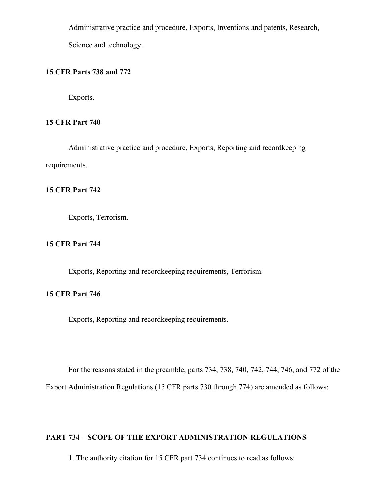Administrative practice and procedure, Exports, Inventions and patents, Research,

Science and technology.

# **15 CFR Parts 738 and 772**

Exports.

# **15 CFR Part 740**

Administrative practice and procedure, Exports, Reporting and recordkeeping requirements.

# **15 CFR Part 742**

Exports, Terrorism.

# **15 CFR Part 744**

Exports, Reporting and recordkeeping requirements, Terrorism.

# **15 CFR Part 746**

Exports, Reporting and recordkeeping requirements.

For the reasons stated in the preamble, parts 734, 738, 740, 742, 744, 746, and 772 of the

Export Administration Regulations (15 CFR parts 730 through 774) are amended as follows:

# **PART 734 – SCOPE OF THE EXPORT ADMINISTRATION REGULATIONS**

1. The authority citation for 15 CFR part 734 continues to read as follows: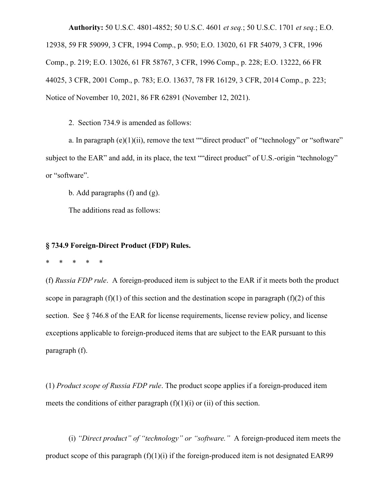**Authority:** 50 U.S.C. 4801-4852; 50 U.S.C. 4601 *et seq.*; 50 U.S.C. 1701 *et seq.*; E.O. 12938, 59 FR 59099, 3 CFR, 1994 Comp., p. 950; E.O. 13020, 61 FR 54079, 3 CFR, 1996 Comp., p. 219; E.O. 13026, 61 FR 58767, 3 CFR, 1996 Comp., p. 228; E.O. 13222, 66 FR 44025, 3 CFR, 2001 Comp., p. 783; E.O. 13637, 78 FR 16129, 3 CFR, 2014 Comp., p. 223; Notice of November 10, 2021, 86 FR 62891 (November 12, 2021).

2. Section 734.9 is amended as follows:

a. In paragraph  $(e)(1)(ii)$ , remove the text ""direct product" of "technology" or "software" subject to the EAR" and add, in its place, the text ""direct product" of U.S.-origin "technology" or "software".

b. Add paragraphs (f) and (g).

The additions read as follows:

# **§ 734.9 Foreign-Direct Product (FDP) Rules.**

\* \* \* \* \*

(f) *Russia FDP rule*.A foreign-produced item is subject to the EAR if it meets both the product scope in paragraph  $(f)(1)$  of this section and the destination scope in paragraph  $(f)(2)$  of this section. See § 746.8 of the EAR for license requirements, license review policy, and license exceptions applicable to foreign-produced items that are subject to the EAR pursuant to this paragraph (f).

(1) *Product scope of Russia FDP rule*. The product scope applies if a foreign-produced item meets the conditions of either paragraph  $(f)(1)(i)$  or  $(ii)$  of this section.

(i) *"Direct product" of "technology" or "software."* A foreign-produced item meets the product scope of this paragraph  $(f)(1)(i)$  if the foreign-produced item is not designated EAR99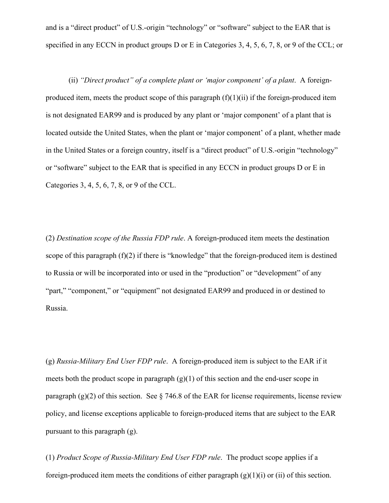and is a "direct product" of U.S.-origin "technology" or "software" subject to the EAR that is specified in any ECCN in product groups D or E in Categories 3, 4, 5, 6, 7, 8, or 9 of the CCL; or

(ii) *"Direct product" of a complete plant or 'major component' of a plant*. A foreignproduced item, meets the product scope of this paragraph  $(f)(1)(ii)$  if the foreign-produced item is not designated EAR99 and is produced by any plant or 'major component' of a plant that is located outside the United States, when the plant or 'major component' of a plant, whether made in the United States or a foreign country, itself is a "direct product" of U.S.-origin "technology" or "software" subject to the EAR that is specified in any ECCN in product groups D or E in Categories 3, 4, 5, 6, 7, 8, or 9 of the CCL.

(2) *Destination scope of the Russia FDP rule*. A foreign-produced item meets the destination scope of this paragraph (f)(2) if there is "knowledge" that the foreign-produced item is destined to Russia or will be incorporated into or used in the "production" or "development" of any "part," "component," or "equipment" not designated EAR99 and produced in or destined to Russia.

(g) *Russia-Military End User FDP rule*.A foreign-produced item is subject to the EAR if it meets both the product scope in paragraph  $(g)(1)$  of this section and the end-user scope in paragraph  $(g)(2)$  of this section. See § 746.8 of the EAR for license requirements, license review policy, and license exceptions applicable to foreign-produced items that are subject to the EAR pursuant to this paragraph (g).

(1) *Product Scope of Russia-Military End User FDP rule*. The product scope applies if a foreign-produced item meets the conditions of either paragraph  $(g)(1)(i)$  or (ii) of this section.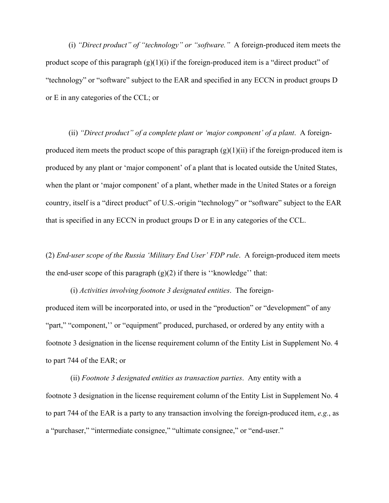(i) *"Direct product" of "technology" or "software."* A foreign-produced item meets the product scope of this paragraph  $(g)(1)(i)$  if the foreign-produced item is a "direct product" of "technology" or "software" subject to the EAR and specified in any ECCN in product groups D or E in any categories of the CCL; or

(ii) *"Direct product" of a complete plant or 'major component' of a plant*. A foreignproduced item meets the product scope of this paragraph  $(g)(1)(ii)$  if the foreign-produced item is produced by any plant or 'major component' of a plant that is located outside the United States, when the plant or 'major component' of a plant, whether made in the United States or a foreign country, itself is a "direct product" of U.S.-origin "technology" or "software" subject to the EAR that is specified in any ECCN in product groups D or E in any categories of the CCL.

(2) *End-user scope of the Russia 'Military End User' FDP rule*. A foreign-produced item meets the end-user scope of this paragraph  $(g)(2)$  if there is "knowledge" that:

 (i) *Activities involving footnote 3 designated entities*. The foreignproduced item will be incorporated into, or used in the "production" or "development" of any "part," "component," or "equipment" produced, purchased, or ordered by any entity with a footnote 3 designation in the license requirement column of the Entity List in Supplement No. 4 to part 744 of the EAR; or

 (ii) *Footnote 3 designated entities as transaction parties*. Any entity with a footnote 3 designation in the license requirement column of the Entity List in Supplement No. 4 to part 744 of the EAR is a party to any transaction involving the foreign-produced item, *e.g.*, as a "purchaser," "intermediate consignee," "ultimate consignee," or "end-user."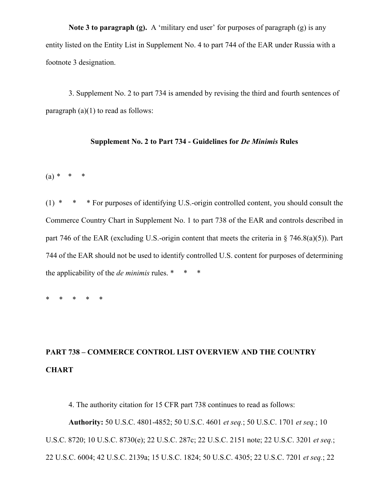**Note 3 to paragraph (g).** A 'military end user' for purposes of paragraph (g) is any entity listed on the Entity List in Supplement No. 4 to part 744 of the EAR under Russia with a footnote 3 designation.

3. Supplement No. 2 to part 734 is amended by revising the third and fourth sentences of paragraph  $(a)(1)$  to read as follows:

## **Supplement No. 2 to Part 734 - Guidelines for** *De Minimis* **Rules**

(a) *\* \* \** 

(1) \* \* \* For purposes of identifying U.S.-origin controlled content, you should consult the Commerce Country Chart in Supplement No. 1 to part 738 of the EAR and controls described in part 746 of the EAR (excluding U.S.-origin content that meets the criteria in  $\S$  746.8(a)(5)). Part 744 of the EAR should not be used to identify controlled U.S. content for purposes of determining the applicability of the *de minimis* rules. \* \* \*

\* \* \* \* \*

# **PART 738 – COMMERCE CONTROL LIST OVERVIEW AND THE COUNTRY CHART**

4. The authority citation for 15 CFR part 738 continues to read as follows:

**Authority:** 50 U.S.C. 4801-4852; 50 U.S.C. 4601 *et seq.*; 50 U.S.C. 1701 *et seq.*; 10 U.S.C. 8720; 10 U.S.C. 8730(e); 22 U.S.C. 287c; 22 U.S.C. 2151 note; 22 U.S.C. 3201 *et seq.*; 22 U.S.C. 6004; 42 U.S.C. 2139a; 15 U.S.C. 1824; 50 U.S.C. 4305; 22 U.S.C. 7201 *et seq.*; 22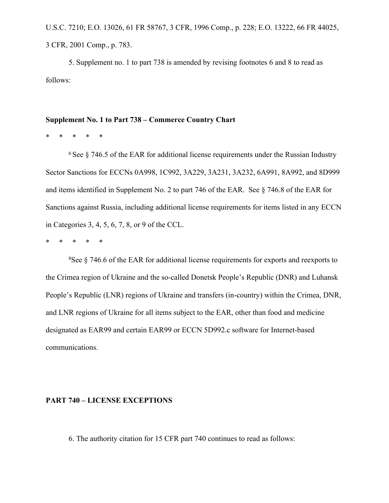U.S.C. 7210; E.O. 13026, 61 FR 58767, 3 CFR, 1996 Comp., p. 228; E.O. 13222, 66 FR 44025, 3 CFR, 2001 Comp., p. 783.

5. Supplement no. 1 to part 738 is amended by revising footnotes 6 and 8 to read as follows:

## **Supplement No. 1 to Part 738 – Commerce Country Chart**

\* \* \* \* \*

 $6$  See  $8$  746.5 of the EAR for additional license requirements under the Russian Industry Sector Sanctions for ECCNs 0A998, 1C992, 3A229, 3A231, 3A232, 6A991, 8A992, and 8D999 and items identified in Supplement No. 2 to part 746 of the EAR. See § 746.8 of the EAR for Sanctions against Russia, including additional license requirements for items listed in any ECCN in Categories 3, 4, 5, 6, 7, 8, or 9 of the CCL.

\* \* \* \* \*

<sup>8</sup>See § 746.6 of the EAR for additional license requirements for exports and reexports to the Crimea region of Ukraine and the so-called Donetsk People's Republic (DNR) and Luhansk People's Republic (LNR) regions of Ukraine and transfers (in-country) within the Crimea, DNR, and LNR regions of Ukraine for all items subject to the EAR, other than food and medicine designated as EAR99 and certain EAR99 or ECCN 5D992.c software for Internet-based communications.

#### **PART 740 – LICENSE EXCEPTIONS**

6. The authority citation for 15 CFR part 740 continues to read as follows: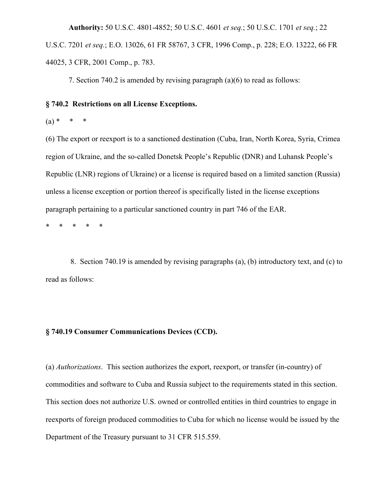**Authority:** 50 U.S.C. 4801-4852; 50 U.S.C. 4601 *et seq.*; 50 U.S.C. 1701 *et seq.*; 22 U.S.C. 7201 *et seq.*; E.O. 13026, 61 FR 58767, 3 CFR, 1996 Comp., p. 228; E.O. 13222, 66 FR 44025, 3 CFR, 2001 Comp., p. 783.

7. Section 740.2 is amended by revising paragraph (a)(6) to read as follows:

## **§ 740.2 Restrictions on all License Exceptions.**

 $(a) * * *$ 

(6) The export or reexport is to a sanctioned destination (Cuba, Iran, North Korea, Syria, Crimea region of Ukraine, and the so-called Donetsk People's Republic (DNR) and Luhansk People's Republic (LNR) regions of Ukraine) or a license is required based on a limited sanction (Russia) unless a license exception or portion thereof is specifically listed in the license exceptions paragraph pertaining to a particular sanctioned country in part 746 of the EAR.

\* \* \* \* \*

 8. Section 740.19 is amended by revising paragraphs (a), (b) introductory text, and (c) to read as follows:

## **§ 740.19 Consumer Communications Devices (CCD).**

(a) *Authorizations*. This section authorizes the export, reexport, or transfer (in-country) of commodities and software to Cuba and Russia subject to the requirements stated in this section. This section does not authorize U.S. owned or controlled entities in third countries to engage in reexports of foreign produced commodities to Cuba for which no license would be issued by the Department of the Treasury pursuant to 31 CFR 515.559.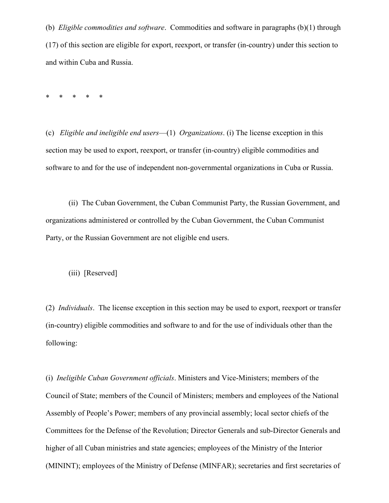(b) *Eligible commodities and software*. Commodities and software in paragraphs (b)(1) through (17) of this section are eligible for export, reexport, or transfer (in-country) under this section to and within Cuba and Russia.

\* \* \* \* \*

(c) *Eligible and ineligible end users*—(1) *Organizations*. (i) The license exception in this section may be used to export, reexport, or transfer (in-country) eligible commodities and software to and for the use of independent non-governmental organizations in Cuba or Russia.

(ii) The Cuban Government, the Cuban Communist Party, the Russian Government, and organizations administered or controlled by the Cuban Government, the Cuban Communist Party, or the Russian Government are not eligible end users.

(iii) [Reserved]

(2) *Individuals*. The license exception in this section may be used to export, reexport or transfer (in-country) eligible commodities and software to and for the use of individuals other than the following:

(i) *Ineligible Cuban Government officials*. Ministers and Vice-Ministers; members of the Council of State; members of the Council of Ministers; members and employees of the National Assembly of People's Power; members of any provincial assembly; local sector chiefs of the Committees for the Defense of the Revolution; Director Generals and sub-Director Generals and higher of all Cuban ministries and state agencies; employees of the Ministry of the Interior (MININT); employees of the Ministry of Defense (MINFAR); secretaries and first secretaries of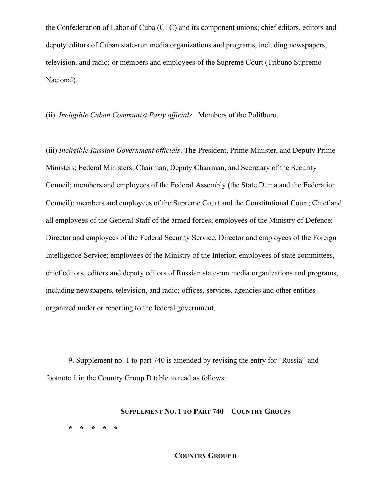the Confederation of Labor of Cuba (CTC) and its component unions; chief editors, editors and deputy editors of Cuban state-run media organizations and programs, including newspapers, television, and radio; or members and employees of the Supreme Court (Tribuno Supremo Nacional).

(ii) *Ineligible Cuban Communist Party officials*. Members of the Politburo.

(iii) *Ineligible Russian Government officials*. The President, Prime Minister, and Deputy Prime Ministers; Federal Ministers; Chairman, Deputy Chairman, and Secretary of the Security Council; members and employees of the Federal Assembly (the State Duma and the Federation Council); members and employees of the Supreme Court and the Constitutional Court; Chief and all employees of the General Staff of the armed forces; employees of the Ministry of Defence; Director and employees of the Federal Security Service, Director and employees of the Foreign Intelligence Service; employees of the Ministry of the Interior; employees of state committees, chief editors, editors and deputy editors of Russian state-run media organizations and programs, including newspapers, television, and radio; offices, services, agencies and other entities organized under or reporting to the federal government.

9. Supplement no. 1 to part 740 is amended by revising the entry for "Russia" and footnote 1 in the Country Group D table to read as follows:

#### **SUPPLEMENT NO. 1 TO PART 740—COUNTRY GROUPS**

**\* \* \* \* \***

## **COUNTRY GROUP D**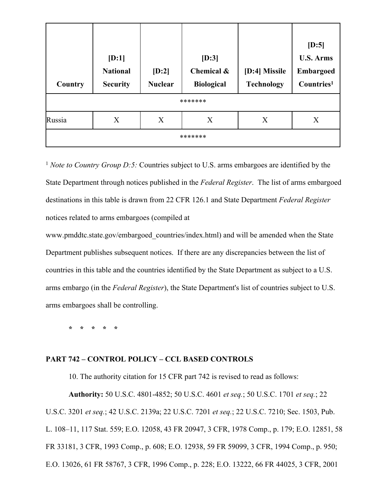| Country | [D:1]<br><b>National</b><br><b>Security</b> | [D:2]<br><b>Nuclear</b> | $[D:3]$<br>Chemical &<br><b>Biological</b> | [D:4] Missile<br><b>Technology</b> | $[D:5]$<br><b>U.S. Arms</b><br>Embargoed<br>Countries <sup>1</sup> |  |
|---------|---------------------------------------------|-------------------------|--------------------------------------------|------------------------------------|--------------------------------------------------------------------|--|
|         | *******                                     |                         |                                            |                                    |                                                                    |  |
| Russia  | X                                           | X                       | X                                          | X                                  | X                                                                  |  |
| ******* |                                             |                         |                                            |                                    |                                                                    |  |

<sup>1</sup> *Note to Country Group D:5:* Countries subject to U.S. arms embargoes are identified by the State Department through notices published in the *Federal Register*. The list of arms embargoed destinations in this table is drawn from 22 CFR 126.1 and State Department *Federal Register* notices related to arms embargoes (compiled at

www.pmddtc.state.gov/embargoed\_countries/index.html) and will be amended when the State Department publishes subsequent notices. If there are any discrepancies between the list of countries in this table and the countries identified by the State Department as subject to a U.S. arms embargo (in the *Federal Register*), the State Department's list of countries subject to U.S. arms embargoes shall be controlling.

**\* \* \* \* \***

## **PART 742 – CONTROL POLICY – CCL BASED CONTROLS**

**Authority:** 50 U.S.C. 4801-4852; 50 U.S.C. 4601 *et seq.*; 50 U.S.C. 1701 *et seq.*; 22 U.S.C. 3201 *et seq.*; 42 U.S.C. 2139a; 22 U.S.C. 7201 *et seq.*; 22 U.S.C. 7210; Sec. 1503, Pub. L. 108–11, 117 Stat. 559; E.O. 12058, 43 FR 20947, 3 CFR, 1978 Comp., p. 179; E.O. 12851, 58 FR 33181, 3 CFR, 1993 Comp., p. 608; E.O. 12938, 59 FR 59099, 3 CFR, 1994 Comp., p. 950; E.O. 13026, 61 FR 58767, 3 CFR, 1996 Comp., p. 228; E.O. 13222, 66 FR 44025, 3 CFR, 2001

10. The authority citation for 15 CFR part 742 is revised to read as follows: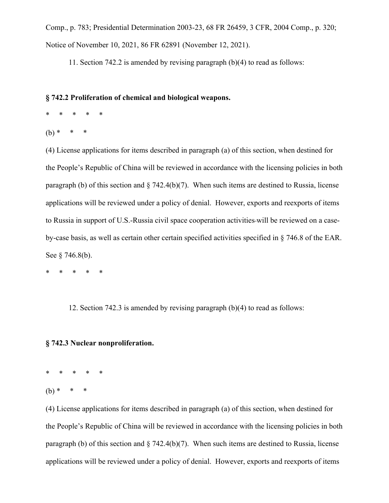Comp., p. 783; Presidential Determination 2003-23, 68 FR 26459, 3 CFR, 2004 Comp., p. 320; Notice of November 10, 2021, 86 FR 62891 (November 12, 2021).

11. Section 742.2 is amended by revising paragraph (b)(4) to read as follows:

## **§ 742.2 Proliferation of chemical and biological weapons.**

- \* \* \* \* \*
- $(b)$  \*

(4) License applications for items described in paragraph (a) of this section, when destined for the People's Republic of China will be reviewed in accordance with the licensing policies in both paragraph (b) of this section and  $\S$  742.4(b)(7). When such items are destined to Russia, license applications will be reviewed under a policy of denial. However, exports and reexports of items to Russia in support of U.S.-Russia civil space cooperation activities will be reviewed on a caseby-case basis, as well as certain other certain specified activities specified in § 746.8 of the EAR. See § 746.8(b).

\* \* \* \* \*

12. Section 742.3 is amended by revising paragraph (b)(4) to read as follows:

# **§ 742.3 Nuclear nonproliferation.**

\* \* \* \* \*

 $(h)$  \*

(4) License applications for items described in paragraph (a) of this section, when destined for the People's Republic of China will be reviewed in accordance with the licensing policies in both paragraph (b) of this section and  $\S$  742.4(b)(7). When such items are destined to Russia, license applications will be reviewed under a policy of denial. However, exports and reexports of items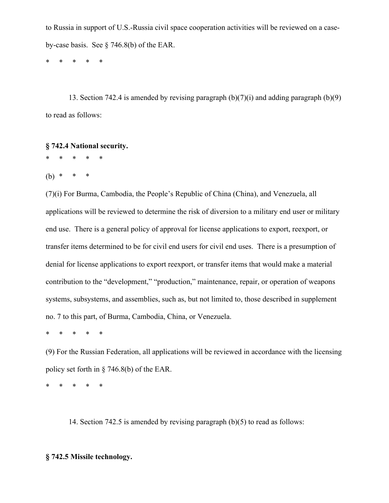to Russia in support of U.S.-Russia civil space cooperation activities will be reviewed on a caseby-case basis. See § 746.8(b) of the EAR.

\* \* \* \* \*

13. Section 742.4 is amended by revising paragraph  $(b)(7)(i)$  and adding paragraph  $(b)(9)$ to read as follows:

## **§ 742.4 National security.**

\* \* \* \* \*

(b) *\* \* \** 

(7)(i) For Burma, Cambodia, the People's Republic of China (China), and Venezuela, all applications will be reviewed to determine the risk of diversion to a military end user or military end use. There is a general policy of approval for license applications to export, reexport, or transfer items determined to be for civil end users for civil end uses. There is a presumption of denial for license applications to export reexport, or transfer items that would make a material contribution to the "development," "production," maintenance, repair, or operation of weapons systems, subsystems, and assemblies, such as, but not limited to, those described in supplement no. 7 to this part, of Burma, Cambodia, China, or Venezuela.

\* \* \* \* \*

(9) For the Russian Federation, all applications will be reviewed in accordance with the licensing policy set forth in § 746.8(b) of the EAR.

\* \* \* \* \*

14. Section 742.5 is amended by revising paragraph (b)(5) to read as follows:

## **§ 742.5 Missile technology.**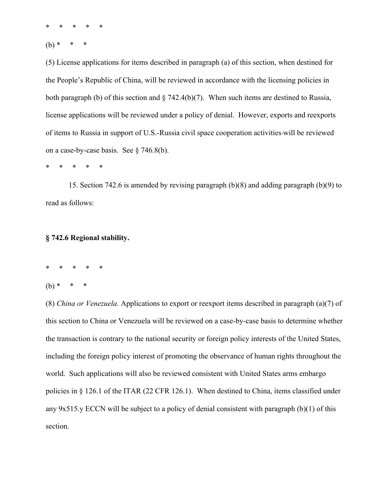\* \* \* \* \*

 $(b)$  \*

(5) License applications for items described in paragraph (a) of this section, when destined for the People's Republic of China, will be reviewed in accordance with the licensing policies in both paragraph (b) of this section and  $\S$  742.4(b)(7). When such items are destined to Russia, license applications will be reviewed under a policy of denial. However, exports and reexports of items to Russia in support of U.S.-Russia civil space cooperation activities will be reviewed on a case-by-case basis. See § 746.8(b).

\* \* \* \* \*

15. Section 742.6 is amended by revising paragraph (b)(8) and adding paragraph (b)(9) to read as follows:

## **§ 742.6 Regional stability.**

\* \* \* \* \*

 $(b) *$ 

(8) *China or Venezuela.* Applications to export or reexport items described in paragraph (a)(7) of this section to China or Venezuela will be reviewed on a case-by-case basis to determine whether the transaction is contrary to the national security or foreign policy interests of the United States, including the foreign policy interest of promoting the observance of human rights throughout the world. Such applications will also be reviewed consistent with United States arms embargo policies in § 126.1 of the ITAR (22 CFR 126.1). When destined to China, items classified under any 9x515.y ECCN will be subject to a policy of denial consistent with paragraph (b)(1) of this section.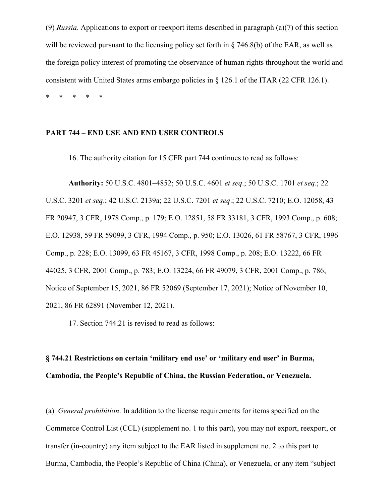(9) *Russia*. Applications to export or reexport items described in paragraph (a)(7) of this section will be reviewed pursuant to the licensing policy set forth in § 746.8(b) of the EAR, as well as the foreign policy interest of promoting the observance of human rights throughout the world and consistent with United States arms embargo policies in § 126.1 of the ITAR (22 CFR 126.1).

\* \* \* \* \*

# **PART 744 – END USE AND END USER CONTROLS**

16. The authority citation for 15 CFR part 744 continues to read as follows:

**Authority:** 50 U.S.C. 4801–4852; 50 U.S.C. 4601 *et seq*.; 50 U.S.C. 1701 *et seq*.; 22 U.S.C. 3201 *et seq*.; 42 U.S.C. 2139a; 22 U.S.C. 7201 *et seq*.; 22 U.S.C. 7210; E.O. 12058, 43 FR 20947, 3 CFR, 1978 Comp., p. 179; E.O. 12851, 58 FR 33181, 3 CFR, 1993 Comp., p. 608; E.O. 12938, 59 FR 59099, 3 CFR, 1994 Comp., p. 950; E.O. 13026, 61 FR 58767, 3 CFR, 1996 Comp., p. 228; E.O. 13099, 63 FR 45167, 3 CFR, 1998 Comp., p. 208; E.O. 13222, 66 FR 44025, 3 CFR, 2001 Comp., p. 783; E.O. 13224, 66 FR 49079, 3 CFR, 2001 Comp., p. 786; Notice of September 15, 2021, 86 FR 52069 (September 17, 2021); Notice of November 10, 2021, 86 FR 62891 (November 12, 2021).

17. Section 744.21 is revised to read as follows:

# **§ 744.21 Restrictions on certain 'military end use' or 'military end user' in Burma, Cambodia, the People's Republic of China, the Russian Federation, or Venezuela.**

(a) *General prohibition*. In addition to the license requirements for items specified on the Commerce Control List (CCL) (supplement no. 1 to this part), you may not export, reexport, or transfer (in-country) any item subject to the EAR listed in supplement no. 2 to this part to Burma, Cambodia, the People's Republic of China (China), or Venezuela, or any item "subject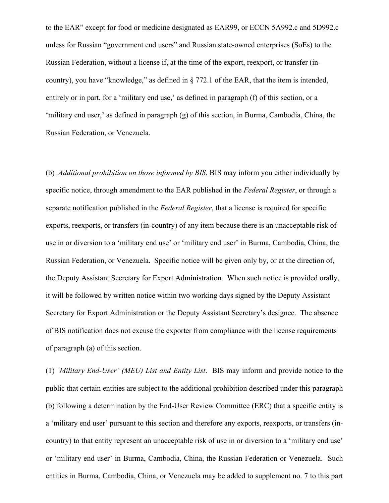to the EAR" except for food or medicine designated as EAR99, or ECCN 5A992.c and 5D992.c unless for Russian "government end users" and Russian state-owned enterprises (SoEs) to the Russian Federation, without a license if, at the time of the export, reexport, or transfer (incountry), you have "knowledge," as defined in § 772.1 of the EAR, that the item is intended, entirely or in part, for a 'military end use,' as defined in paragraph (f) of this section, or a 'military end user,' as defined in paragraph (g) of this section, in Burma, Cambodia, China, the Russian Federation, or Venezuela.

(b) *Additional prohibition on those informed by BIS*. BIS may inform you either individually by specific notice, through amendment to the EAR published in the *Federal Register*, or through a separate notification published in the *Federal Register*, that a license is required for specific exports, reexports, or transfers (in-country) of any item because there is an unacceptable risk of use in or diversion to a 'military end use' or 'military end user' in Burma, Cambodia, China, the Russian Federation, or Venezuela. Specific notice will be given only by, or at the direction of, the Deputy Assistant Secretary for Export Administration. When such notice is provided orally, it will be followed by written notice within two working days signed by the Deputy Assistant Secretary for Export Administration or the Deputy Assistant Secretary's designee. The absence of BIS notification does not excuse the exporter from compliance with the license requirements of paragraph (a) of this section.

(1) *'Military End-User' (MEU) List and Entity List*. BIS may inform and provide notice to the public that certain entities are subject to the additional prohibition described under this paragraph (b) following a determination by the End-User Review Committee (ERC) that a specific entity is a 'military end user' pursuant to this section and therefore any exports, reexports, or transfers (incountry) to that entity represent an unacceptable risk of use in or diversion to a 'military end use' or 'military end user' in Burma, Cambodia, China, the Russian Federation or Venezuela. Such entities in Burma, Cambodia, China, or Venezuela may be added to supplement no. 7 to this part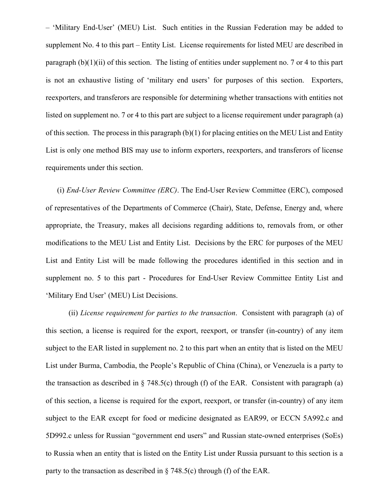– 'Military End-User' (MEU) List. Such entities in the Russian Federation may be added to supplement No. 4 to this part – Entity List. License requirements for listed MEU are described in paragraph (b)(1)(ii) of this section. The listing of entities under supplement no. 7 or 4 to this part is not an exhaustive listing of 'military end users' for purposes of this section. Exporters, reexporters, and transferors are responsible for determining whether transactions with entities not listed on supplement no. 7 or 4 to this part are subject to a license requirement under paragraph (a) of this section. The process in this paragraph (b)(1) for placing entities on the MEU List and Entity List is only one method BIS may use to inform exporters, reexporters, and transferors of license requirements under this section.

(i) *End-User Review Committee (ERC)*. The End-User Review Committee (ERC), composed of representatives of the Departments of Commerce (Chair), State, Defense, Energy and, where appropriate, the Treasury, makes all decisions regarding additions to, removals from, or other modifications to the MEU List and Entity List. Decisions by the ERC for purposes of the MEU List and Entity List will be made following the procedures identified in this section and in supplement no. 5 to this part - Procedures for End-User Review Committee Entity List and 'Military End User' (MEU) List Decisions.

(ii) *License requirement for parties to the transaction*. Consistent with paragraph (a) of this section, a license is required for the export, reexport, or transfer (in-country) of any item subject to the EAR listed in supplement no. 2 to this part when an entity that is listed on the MEU List under Burma, Cambodia, the People's Republic of China (China), or Venezuela is a party to the transaction as described in  $\S$  748.5(c) through (f) of the EAR. Consistent with paragraph (a) of this section, a license is required for the export, reexport, or transfer (in-country) of any item subject to the EAR except for food or medicine designated as EAR99, or ECCN 5A992.c and 5D992.c unless for Russian "government end users" and Russian state-owned enterprises (SoEs) to Russia when an entity that is listed on the Entity List under Russia pursuant to this section is a party to the transaction as described in § 748.5(c) through (f) of the EAR.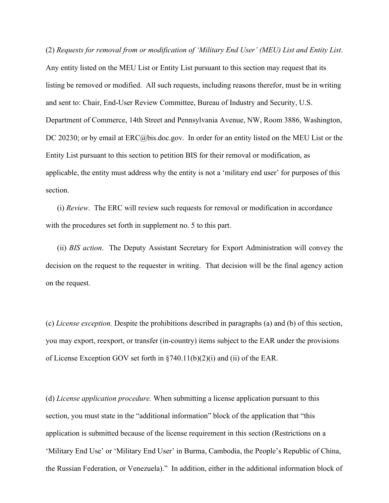(2) *Requests for removal from or modification of 'Military End User' (MEU) List and Entity List*. Any entity listed on the MEU List or Entity List pursuant to this section may request that its listing be removed or modified. All such requests, including reasons therefor, must be in writing and sent to: Chair, End-User Review Committee, Bureau of Industry and Security, U.S. Department of Commerce, 14th Street and Pennsylvania Avenue, NW, Room 3886, Washington, DC 20230; or by email at ERC@bis.doc.gov. In order for an entity listed on the MEU List or the Entity List pursuant to this section to petition BIS for their removal or modification, as applicable, the entity must address why the entity is not a 'military end user' for purposes of this section.

(i) *Review*. The ERC will review such requests for removal or modification in accordance with the procedures set forth in supplement no. 5 to this part.

(ii) *BIS action*. The Deputy Assistant Secretary for Export Administration will convey the decision on the request to the requester in writing. That decision will be the final agency action on the request.

(c) *License exception.* Despite the prohibitions described in paragraphs (a) and (b) of this section, you may export, reexport, or transfer (in-country) items subject to the EAR under the provisions of License Exception GOV set forth in §740.11(b)(2)(i) and (ii) of the EAR.

(d) *License application procedure.* When submitting a license application pursuant to this section, you must state in the "additional information" block of the application that "this application is submitted because of the license requirement in this section (Restrictions on a 'Military End Use' or 'Military End User' in Burma, Cambodia, the People's Republic of China, the Russian Federation, or Venezuela)." In addition, either in the additional information block of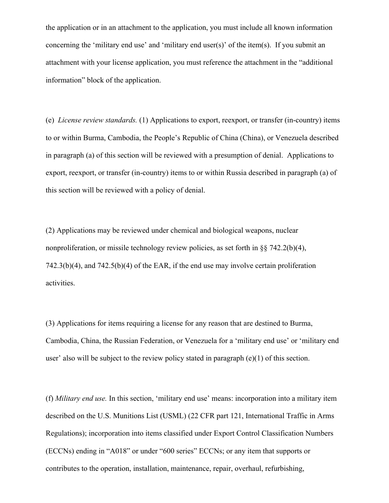the application or in an attachment to the application, you must include all known information concerning the 'military end use' and 'military end user(s)' of the item(s). If you submit an attachment with your license application, you must reference the attachment in the "additional information" block of the application.

(e) *License review standards.* (1) Applications to export, reexport, or transfer (in-country) items to or within Burma, Cambodia, the People's Republic of China (China), or Venezuela described in paragraph (a) of this section will be reviewed with a presumption of denial. Applications to export, reexport, or transfer (in-country) items to or within Russia described in paragraph (a) of this section will be reviewed with a policy of denial.

(2) Applications may be reviewed under chemical and biological weapons, nuclear nonproliferation, or missile technology review policies, as set forth in §§ 742.2(b)(4), 742.3(b)(4), and 742.5(b)(4) of the EAR, if the end use may involve certain proliferation activities.

(3) Applications for items requiring a license for any reason that are destined to Burma, Cambodia, China, the Russian Federation, or Venezuela for a 'military end use' or 'military end user' also will be subject to the review policy stated in paragraph (e)(1) of this section.

(f) *Military end use.* In this section, 'military end use' means: incorporation into a military item described on the U.S. Munitions List (USML) (22 CFR part 121, International Traffic in Arms Regulations); incorporation into items classified under Export Control Classification Numbers (ECCNs) ending in "A018" or under "600 series" ECCNs; or any item that supports or contributes to the operation, installation, maintenance, repair, overhaul, refurbishing,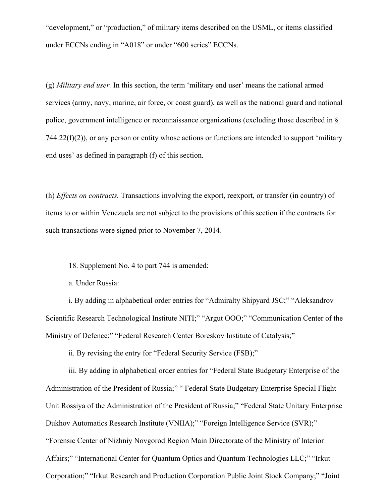"development," or "production," of military items described on the USML, or items classified under ECCNs ending in "A018" or under "600 series" ECCNs.

(g) *Military end user.* In this section, the term 'military end user' means the national armed services (army, navy, marine, air force, or coast guard), as well as the national guard and national police, government intelligence or reconnaissance organizations (excluding those described in §  $744.22(f)(2)$ , or any person or entity whose actions or functions are intended to support 'military end uses' as defined in paragraph (f) of this section.

(h) *Effects on contracts.* Transactions involving the export, reexport, or transfer (in country) of items to or within Venezuela are not subject to the provisions of this section if the contracts for such transactions were signed prior to November 7, 2014.

18. Supplement No. 4 to part 744 is amended:

a. Under Russia:

i. By adding in alphabetical order entries for "Admiralty Shipyard JSC;" "Aleksandrov Scientific Research Technological Institute NITI;" "Argut OOO;" "Communication Center of the Ministry of Defence;" "Federal Research Center Boreskov Institute of Catalysis;"

ii. By revising the entry for "Federal Security Service (FSB);"

iii. By adding in alphabetical order entries for "Federal State Budgetary Enterprise of the Administration of the President of Russia;" " Federal State Budgetary Enterprise Special Flight Unit Rossiya of the Administration of the President of Russia;" "Federal State Unitary Enterprise Dukhov Automatics Research Institute (VNIIA);" "Foreign Intelligence Service (SVR);" "Forensic Center of Nizhniy Novgorod Region Main Directorate of the Ministry of Interior Affairs;" "International Center for Quantum Optics and Quantum Technologies LLC;" "Irkut Corporation;" "Irkut Research and Production Corporation Public Joint Stock Company;" "Joint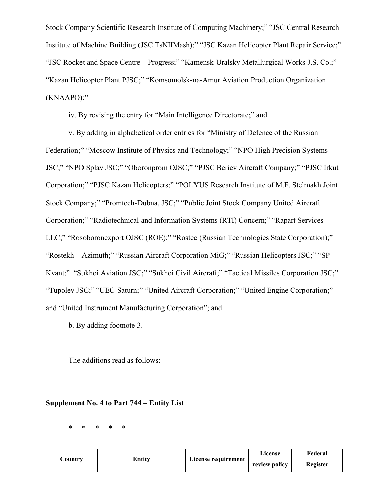Stock Company Scientific Research Institute of Computing Machinery;" "JSC Central Research Institute of Machine Building (JSC TsNIIMash);" "JSC Kazan Helicopter Plant Repair Service;" "JSC Rocket and Space Centre – Progress;" "Kamensk-Uralsky Metallurgical Works J.S. Co.;" "Kazan Helicopter Plant PJSC;" "Komsomolsk-na-Amur Aviation Production Organization (KNAAPO);"

iv. By revising the entry for "Main Intelligence Directorate;" and

v. By adding in alphabetical order entries for "Ministry of Defence of the Russian Federation;" "Moscow Institute of Physics and Technology;" "NPO High Precision Systems JSC;" "NPO Splav JSC;" "Oboronprom OJSC;" "PJSC Beriev Aircraft Company;" "PJSC Irkut Corporation;" "PJSC Kazan Helicopters;" "POLYUS Research Institute of M.F. Stelmakh Joint Stock Company;" "Promtech-Dubna, JSC;" "Public Joint Stock Company United Aircraft Corporation;" "Radiotechnical and Information Systems (RTI) Concern;" "Rapart Services LLC;" "Rosoboronexport OJSC (ROE);" "Rostec (Russian Technologies State Corporation);" "Rostekh – Azimuth;" "Russian Aircraft Corporation MiG;" "Russian Helicopters JSC;" "SP Kvant;" "Sukhoi Aviation JSC;" "Sukhoi Civil Aircraft;" "Tactical Missiles Corporation JSC;" "Tupolev JSC;" "UEC-Saturn;" "United Aircraft Corporation;" "United Engine Corporation;" and "United Instrument Manufacturing Corporation"; and

b. By adding footnote 3.

The additions read as follows:

## **Supplement No. 4 to Part 744 – Entity List**

\* \* \* \* \*

|         |        |                     | License       | Federal  |
|---------|--------|---------------------|---------------|----------|
| Country | Entitv | License requirement | review policy | Register |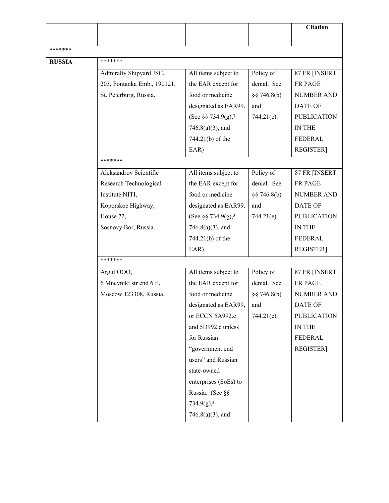|               |                             |                                |                 | <b>Citation</b>    |
|---------------|-----------------------------|--------------------------------|-----------------|--------------------|
|               |                             |                                |                 |                    |
| *******       |                             |                                |                 |                    |
| <b>RUSSIA</b> | *******                     |                                |                 |                    |
|               | Admiralty Shipyard JSC,     | All items subject to           | Policy of       | 87 FR [INSERT      |
|               | 203, Fontanka Emb., 190121, | the EAR except for             | denial. See     | FR PAGE            |
|               | St. Peterburg, Russia.      | food or medicine               | $\S$ § 746.8(b) | <b>NUMBER AND</b>  |
|               |                             | designated as EAR99.           | and             | <b>DATE OF</b>     |
|               |                             | (See §§ 734.9(g), <sup>3</sup> | $744.21(e)$ .   | <b>PUBLICATION</b> |
|               |                             | $746.8(a)(3)$ , and            |                 | IN THE             |
|               |                             | 744.21(b) of the               |                 | FEDERAL            |
|               |                             | EAR)                           |                 | REGISTER].         |
|               | *******                     |                                |                 |                    |
|               | Aleksandrov Scientific      | All items subject to           | Policy of       | 87 FR [INSERT      |
|               | Research Technological      | the EAR except for             | denial. See     | <b>FR PAGE</b>     |
|               | Institute NITI,             | food or medicine               | $\S$ § 746.8(b) | <b>NUMBER AND</b>  |
|               | Koporskoe Highway,          | designated as EAR99.           | and             | <b>DATE OF</b>     |
|               | House 72,                   | (See §§ 734.9(g), <sup>3</sup> | $744.21(e)$ .   | <b>PUBLICATION</b> |
|               | Sosnovy Bor, Russia.        | $746.8(a)(3)$ , and            |                 | IN THE             |
|               |                             | 744.21(b) of the               |                 | FEDERAL            |
|               |                             | EAR)                           |                 | REGISTER].         |
|               | *******                     |                                |                 |                    |
|               | Argut OOO,                  | All items subject to           | Policy of       | 87 FR [INSERT      |
|               | 6 Mnevniki str end 6 fl,    | the EAR except for             | denial. See     | FR PAGE            |
|               | Moscow 123308, Russia.      | food or medicine               | $\S$ § 746.8(b) | <b>NUMBER AND</b>  |
|               |                             | designated as EAR99.           | and             | DATE OF            |
|               |                             | or ECCN 5A992.c                | $744.21(e)$ .   | <b>PUBLICATION</b> |
|               |                             | and 5D992.c unless             |                 | IN THE             |
|               |                             | for Russian                    |                 | <b>FEDERAL</b>     |
|               |                             | "government end                |                 | REGISTER].         |
|               |                             | users" and Russian             |                 |                    |
|               |                             | state-owned                    |                 |                    |
|               |                             | enterprises (SoEs) to          |                 |                    |
|               |                             | Russia. (See §§                |                 |                    |
|               |                             | 734.9(g), <sup>3</sup>         |                 |                    |
|               |                             | $746.8(a)(3)$ , and            |                 |                    |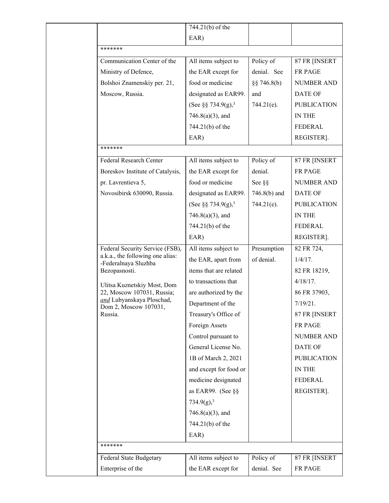|                                                           | 744.21(b) of the               |                |                    |
|-----------------------------------------------------------|--------------------------------|----------------|--------------------|
|                                                           | EAR)                           |                |                    |
| *******                                                   |                                |                |                    |
| Communication Center of the                               | All items subject to           | Policy of      | 87 FR [INSERT      |
| Ministry of Defence,                                      | the EAR except for             | denial. See    | FR PAGE            |
| Bolshoi Znamenskiy per. 21,                               | food or medicine               | $\S$ 746.8(b)  | <b>NUMBER AND</b>  |
| Moscow, Russia.                                           | designated as EAR99.           | and            | DATE OF            |
|                                                           | (See §§ 734.9(g), <sup>3</sup> | $744.21(e)$ .  | <b>PUBLICATION</b> |
|                                                           | $746.8(a)(3)$ , and            |                | <b>IN THE</b>      |
|                                                           | 744.21(b) of the               |                | <b>FEDERAL</b>     |
|                                                           | EAR)                           |                | REGISTER].         |
| *******                                                   |                                |                |                    |
| Federal Research Center                                   | All items subject to           | Policy of      | 87 FR [INSERT      |
| Boreskov Institute of Catalysis,                          | the EAR except for             | denial.        | FR PAGE            |
| pr. Lavrentieva 5,                                        | food or medicine               | See §§         | <b>NUMBER AND</b>  |
| Novosibirsk 630090, Russia.                               | designated as EAR99.           | $746.8(b)$ and | DATE OF            |
|                                                           | (See §§ 734.9(g), <sup>3</sup> | $744.21(e)$ .  | <b>PUBLICATION</b> |
|                                                           | $746.8(a)(3)$ , and            |                | <b>IN THE</b>      |
|                                                           | 744.21(b) of the               |                | <b>FEDERAL</b>     |
|                                                           | EAR)                           |                | REGISTER].         |
| Federal Security Service (FSB),                           | All items subject to           | Presumption    | 82 FR 724,         |
| a.k.a., the following one alias:                          | the EAR, apart from            | of denial.     | $1/4/17$ .         |
| -Federalnaya Sluzhba<br>Bezopasnosti.                     | items that are related         |                | 82 FR 18219,       |
|                                                           | to transactions that           |                | $4/18/17$ .        |
| Ulitsa Kuznetskiy Most, Dom<br>22, Moscow 107031, Russia; | are authorized by the          |                | 86 FR 37903,       |
| and Lubyanskaya Ploschad,                                 | Department of the              |                | 7/19/21.           |
| Dom 2, Moscow 107031,<br>Russia.                          | Treasury's Office of           |                | 87 FR [INSERT      |
|                                                           | Foreign Assets                 |                | FR PAGE            |
|                                                           | Control pursuant to            |                | <b>NUMBER AND</b>  |
|                                                           | General License No.            |                | DATE OF            |
|                                                           | 1B of March 2, 2021            |                | <b>PUBLICATION</b> |
|                                                           | and except for food or         |                | IN THE             |
|                                                           | medicine designated            |                | FEDERAL            |
|                                                           | as EAR99. (See $\S$ §          |                | REGISTER].         |
|                                                           | 734.9(g), <sup>3</sup>         |                |                    |
|                                                           | $746.8(a)(3)$ , and            |                |                    |
|                                                           | 744.21(b) of the               |                |                    |
|                                                           | EAR)                           |                |                    |
| *******                                                   |                                |                |                    |
| Federal State Budgetary                                   | All items subject to           | Policy of      | 87 FR [INSERT      |
| Enterprise of the                                         | the EAR except for             | denial. See    | FR PAGE            |
|                                                           |                                |                |                    |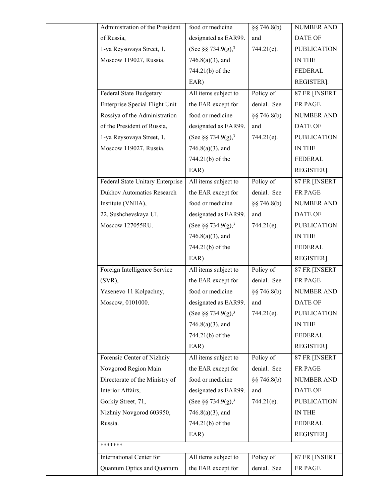| Administration of the President   | food or medicine               | §§ 746.8(b)   | <b>NUMBER AND</b>  |
|-----------------------------------|--------------------------------|---------------|--------------------|
| of Russia,                        | designated as EAR99.           | and           | <b>DATE OF</b>     |
| 1-ya Reysovaya Street, 1,         | (See §§ 734.9(g), <sup>3</sup> | 744.21(e).    | <b>PUBLICATION</b> |
| Moscow 119027, Russia.            | $746.8(a)(3)$ , and            |               | IN THE             |
|                                   | 744.21(b) of the               |               | FEDERAL            |
|                                   | EAR)                           |               | REGISTER].         |
| <b>Federal State Budgetary</b>    | All items subject to           | Policy of     | 87 FR [INSERT      |
| Enterprise Special Flight Unit    | the EAR except for             | denial. See   | FR PAGE            |
| Rossiya of the Administration     | food or medicine               | $\S$ 746.8(b) | <b>NUMBER AND</b>  |
| of the President of Russia,       | designated as EAR99.           | and           | <b>DATE OF</b>     |
| 1-ya Reysovaya Street, 1,         | (See §§ 734.9(g), <sup>3</sup> | $744.21(e)$ . | <b>PUBLICATION</b> |
| Moscow 119027, Russia.            | $746.8(a)(3)$ , and            |               | IN THE             |
|                                   | 744.21(b) of the               |               | <b>FEDERAL</b>     |
|                                   | EAR)                           |               | REGISTER].         |
| Federal State Unitary Enterprise  | All items subject to           | Policy of     | 87 FR [INSERT      |
| <b>Dukhov Automatics Research</b> | the EAR except for             | denial. See   | FR PAGE            |
| Institute (VNIIA),                | food or medicine               | $\S$ 746.8(b) | <b>NUMBER AND</b>  |
| 22, Sushchevskaya UI,             | designated as EAR99.           | and           | DATE OF            |
| Moscow 127055RU.                  | (See §§ 734.9(g), <sup>3</sup> | 744.21(e).    | <b>PUBLICATION</b> |
|                                   | $746.8(a)(3)$ , and            |               | IN THE             |
|                                   | 744.21(b) of the               |               | FEDERAL            |
|                                   | EAR)                           |               | REGISTER].         |
| Foreign Intelligence Service      | All items subject to           | Policy of     | 87 FR [INSERT      |
| $(SVR)$ ,                         | the EAR except for             | denial. See   | FR PAGE            |
| Yasenevo 11 Kolpachny,            | food or medicine               | §§ 746.8(b)   | NUMBER AND         |
| Moscow, 0101000.                  | designated as EAR99.           | and           | DATE OF            |
|                                   | (See §§ 734.9(g), <sup>3</sup> | 744.21(e).    | <b>PUBLICATION</b> |
|                                   | $746.8(a)(3)$ , and            |               | IN THE             |
|                                   | 744.21(b) of the               |               | FEDERAL            |
|                                   | EAR)                           |               | REGISTER].         |
| Forensic Center of Nizhniy        | All items subject to           | Policy of     | 87 FR [INSERT      |
| Novgorod Region Main              | the EAR except for             | denial. See   | FR PAGE            |
| Directorate of the Ministry of    | food or medicine               | $\S$ 746.8(b) | <b>NUMBER AND</b>  |
| Interior Affairs,                 | designated as EAR99.           | and           | DATE OF            |
| Gorkiy Street, 71,                | (See §§ 734.9(g), <sup>3</sup> | 744.21(e).    | <b>PUBLICATION</b> |
| Nizhniy Novgorod 603950,          | $746.8(a)(3)$ , and            |               | IN THE             |
| Russia.                           | 744.21(b) of the               |               | FEDERAL            |
|                                   | EAR)                           |               | REGISTER].         |
| *******                           |                                |               |                    |
| International Center for          | All items subject to           | Policy of     | 87 FR [INSERT      |
| Quantum Optics and Quantum        | the EAR except for             | denial. See   | FR PAGE            |
|                                   |                                |               |                    |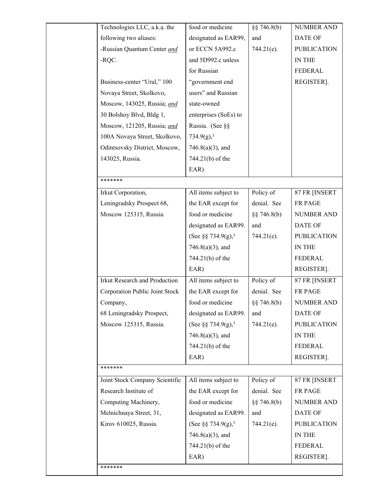| Technologies LLC, a.k.a. the   | food or medicine               | $\S$ § 746.8(b) | <b>NUMBER AND</b>  |
|--------------------------------|--------------------------------|-----------------|--------------------|
| following two aliases:         | designated as EAR99,           | and             | DATE OF            |
| -Russian Quantum Center and    | or ECCN 5A992.c                | $744.21(e)$ .   | <b>PUBLICATION</b> |
| -RQC.                          | and 5D992.c unless             |                 | IN THE             |
|                                | for Russian                    |                 | FEDERAL            |
| Business-center "Ural," 100    | "government end                |                 | REGISTER].         |
| Novaya Street, Skolkovo,       | users" and Russian             |                 |                    |
| Moscow, 143025, Russia; and    | state-owned                    |                 |                    |
| 30 Bolshoy Blvd, Bldg 1,       | enterprises (SoEs) to          |                 |                    |
| Moscow, 121205, Russia; and    | Russia. (See §§                |                 |                    |
| 100A Novaya Street, Skolkovo,  | 734.9(g), <sup>3</sup>         |                 |                    |
| Odintsovsky District, Moscow,  | $746.8(a)(3)$ , and            |                 |                    |
| 143025, Russia.                | 744.21(b) of the               |                 |                    |
|                                | EAR)                           |                 |                    |
| *******                        |                                |                 |                    |
| Irkut Corporation,             | All items subject to           | Policy of       | 87 FR [INSERT      |
| Leningradsky Prospect 68,      | the EAR except for             | denial. See     | FR PAGE            |
| Moscow 125315, Russia.         | food or medicine               | $\S$ § 746.8(b) | <b>NUMBER AND</b>  |
|                                | designated as EAR99.           | and             | <b>DATE OF</b>     |
|                                | (See §§ 734.9(g), <sup>3</sup> | $744.21(e)$ .   | <b>PUBLICATION</b> |
|                                | $746.8(a)(3)$ , and            |                 | IN THE             |
|                                | 744.21(b) of the               |                 | <b>FEDERAL</b>     |
|                                | EAR)                           |                 | REGISTER].         |
| Irkut Research and Production  | All items subject to           | Policy of       | 87 FR [INSERT      |
| Corporation Public Joint Stock | the EAR except for             | denial. See     | FR PAGE            |
| Company,                       | food or medicine               | $\S$ § 746.8(b) | <b>NUMBER AND</b>  |
| 68 Leningradsky Prospect,      | designated as EAR99.           | and             | DATE OF            |
| Moscow 125315, Russia.         | (See §§ 734.9(g), <sup>3</sup> | 744.21(e).      | <b>PUBLICATION</b> |
|                                | $746.8(a)(3)$ , and            |                 | IN THE             |
|                                | 744.21(b) of the               |                 | <b>FEDERAL</b>     |
|                                | EAR)                           |                 | REGISTER].         |
| *******                        |                                |                 |                    |
| Joint Stock Company Scientific | All items subject to           | Policy of       | 87 FR [INSERT      |
| Research Institute of          | the EAR except for             | denial. See     | FR PAGE            |
| Computing Machinery,           | food or medicine               | $\S$ § 746.8(b) | NUMBER AND         |
| Melnichnaya Street, 31,        | designated as EAR99.           | and             | <b>DATE OF</b>     |
| Kirov 610025, Russia.          | (See §§ 734.9(g), <sup>3</sup> | $744.21(e)$ .   | <b>PUBLICATION</b> |
|                                | $746.8(a)(3)$ , and            |                 | IN THE             |
|                                | 744.21(b) of the               |                 | <b>FEDERAL</b>     |
|                                | EAR)                           |                 | REGISTER].         |
| *******                        |                                |                 |                    |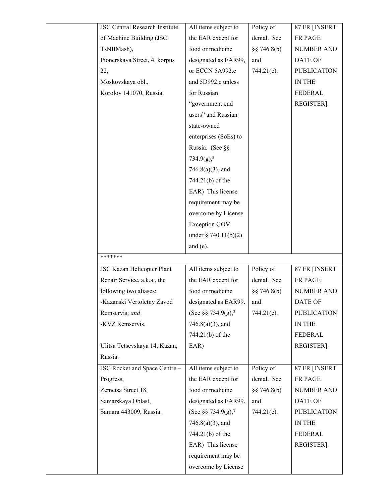| <b>JSC Central Research Institute</b> | All items subject to           | Policy of     | 87 FR [INSERT      |
|---------------------------------------|--------------------------------|---------------|--------------------|
| of Machine Building (JSC              | the EAR except for             | denial. See   | FR PAGE            |
| TsNIIMash),                           | food or medicine               | $\S$ 746.8(b) | <b>NUMBER AND</b>  |
| Pionerskaya Street, 4, korpus         | designated as EAR99,           | and           | <b>DATE OF</b>     |
| 22,                                   | or ECCN 5A992.c                | $744.21(e)$ . | <b>PUBLICATION</b> |
| Moskovskaya obl.,                     | and 5D992.c unless             |               | IN THE             |
| Korolov 141070, Russia.               | for Russian                    |               | <b>FEDERAL</b>     |
|                                       | "government end                |               | REGISTER].         |
|                                       | users" and Russian             |               |                    |
|                                       | state-owned                    |               |                    |
|                                       | enterprises (SoEs) to          |               |                    |
|                                       | Russia. (See §§                |               |                    |
|                                       | 734.9(g), <sup>3</sup>         |               |                    |
|                                       | $746.8(a)(3)$ , and            |               |                    |
|                                       | 744.21(b) of the               |               |                    |
|                                       | EAR) This license              |               |                    |
|                                       | requirement may be             |               |                    |
|                                       | overcome by License            |               |                    |
|                                       | <b>Exception GOV</b>           |               |                    |
|                                       | under $\S 740.11(b)(2)$        |               |                    |
|                                       | and $(e)$ .                    |               |                    |
| *******                               |                                |               |                    |
| JSC Kazan Helicopter Plant            | All items subject to           | Policy of     | 87 FR [INSERT      |
| Repair Service, a.k.a., the           | the EAR except for             | denial. See   | FR PAGE            |
| following two aliases:                | food or medicine               | $\S$ 746.8(b) | <b>NUMBER AND</b>  |
| -Kazanski Vertoletny Zavod            | designated as EAR99.           | and           | DATE OF            |
| Remservis; and                        | (See §§ 734.9(g), <sup>3</sup> | $744.21(e)$ . | <b>PUBLICATION</b> |
| -KVZ Remservis.                       | $746.8(a)(3)$ , and            |               | IN THE             |
|                                       | 744.21(b) of the               |               | <b>FEDERAL</b>     |
| Ulitsa Tetsevskaya 14, Kazan,         | EAR)                           |               | REGISTER].         |
| Russia.                               |                                |               |                    |
| JSC Rocket and Space Centre -         | All items subject to           | Policy of     | 87 FR [INSERT      |
| Progress,                             | the EAR except for             | denial. See   | FR PAGE            |
| Zemetsa Street 18,                    | food or medicine               | $\S$ 746.8(b) | <b>NUMBER AND</b>  |
| Samarskaya Oblast,                    | designated as EAR99.           | and           | DATE OF            |
| Samara 443009, Russia.                | (See §§ 734.9(g), <sup>3</sup> | $744.21(e)$ . | <b>PUBLICATION</b> |
|                                       | $746.8(a)(3)$ , and            |               | IN THE             |
|                                       | 744.21(b) of the               |               | <b>FEDERAL</b>     |
|                                       | EAR) This license              |               | REGISTER].         |
|                                       | requirement may be             |               |                    |
|                                       | overcome by License            |               |                    |
|                                       |                                |               |                    |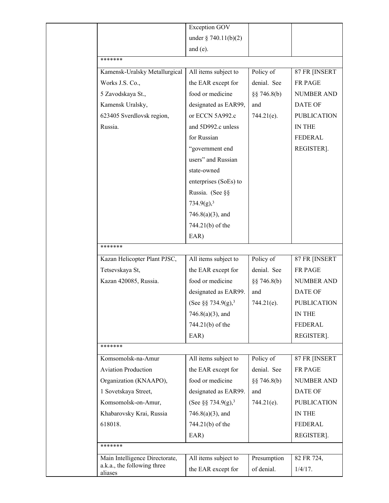|                            |                                | <b>Exception GOV</b>           |               |                    |
|----------------------------|--------------------------------|--------------------------------|---------------|--------------------|
|                            |                                | under $\S 740.11(b)(2)$        |               |                    |
|                            |                                | and $(e)$ .                    |               |                    |
| *******                    |                                |                                |               |                    |
|                            | Kamensk-Uralsky Metallurgical  | All items subject to           | Policy of     | 87 FR [INSERT      |
| Works J.S. Co.,            |                                | the EAR except for             | denial. See   | FR PAGE            |
| 5 Zavodskaya St.,          |                                | food or medicine               | $\S$ 746.8(b) | <b>NUMBER AND</b>  |
| Kamensk Uralsky,           |                                | designated as EAR99,           | and           | <b>DATE OF</b>     |
|                            | 623405 Sverdlovsk region,      | or ECCN 5A992.c                | 744.21(e).    | <b>PUBLICATION</b> |
| Russia.                    |                                | and 5D992.c unless             |               | IN THE             |
|                            |                                | for Russian                    |               | FEDERAL            |
|                            |                                | "government end                |               | REGISTER].         |
|                            |                                | users" and Russian             |               |                    |
|                            |                                | state-owned                    |               |                    |
|                            |                                | enterprises (SoEs) to          |               |                    |
|                            |                                | Russia. (See §§                |               |                    |
|                            |                                | 734.9(g), <sup>3</sup>         |               |                    |
|                            |                                | $746.8(a)(3)$ , and            |               |                    |
|                            |                                | 744.21(b) of the               |               |                    |
|                            |                                | EAR)                           |               |                    |
| *******                    |                                |                                |               |                    |
|                            | Kazan Helicopter Plant PJSC,   | All items subject to           | Policy of     | 87 FR [INSERT      |
| Tetsevskaya St,            |                                | the EAR except for             | denial. See   | FR PAGE            |
| Kazan 420085, Russia.      |                                | food or medicine               | $\S$ 746.8(b) | NUMBER AND         |
|                            |                                | designated as EAR99.           | and           | <b>DATE OF</b>     |
|                            |                                | (See §§ 734.9(g), <sup>3</sup> | 744.21(e).    | <b>PUBLICATION</b> |
|                            |                                | $746.8(a)(3)$ , and            |               | IN THE             |
|                            |                                | 744.21(b) of the               |               | <b>FEDERAL</b>     |
|                            |                                | EAR)                           |               | REGISTER].         |
| *******                    |                                |                                |               |                    |
| Komsomolsk-na-Amur         |                                | All items subject to           | Policy of     | 87 FR [INSERT      |
| <b>Aviation Production</b> |                                | the EAR except for             | denial. See   | <b>FR PAGE</b>     |
|                            | Organization (KNAAPO),         | food or medicine               | $\S$ 746.8(b) | <b>NUMBER AND</b>  |
| 1 Sovetskaya Street,       |                                | designated as EAR99.           | and           | <b>DATE OF</b>     |
|                            | Komsomolsk-on-Amur,            | (See §§ 734.9(g), <sup>3</sup> | 744.21(e).    | <b>PUBLICATION</b> |
|                            | Khabarovsky Krai, Russia       | $746.8(a)(3)$ , and            |               | IN THE             |
| 618018.                    |                                | 744.21(b) of the               |               | FEDERAL            |
|                            |                                | EAR)                           |               | REGISTER].         |
| *******                    |                                |                                |               |                    |
|                            | Main Intelligence Directorate, | All items subject to           | Presumption   | 82 FR 724,         |
| aliases                    | a.k.a., the following three    | the EAR except for             | of denial.    | $1/4/17$ .         |
|                            |                                |                                |               |                    |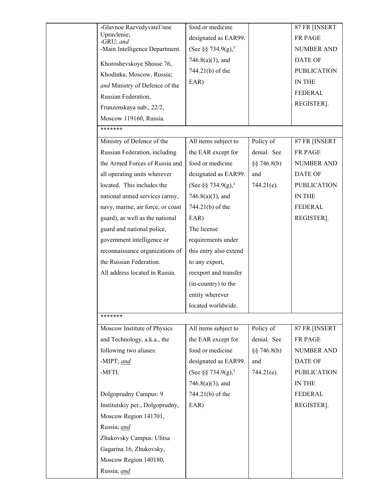| -Glavnoe Razvedyvatel'noe                                  | food or medicine                                      |               | 87 FR [INSERT                |
|------------------------------------------------------------|-------------------------------------------------------|---------------|------------------------------|
| Upravlenie;<br>-GRU; and                                   | designated as EAR99.                                  |               | FR PAGE                      |
| -Main Intelligence Department.                             | (See §§ 734.9(g), <sup>3</sup>                        |               | <b>NUMBER AND</b>            |
| Khoroshevskoye Shosse 76,                                  | $746.8(a)(3)$ , and                                   |               | <b>DATE OF</b>               |
| Khodinka, Moscow, Russia;                                  | 744.21(b) of the                                      |               | <b>PUBLICATION</b>           |
| and Ministry of Defence of the                             | EAR)                                                  |               | IN THE                       |
| Russian Federation,                                        |                                                       |               | <b>FEDERAL</b>               |
| Frunzenskaya nab., 22/2,                                   |                                                       |               | REGISTER].                   |
| Moscow 119160, Russia.                                     |                                                       |               |                              |
| *******                                                    |                                                       |               |                              |
| Ministry of Defence of the                                 | All items subject to                                  | Policy of     | 87 FR [INSERT                |
| Russian Federation, including                              | the EAR except for                                    | denial. See   | FR PAGE                      |
| the Armed Forces of Russia and                             | food or medicine                                      | §§ 746.8(b)   | <b>NUMBER AND</b>            |
|                                                            | designated as EAR99.                                  | and           | DATE OF                      |
| all operating units wherever<br>located. This includes the |                                                       |               |                              |
|                                                            | (See §§ 734.9(g), <sup>3</sup><br>$746.8(a)(3)$ , and | $744.21(e)$ . | <b>PUBLICATION</b><br>IN THE |
| national armed services (army,                             |                                                       |               | <b>FEDERAL</b>               |
| navy, marine, air force, or coast                          | 744.21(b) of the                                      |               |                              |
| guard), as well as the national                            | EAR)<br>The license                                   |               | REGISTER].                   |
| guard and national police,                                 |                                                       |               |                              |
| government intelligence or                                 | requirements under                                    |               |                              |
| reconnaissance organizations of<br>the Russian Federation. | this entry also extend                                |               |                              |
|                                                            | to any export,                                        |               |                              |
| All address located in Russia.                             | reexport and transfer                                 |               |                              |
|                                                            | (in-country) to the                                   |               |                              |
|                                                            | entity wherever                                       |               |                              |
|                                                            | located worldwide.                                    |               |                              |
| *******                                                    |                                                       |               |                              |
| Moscow Institute of Physics                                | All items subject to                                  | Policy of     | 87 FR [INSERT                |
| and Technology, a.k.a., the                                | the EAR except for                                    | denial. See   | FR PAGE                      |
| following two aliases:                                     | food or medicine                                      | $\S$ 746.8(b) | <b>NUMBER AND</b>            |
| -MIPT; and                                                 | designated as EAR99.                                  | and           | DATE OF                      |
| -MFTI.                                                     | (See §§ 734.9(g), <sup>3</sup>                        | $744.21(e)$ . | <b>PUBLICATION</b>           |
|                                                            | $746.8(a)(3)$ , and                                   |               | IN THE                       |
| Dolgoprudny Campus: 9                                      | 744.21(b) of the                                      |               | <b>FEDERAL</b>               |
| Institutskiy per., Dolgoprudny,                            | EAR)                                                  |               | REGISTER].                   |
| Moscow Region 141701,                                      |                                                       |               |                              |
| Russia; and                                                |                                                       |               |                              |
| Zhukovsky Campus: Ulitsa                                   |                                                       |               |                              |
| Gagarina 16, Zhukovsky,                                    |                                                       |               |                              |
| Moscow Region 140180,                                      |                                                       |               |                              |
| Russia; and                                                |                                                       |               |                              |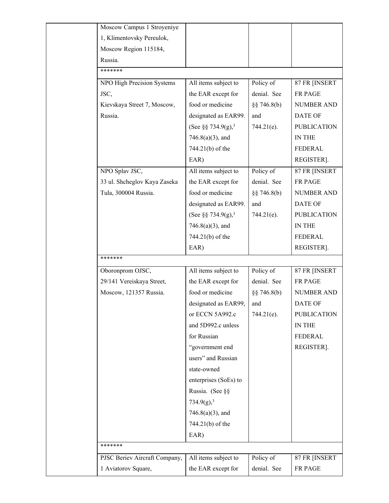| Moscow Campus 1 Stroyeniye    |                                |               |                    |
|-------------------------------|--------------------------------|---------------|--------------------|
| 1, Klimentovsky Pereulok,     |                                |               |                    |
| Moscow Region 115184,         |                                |               |                    |
| Russia.                       |                                |               |                    |
| *******                       |                                |               |                    |
| NPO High Precision Systems    | All items subject to           | Policy of     | 87 FR [INSERT      |
| JSC,                          | the EAR except for             | denial. See   | FR PAGE            |
| Kievskaya Street 7, Moscow,   | food or medicine               | $\S$ 746.8(b) | <b>NUMBER AND</b>  |
| Russia.                       | designated as EAR99.           | and           | <b>DATE OF</b>     |
|                               | (See §§ 734.9(g), <sup>3</sup> | 744.21(e).    | <b>PUBLICATION</b> |
|                               | $746.8(a)(3)$ , and            |               | IN THE             |
|                               | 744.21(b) of the               |               | FEDERAL            |
|                               | EAR)                           |               | REGISTER].         |
| NPO Splav JSC,                | All items subject to           | Policy of     | 87 FR [INSERT      |
| 33 ul. Shcheglov Kaya Zaseka  | the EAR except for             | denial. See   | FR PAGE            |
| Tula, 300004 Russia.          | food or medicine               | $\S$ 746.8(b) | <b>NUMBER AND</b>  |
|                               | designated as EAR99.           | and           | <b>DATE OF</b>     |
|                               | (See §§ 734.9(g), <sup>3</sup> | 744.21(e).    | <b>PUBLICATION</b> |
|                               | $746.8(a)(3)$ , and            |               | IN THE             |
|                               | 744.21(b) of the               |               | <b>FEDERAL</b>     |
|                               | EAR)                           |               | REGISTER].         |
| *******                       |                                |               |                    |
| Oboronprom OJSC,              | All items subject to           | Policy of     | 87 FR [INSERT      |
| 29/141 Vereiskaya Street,     | the EAR except for             | denial. See   | FR PAGE            |
| Moscow, 121357 Russia.        | food or medicine               | $\S$ 746.8(b) | <b>NUMBER AND</b>  |
|                               | designated as EAR99,           | and           | <b>DATE OF</b>     |
|                               | or ECCN 5A992.c                | $744.21(e)$ . | <b>PUBLICATION</b> |
|                               | and 5D992.c unless             |               | IN THE             |
|                               | for Russian                    |               | FEDERAL            |
|                               | "government end                |               | REGISTER].         |
|                               | users" and Russian             |               |                    |
|                               | state-owned                    |               |                    |
|                               | enterprises (SoEs) to          |               |                    |
|                               | Russia. (See §§                |               |                    |
|                               | 734.9(g), <sup>3</sup>         |               |                    |
|                               | $746.8(a)(3)$ , and            |               |                    |
|                               | 744.21(b) of the               |               |                    |
|                               | EAR)                           |               |                    |
| *******                       |                                |               |                    |
| PJSC Beriev Aircraft Company, | All items subject to           | Policy of     | 87 FR [INSERT      |
| 1 Aviatorov Square,           | the EAR except for             | denial. See   | FR PAGE            |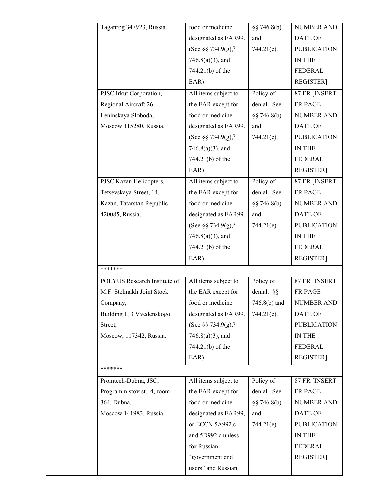| Taganrog 347923, Russia.     | food or medicine               | $\S$ 746.8(b)  | <b>NUMBER AND</b>  |
|------------------------------|--------------------------------|----------------|--------------------|
|                              | designated as EAR99.           | and            | <b>DATE OF</b>     |
|                              | (See §§ 734.9(g), <sup>3</sup> | 744.21(e).     | <b>PUBLICATION</b> |
|                              | $746.8(a)(3)$ , and            |                | IN THE             |
|                              | 744.21(b) of the               |                | <b>FEDERAL</b>     |
|                              | EAR)                           |                | REGISTER].         |
| PJSC Irkut Corporation,      | All items subject to           | Policy of      | 87 FR [INSERT      |
| Regional Aircraft 26         | the EAR except for             | denial. See    | FR PAGE            |
| Leninskaya Sloboda,          | food or medicine               | $\S$ 746.8(b)  | <b>NUMBER AND</b>  |
| Moscow 115280, Russia.       | designated as EAR99.           | and            | <b>DATE OF</b>     |
|                              | (See §§ 734.9(g), <sup>3</sup> | $744.21(e)$ .  | <b>PUBLICATION</b> |
|                              | $746.8(a)(3)$ , and            |                | IN THE             |
|                              | 744.21(b) of the               |                | <b>FEDERAL</b>     |
|                              | EAR)                           |                | REGISTER].         |
| PJSC Kazan Helicopters,      | All items subject to           | Policy of      | 87 FR [INSERT      |
| Tetsevskaya Street, 14,      | the EAR except for             | denial. See    | FR PAGE            |
| Kazan, Tatarstan Republic    | food or medicine               | $\S$ 746.8(b)  | <b>NUMBER AND</b>  |
| 420085, Russia.              | designated as EAR99.           | and            | <b>DATE OF</b>     |
|                              | (See §§ 734.9(g), <sup>3</sup> | 744.21(e).     | <b>PUBLICATION</b> |
|                              | $746.8(a)(3)$ , and            |                | IN THE             |
|                              | 744.21(b) of the               |                | FEDERAL            |
|                              | EAR)                           |                | REGISTER].         |
| *******                      |                                |                |                    |
| POLYUS Research Institute of | All items subject to           | Policy of      | 87 FR [INSERT      |
| M.F. Stelmakh Joint Stock    | the EAR except for             | denial. §§     | FR PAGE            |
| Company,                     | food or medicine               | $746.8(b)$ and | <b>NUMBER AND</b>  |
| Building 1, 3 Vvedenskogo    | designated as EAR99.           | $744.21(e)$ .  | DATE OF            |
| Street,                      | (See §§ 734.9(g), <sup>3</sup> |                | <b>PUBLICATION</b> |
| Moscow, 117342, Russia.      | $746.8(a)(3)$ , and            |                | IN THE             |
|                              | 744.21(b) of the               |                | FEDERAL            |
|                              | EAR)                           |                | REGISTER].         |
| *******                      |                                |                |                    |
| Promtech-Dubna, JSC,         | All items subject to           | Policy of      | 87 FR [INSERT      |
| Programmistov st., 4, room   | the EAR except for             | denial. See    | FR PAGE            |
| 364, Dubna,                  | food or medicine               | $\S$ 746.8(b)  | <b>NUMBER AND</b>  |
| Moscow 141983, Russia.       | designated as EAR99,           | and            | <b>DATE OF</b>     |
|                              | or ECCN 5A992.c                | $744.21(e)$ .  | <b>PUBLICATION</b> |
|                              | and 5D992.c unless             |                | IN THE             |
|                              | for Russian                    |                | <b>FEDERAL</b>     |
|                              | "government end                |                | REGISTER].         |
|                              | users" and Russian             |                |                    |
|                              |                                |                |                    |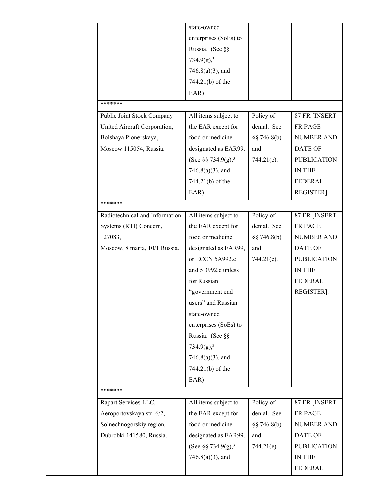|                                | state-owned                    |               |                    |
|--------------------------------|--------------------------------|---------------|--------------------|
|                                | enterprises (SoEs) to          |               |                    |
|                                | Russia. (See §§                |               |                    |
|                                | 734.9(g), <sup>3</sup>         |               |                    |
|                                | $746.8(a)(3)$ , and            |               |                    |
|                                | 744.21(b) of the               |               |                    |
|                                | EAR)                           |               |                    |
| *******                        |                                |               |                    |
| Public Joint Stock Company     | All items subject to           | Policy of     | 87 FR [INSERT      |
| United Aircraft Corporation,   | the EAR except for             | denial. See   | FR PAGE            |
| Bolshaya Pionerskaya,          | food or medicine               | $\S$ 746.8(b) | <b>NUMBER AND</b>  |
| Moscow 115054, Russia.         | designated as EAR99.           | and           | <b>DATE OF</b>     |
|                                | (See §§ 734.9(g), <sup>3</sup> | $744.21(e)$ . | <b>PUBLICATION</b> |
|                                | $746.8(a)(3)$ , and            |               | IN THE             |
|                                | 744.21(b) of the               |               | FEDERAL            |
|                                | EAR)                           |               | REGISTER].         |
| *******                        |                                |               |                    |
| Radiotechnical and Information | All items subject to           | Policy of     | 87 FR [INSERT      |
| Systems (RTI) Concern,         | the EAR except for             | denial. See   | FR PAGE            |
| 127083,                        | food or medicine               | §§ 746.8(b)   | <b>NUMBER AND</b>  |
| Moscow, 8 marta, 10/1 Russia.  | designated as EAR99,           | and           | <b>DATE OF</b>     |
|                                | or ECCN 5A992.c                | 744.21(e).    | <b>PUBLICATION</b> |
|                                | and 5D992.c unless             |               | IN THE             |
|                                | for Russian                    |               | FEDERAL            |
|                                | "government end                |               | REGISTER].         |
|                                | users" and Russian             |               |                    |
|                                | state-owned                    |               |                    |
|                                | enterprises (SoEs) to          |               |                    |
|                                | Russia. (See §§                |               |                    |
|                                | 734.9(g), <sup>3</sup>         |               |                    |
|                                | $746.8(a)(3)$ , and            |               |                    |
|                                | 744.21(b) of the               |               |                    |
|                                | EAR)                           |               |                    |
| *******                        |                                |               |                    |
| Rapart Services LLC,           | All items subject to           | Policy of     | 87 FR [INSERT      |
| Aeroportovskaya str. 6/2,      | the EAR except for             | denial. See   | FR PAGE            |
| Solnechnogorskiy region,       | food or medicine               | §§ 746.8(b)   | <b>NUMBER AND</b>  |
| Dubrobki 141580, Russia.       | designated as EAR99.           | and           | DATE OF            |
|                                | (See §§ 734.9(g), <sup>3</sup> | $744.21(e)$ . | <b>PUBLICATION</b> |
|                                | $746.8(a)(3)$ , and            |               | IN THE             |
|                                |                                |               | <b>FEDERAL</b>     |
|                                |                                |               |                    |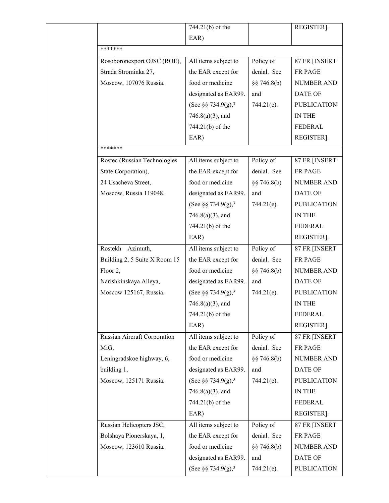|                               | 744.21(b) of the               |               | REGISTER].         |  |  |
|-------------------------------|--------------------------------|---------------|--------------------|--|--|
|                               | EAR)                           |               |                    |  |  |
| *******                       |                                |               |                    |  |  |
| Rosoboronexport OJSC (ROE),   | All items subject to           | Policy of     | 87 FR [INSERT      |  |  |
| Strada Strominka 27,          | the EAR except for             | denial. See   | FR PAGE            |  |  |
| Moscow, 107076 Russia.        | food or medicine               | $\S$ 746.8(b) | <b>NUMBER AND</b>  |  |  |
|                               | designated as EAR99.           | and           | DATE OF            |  |  |
|                               | (See §§ 734.9(g), <sup>3</sup> | $744.21(e)$ . | <b>PUBLICATION</b> |  |  |
|                               | $746.8(a)(3)$ , and            |               | IN THE             |  |  |
|                               | 744.21(b) of the               |               | <b>FEDERAL</b>     |  |  |
|                               | EAR)                           |               | REGISTER].         |  |  |
| *******                       |                                |               |                    |  |  |
| Rostec (Russian Technologies  | All items subject to           | Policy of     | 87 FR [INSERT      |  |  |
| State Corporation),           | the EAR except for             | denial. See   | FR PAGE            |  |  |
| 24 Usacheva Street,           | food or medicine               | $\S$ 746.8(b) | <b>NUMBER AND</b>  |  |  |
| Moscow, Russia 119048.        | designated as EAR99.           | and           | DATE OF            |  |  |
|                               | (See §§ 734.9(g), <sup>3</sup> | $744.21(e)$ . | <b>PUBLICATION</b> |  |  |
|                               | $746.8(a)(3)$ , and            |               | <b>IN THE</b>      |  |  |
|                               | 744.21(b) of the               |               | FEDERAL            |  |  |
|                               | EAR)                           |               | REGISTER].         |  |  |
| Rostekh - Azimuth,            | All items subject to           | Policy of     | 87 FR [INSERT      |  |  |
| Building 2, 5 Suite X Room 15 | the EAR except for             | denial. See   | FR PAGE            |  |  |
| Floor 2,                      | food or medicine               | §§ 746.8(b)   | NUMBER AND         |  |  |
| Narishkinskaya Alleya,        | designated as EAR99.           | and           | DATE OF            |  |  |
| Moscow 125167, Russia.        | (See §§ 734.9(g), <sup>3</sup> | 744.21(e).    | <b>PUBLICATION</b> |  |  |
|                               | $746.8(a)(3)$ , and            |               | IN THE             |  |  |
|                               | 744.21(b) of the               |               | <b>FEDERAL</b>     |  |  |
|                               | EAR)                           |               | REGISTER].         |  |  |
| Russian Aircraft Corporation  | All items subject to           | Policy of     | 87 FR [INSERT      |  |  |
| MiG,                          | the EAR except for             | denial. See   | FR PAGE            |  |  |
| Leningradskoe highway, 6,     | food or medicine               | $\S$ 746.8(b) | <b>NUMBER AND</b>  |  |  |
| building 1,                   | designated as EAR99.           | and           | DATE OF            |  |  |
| Moscow, 125171 Russia.        | (See §§ 734.9(g), <sup>3</sup> | $744.21(e)$ . | <b>PUBLICATION</b> |  |  |
|                               | $746.8(a)(3)$ , and            |               | IN THE             |  |  |
|                               | 744.21(b) of the               |               | FEDERAL            |  |  |
|                               | EAR)                           |               | REGISTER].         |  |  |
| Russian Helicopters JSC,      | All items subject to           | Policy of     | 87 FR [INSERT      |  |  |
| Bolshaya Pionerskaya, 1,      | the EAR except for             | denial. See   | FR PAGE            |  |  |
| Moscow, 123610 Russia.        | food or medicine               | $\S$ 746.8(b) | NUMBER AND         |  |  |
|                               | designated as EAR99.           | and           | DATE OF            |  |  |
|                               | (See §§ 734.9(g), <sup>3</sup> | $744.21(e)$ . | <b>PUBLICATION</b> |  |  |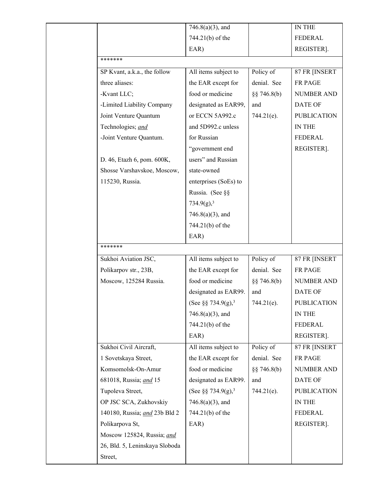|                              |                                | $746.8(a)(3)$ , and            |               | IN THE             |
|------------------------------|--------------------------------|--------------------------------|---------------|--------------------|
|                              |                                | 744.21(b) of the               |               | <b>FEDERAL</b>     |
|                              |                                | EAR)                           |               | REGISTER].         |
| *******                      |                                |                                |               |                    |
| SP Kvant, a.k.a., the follow |                                | All items subject to           | Policy of     | 87 FR [INSERT      |
| three aliases:               |                                | the EAR except for             | denial. See   | FR PAGE            |
| -Kvant LLC;                  |                                | food or medicine               | $\S$ 746.8(b) | NUMBER AND         |
| -Limited Liability Company   |                                | designated as EAR99,           | and           | DATE OF            |
| Joint Venture Quantum        |                                | or ECCN 5A992.c                | $744.21(e)$ . | <b>PUBLICATION</b> |
| Technologies; and            |                                | and 5D992.c unless             |               | IN THE             |
| -Joint Venture Quantum.      |                                | for Russian                    |               | FEDERAL            |
|                              |                                | "government end                |               | REGISTER].         |
| D. 46, Etazh 6, pom. 600K,   |                                | users" and Russian             |               |                    |
|                              | Shosse Varshavskoe, Moscow,    | state-owned                    |               |                    |
| 115230, Russia.              |                                | enterprises (SoEs) to          |               |                    |
|                              |                                | Russia. (See §§                |               |                    |
|                              |                                | 734.9(g), <sup>3</sup>         |               |                    |
|                              |                                | $746.8(a)(3)$ , and            |               |                    |
|                              |                                | 744.21(b) of the               |               |                    |
|                              |                                | EAR)                           |               |                    |
| *******                      |                                |                                |               |                    |
| Sukhoi Aviation JSC,         |                                | All items subject to           | Policy of     | 87 FR [INSERT      |
| Polikarpov str., 23B,        |                                | the EAR except for             | denial. See   | FR PAGE            |
| Moscow, 125284 Russia.       |                                | food or medicine               | $\S$ 746.8(b) | NUMBER AND         |
|                              |                                | designated as EAR99.           | and           | DATE OF            |
|                              |                                | (See §§ 734.9(g), <sup>3</sup> | $744.21(e)$ . | <b>PUBLICATION</b> |
|                              |                                | $746.8(a)(3)$ , and            |               | IN THE             |
|                              |                                | 744.21(b) of the               |               | <b>FEDERAL</b>     |
|                              |                                | EAR)                           |               | REGISTER].         |
| Sukhoi Civil Aircraft,       |                                | All items subject to           | Policy of     | 87 FR [INSERT      |
| 1 Sovetskaya Street,         |                                | the EAR except for             | denial. See   | FR PAGE            |
| Komsomolsk-On-Amur           |                                |                                |               |                    |
|                              |                                | food or medicine               | $\S$ 746.8(b) | <b>NUMBER AND</b>  |
| 681018, Russia; and 15       |                                | designated as EAR99.           | and           | DATE OF            |
| Tupoleva Street,             |                                | (See §§ 734.9(g), <sup>3</sup> | 744.21(e).    | <b>PUBLICATION</b> |
| OP JSC SCA, Zukhovskiy       |                                | $746.8(a)(3)$ , and            |               | IN THE             |
|                              | 140180, Russia; and 23b Bld 2  | 744.21(b) of the               |               | FEDERAL            |
| Polikarpova St,              |                                | EAR)                           |               | REGISTER].         |
|                              | Moscow 125824, Russia; and     |                                |               |                    |
|                              | 26, Bld. 5, Leninskaya Sloboda |                                |               |                    |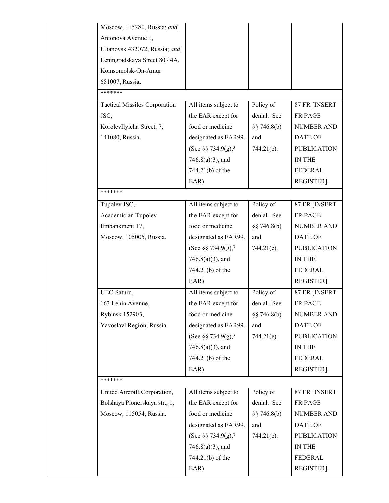| Moscow, 115280, Russia; and          |                                |                 |                    |
|--------------------------------------|--------------------------------|-----------------|--------------------|
| Antonova Avenue 1,                   |                                |                 |                    |
| Ulianovsk 432072, Russia; and        |                                |                 |                    |
| Leningradskaya Street 80 / 4A,       |                                |                 |                    |
| Komsomolsk-On-Amur                   |                                |                 |                    |
| 681007, Russia.                      |                                |                 |                    |
| *******                              |                                |                 |                    |
| <b>Tactical Missiles Corporation</b> | All items subject to           | Policy of       | 87 FR [INSERT      |
| JSC,                                 | the EAR except for             | denial. See     | <b>FR PAGE</b>     |
| KorolevIlyicha Street, 7,            | food or medicine               | $\S$ § 746.8(b) | <b>NUMBER AND</b>  |
| 141080, Russia.                      | designated as EAR99.           | and             | <b>DATE OF</b>     |
|                                      | (See §§ 734.9(g), <sup>3</sup> | 744.21(e).      | <b>PUBLICATION</b> |
|                                      | $746.8(a)(3)$ , and            |                 | IN THE             |
|                                      | 744.21(b) of the               |                 | <b>FEDERAL</b>     |
|                                      | EAR)                           |                 | REGISTER].         |
| *******                              |                                |                 |                    |
| Tupolev JSC,                         | All items subject to           | Policy of       | 87 FR [INSERT      |
| Academician Tupolev                  | the EAR except for             | denial. See     | <b>FR PAGE</b>     |
| Embankment 17,                       | food or medicine               | $\S$ 746.8(b)   | <b>NUMBER AND</b>  |
| Moscow, 105005, Russia.              | designated as EAR99.           | and             | <b>DATE OF</b>     |
|                                      | (See §§ 734.9(g), <sup>3</sup> | 744.21(e).      | <b>PUBLICATION</b> |
|                                      | $746.8(a)(3)$ , and            |                 | IN THE             |
|                                      | 744.21(b) of the               |                 | FEDERAL            |
|                                      | EAR)                           |                 | REGISTER].         |
| UEC-Saturn,                          | All items subject to           | Policy of       | 87 FR [INSERT      |
| 163 Lenin Avenue,                    | the EAR except for             | denial. See     | FR PAGE            |
| Rybinsk 152903,                      | food or medicine               | §§ 746.8(b)     | <b>NUMBER AND</b>  |
| Yavoslavl Region, Russia.            | designated as EAR99.           | and             | <b>DATE OF</b>     |
|                                      | (See §§ 734.9(g), <sup>3</sup> | 744.21(e).      | <b>PUBLICATION</b> |
|                                      | $746.8(a)(3)$ , and            |                 | IN THE             |
|                                      | 744.21(b) of the               |                 | FEDERAL            |
|                                      | EAR)                           |                 | REGISTER].         |
| *******                              |                                |                 |                    |
| United Aircraft Corporation,         | All items subject to           | Policy of       | 87 FR [INSERT      |
| Bolshaya Pionerskaya str., 1,        | the EAR except for             | denial. See     | FR PAGE            |
| Moscow, 115054, Russia.              | food or medicine               | $\S$ § 746.8(b) | <b>NUMBER AND</b>  |
|                                      | designated as EAR99.           | and             | <b>DATE OF</b>     |
|                                      | (See §§ 734.9(g), <sup>3</sup> | 744.21(e).      | <b>PUBLICATION</b> |
|                                      | $746.8(a)(3)$ , and            |                 | IN THE             |
|                                      | 744.21(b) of the               |                 | FEDERAL            |
|                                      | EAR)                           |                 | REGISTER].         |
|                                      |                                |                 |                    |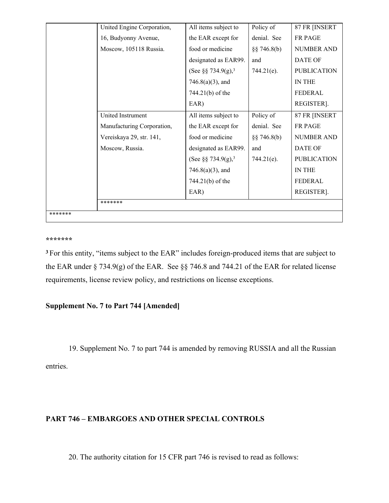|         | United Engine Corporation, | All items subject to           | Policy of     | 87 FR [INSERT      |
|---------|----------------------------|--------------------------------|---------------|--------------------|
|         | 16, Budyonny Avenue,       | the EAR except for             | denial. See   | <b>FR PAGE</b>     |
|         | Moscow, 105118 Russia.     | food or medicine               | $\S$ 746.8(b) | <b>NUMBER AND</b>  |
|         |                            | designated as EAR99.           | and           | DATE OF            |
|         |                            | (See §§ 734.9(g), <sup>3</sup> | $744.21(e)$ . | <b>PUBLICATION</b> |
|         |                            | $746.8(a)(3)$ , and            |               | <b>IN THE</b>      |
|         |                            | 744.21(b) of the               |               | FEDERAL            |
|         |                            | EAR)                           |               | REGISTER].         |
|         | United Instrument          | All items subject to           | Policy of     | 87 FR [INSERT      |
|         | Manufacturing Corporation, | the EAR except for             | denial. See   | <b>FR PAGE</b>     |
|         | Vereiskaya 29, str. 141,   | food or medicine               | $\S$ 746.8(b) | <b>NUMBER AND</b>  |
|         | Moscow, Russia.            | designated as EAR99.           | and           | <b>DATE OF</b>     |
|         |                            | (See §§ 734.9(g), <sup>3</sup> | $744.21(e)$ . | <b>PUBLICATION</b> |
|         |                            | $746.8(a)(3)$ , and            |               | IN THE             |
|         |                            | 744.21(b) of the               |               | FEDERAL            |
|         |                            | EAR)                           |               | REGISTER].         |
|         | *******                    |                                |               |                    |
| ******* |                            |                                |               |                    |

#### **\*\*\*\*\*\*\***

**<sup>3</sup>**For this entity, "items subject to the EAR" includes foreign-produced items that are subject to the EAR under § 734.9(g) of the EAR. See §§ 746.8 and 744.21 of the EAR for related license requirements, license review policy, and restrictions on license exceptions.

# **Supplement No. 7 to Part 744 [Amended]**

19. Supplement No. 7 to part 744 is amended by removing RUSSIA and all the Russian

entries.

# **PART 746 – EMBARGOES AND OTHER SPECIAL CONTROLS**

20. The authority citation for 15 CFR part 746 is revised to read as follows: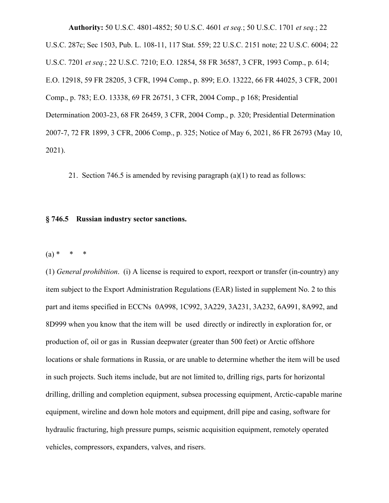**Authority:** 50 U.S.C. 4801-4852; 50 U.S.C. 4601 *et seq.*; 50 U.S.C. 1701 *et seq.*; 22 U.S.C. 287c; Sec 1503, Pub. L. 108-11, 117 Stat. 559; 22 U.S.C. 2151 note; 22 U.S.C. 6004; 22 U.S.C. 7201 *et seq.*; 22 U.S.C. 7210; E.O. 12854, 58 FR 36587, 3 CFR, 1993 Comp., p. 614; E.O. 12918, 59 FR 28205, 3 CFR, 1994 Comp., p. 899; E.O. 13222, 66 FR 44025, 3 CFR, 2001 Comp., p. 783; E.O. 13338, 69 FR 26751, 3 CFR, 2004 Comp., p 168; Presidential Determination 2003-23, 68 FR 26459, 3 CFR, 2004 Comp., p. 320; Presidential Determination 2007-7, 72 FR 1899, 3 CFR, 2006 Comp., p. 325; Notice of May 6, 2021, 86 FR 26793 (May 10, 2021).

21. Section 746.5 is amended by revising paragraph (a)(1) to read as follows:

#### **§ 746.5 Russian industry sector sanctions.**

 $(a) * * * * *$ 

(1) *General prohibition*. (i) A license is required to export, reexport or transfer (in-country) any item subject to the Export Administration Regulations (EAR) listed in supplement No. 2 to this part and items specified in ECCNs 0A998, 1C992, 3A229, 3A231, 3A232, 6A991, 8A992, and 8D999 when you know that the item will be used directly or indirectly in exploration for, or production of, oil or gas in Russian deepwater (greater than 500 feet) or Arctic offshore locations or shale formations in Russia, or are unable to determine whether the item will be used in such projects. Such items include, but are not limited to, drilling rigs, parts for horizontal drilling, drilling and completion equipment, subsea processing equipment, Arctic-capable marine equipment, wireline and down hole motors and equipment, drill pipe and casing, software for hydraulic fracturing, high pressure pumps, seismic acquisition equipment, remotely operated vehicles, compressors, expanders, valves, and risers.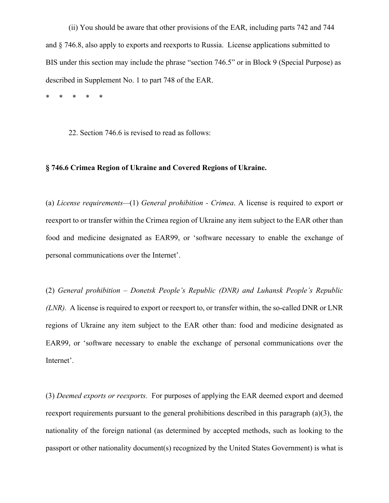(ii) You should be aware that other provisions of the EAR, including parts 742 and 744 and § 746.8, also apply to exports and reexports to Russia. License applications submitted to BIS under this section may include the phrase "section 746.5" or in Block 9 (Special Purpose) as described in Supplement No. 1 to part 748 of the EAR.

\* \* \* \* \*

22. Section 746.6 is revised to read as follows:

## **§ 746.6 Crimea Region of Ukraine and Covered Regions of Ukraine.**

(a) *License requirements—*(1) *General prohibition - Crimea*. A license is required to export or reexport to or transfer within the Crimea region of Ukraine any item subject to the EAR other than food and medicine designated as EAR99, or 'software necessary to enable the exchange of personal communications over the Internet'.

(2) *General prohibition – Donetsk People's Republic (DNR) and Luhansk People's Republic (LNR).* A license is required to export or reexport to, or transfer within, the so-called DNR or LNR regions of Ukraine any item subject to the EAR other than: food and medicine designated as EAR99, or 'software necessary to enable the exchange of personal communications over the Internet'.

(3) *Deemed exports or reexports.* For purposes of applying the EAR deemed export and deemed reexport requirements pursuant to the general prohibitions described in this paragraph (a)(3), the nationality of the foreign national (as determined by accepted methods, such as looking to the passport or other nationality document(s) recognized by the United States Government) is what is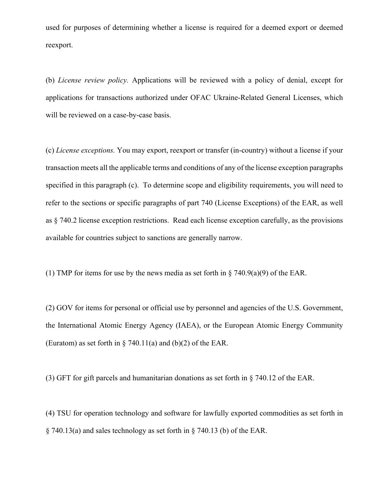used for purposes of determining whether a license is required for a deemed export or deemed reexport.

(b) *License review policy.* Applications will be reviewed with a policy of denial, except for applications for transactions authorized under OFAC Ukraine-Related General Licenses, which will be reviewed on a case-by-case basis.

(c) *License exceptions.* You may export, reexport or transfer (in-country) without a license if your transaction meets all the applicable terms and conditions of any of the license exception paragraphs specified in this paragraph (c). To determine scope and eligibility requirements, you will need to refer to the sections or specific paragraphs of part 740 (License Exceptions) of the EAR, as well as § 740.2 license exception restrictions. Read each license exception carefully, as the provisions available for countries subject to sanctions are generally narrow.

(1) TMP for items for use by the news media as set forth in  $\S$  740.9(a)(9) of the EAR.

(2) GOV for items for personal or official use by personnel and agencies of the U.S. Government, the International Atomic Energy Agency (IAEA), or the European Atomic Energy Community (Euratom) as set forth in  $\S$  740.11(a) and (b)(2) of the EAR.

(3) GFT for gift parcels and humanitarian donations as set forth in § 740.12 of the EAR.

(4) TSU for operation technology and software for lawfully exported commodities as set forth in § 740.13(a) and sales technology as set forth in § 740.13 (b) of the EAR.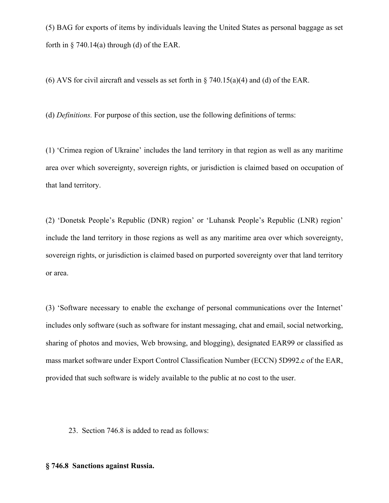(5) BAG for exports of items by individuals leaving the United States as personal baggage as set forth in  $\S$  740.14(a) through (d) of the EAR.

(6) AVS for civil aircraft and vessels as set forth in  $\S$  740.15(a)(4) and (d) of the EAR.

(d) *Definitions.* For purpose of this section, use the following definitions of terms:

(1) 'Crimea region of Ukraine' includes the land territory in that region as well as any maritime area over which sovereignty, sovereign rights, or jurisdiction is claimed based on occupation of that land territory.

(2) 'Donetsk People's Republic (DNR) region' or 'Luhansk People's Republic (LNR) region' include the land territory in those regions as well as any maritime area over which sovereignty, sovereign rights, or jurisdiction is claimed based on purported sovereignty over that land territory or area.

(3) 'Software necessary to enable the exchange of personal communications over the Internet' includes only software (such as software for instant messaging, chat and email, social networking, sharing of photos and movies, Web browsing, and blogging), designated EAR99 or classified as mass market software under Export Control Classification Number (ECCN) 5D992.c of the EAR, provided that such software is widely available to the public at no cost to the user.

23. Section 746.8 is added to read as follows:

### **§ 746.8 Sanctions against Russia.**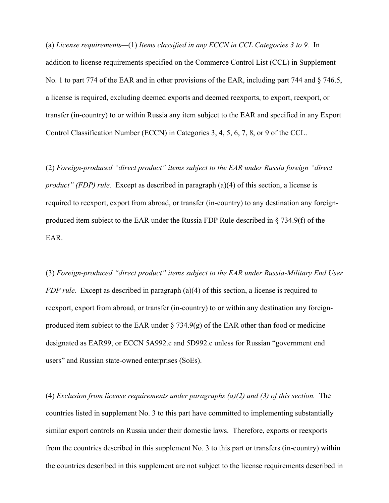(a) *License requirements—*(1) *Items classified in any ECCN in CCL Categories 3 to 9.* In addition to license requirements specified on the Commerce Control List (CCL) in Supplement No. 1 to part 774 of the EAR and in other provisions of the EAR, including part 744 and § 746.5, a license is required, excluding deemed exports and deemed reexports, to export, reexport, or transfer (in-country) to or within Russia any item subject to the EAR and specified in any Export Control Classification Number (ECCN) in Categories 3, 4, 5, 6, 7, 8, or 9 of the CCL.

(2) *Foreign-produced "direct product" items subject to the EAR under Russia foreign "direct product" (FDP) rule.* Except as described in paragraph (a)(4) of this section, a license is required to reexport, export from abroad, or transfer (in-country) to any destination any foreignproduced item subject to the EAR under the Russia FDP Rule described in § 734.9(f) of the EAR.

(3) *Foreign-produced "direct product" items subject to the EAR under Russia-Military End User FDP rule.* Except as described in paragraph (a)(4) of this section, a license is required to reexport, export from abroad, or transfer (in-country) to or within any destination any foreignproduced item subject to the EAR under  $\S$  734.9(g) of the EAR other than food or medicine designated as EAR99, or ECCN 5A992.c and 5D992.c unless for Russian "government end users" and Russian state-owned enterprises (SoEs).

(4) *Exclusion from license requirements under paragraphs (a)(2) and (3) of this section.* The countries listed in supplement No. 3 to this part have committed to implementing substantially similar export controls on Russia under their domestic laws. Therefore, exports or reexports from the countries described in this supplement No. 3 to this part or transfers (in-country) within the countries described in this supplement are not subject to the license requirements described in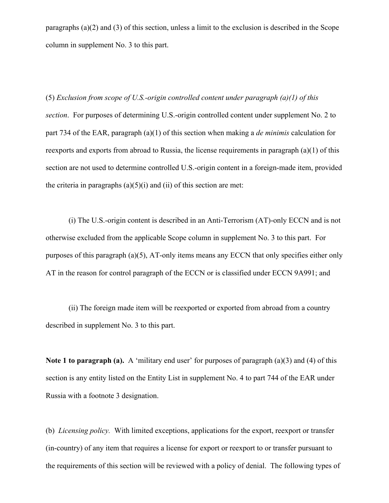paragraphs (a)(2) and (3) of this section, unless a limit to the exclusion is described in the Scope column in supplement No. 3 to this part.

(5) *Exclusion from scope of U.S.-origin controlled content under paragraph (a)(1) of this section*. For purposes of determining U.S.-origin controlled content under supplement No. 2 to part 734 of the EAR, paragraph (a)(1) of this section when making a *de minimis* calculation for reexports and exports from abroad to Russia, the license requirements in paragraph (a)(1) of this section are not used to determine controlled U.S.-origin content in a foreign-made item, provided the criteria in paragraphs  $(a)(5)(i)$  and  $(ii)$  of this section are met:

(i) The U.S.-origin content is described in an Anti-Terrorism (AT)-only ECCN and is not otherwise excluded from the applicable Scope column in supplement No. 3 to this part. For purposes of this paragraph (a)(5), AT-only items means any ECCN that only specifies either only AT in the reason for control paragraph of the ECCN or is classified under ECCN 9A991; and

(ii) The foreign made item will be reexported or exported from abroad from a country described in supplement No. 3 to this part.

**Note 1 to paragraph (a).** A 'military end user' for purposes of paragraph (a)(3) and (4) of this section is any entity listed on the Entity List in supplement No. 4 to part 744 of the EAR under Russia with a footnote 3 designation.

(b) *Licensing policy.* With limited exceptions, applications for the export, reexport or transfer (in-country) of any item that requires a license for export or reexport to or transfer pursuant to the requirements of this section will be reviewed with a policy of denial. The following types of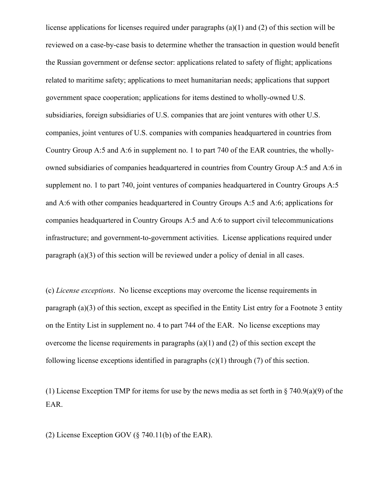license applications for licenses required under paragraphs (a)(1) and (2) of this section will be reviewed on a case-by-case basis to determine whether the transaction in question would benefit the Russian government or defense sector: applications related to safety of flight; applications related to maritime safety; applications to meet humanitarian needs; applications that support government space cooperation; applications for items destined to wholly-owned U.S. subsidiaries, foreign subsidiaries of U.S. companies that are joint ventures with other U.S. companies, joint ventures of U.S. companies with companies headquartered in countries from Country Group A:5 and A:6 in supplement no. 1 to part 740 of the EAR countries, the whollyowned subsidiaries of companies headquartered in countries from Country Group A:5 and A:6 in supplement no. 1 to part 740, joint ventures of companies headquartered in Country Groups A:5 and A:6 with other companies headquartered in Country Groups A:5 and A:6; applications for companies headquartered in Country Groups A:5 and A:6 to support civil telecommunications infrastructure; and government-to-government activities. License applications required under paragraph (a)(3) of this section will be reviewed under a policy of denial in all cases.

(c) *License exceptions*. No license exceptions may overcome the license requirements in paragraph (a)(3) of this section, except as specified in the Entity List entry for a Footnote 3 entity on the Entity List in supplement no. 4 to part 744 of the EAR. No license exceptions may overcome the license requirements in paragraphs (a)(1) and (2) of this section except the following license exceptions identified in paragraphs  $(c)(1)$  through (7) of this section.

(1) License Exception TMP for items for use by the news media as set forth in  $\S$  740.9(a)(9) of the EAR.

(2) License Exception GOV (§ 740.11(b) of the EAR).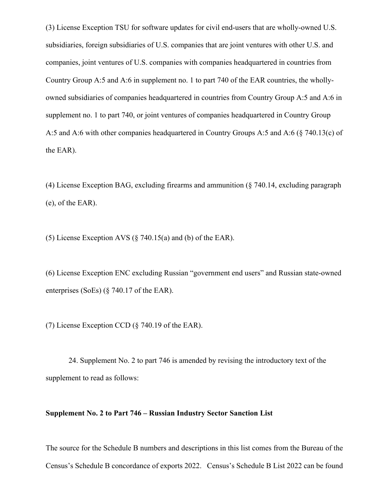(3) License Exception TSU for software updates for civil end-users that are wholly-owned U.S. subsidiaries, foreign subsidiaries of U.S. companies that are joint ventures with other U.S. and companies, joint ventures of U.S. companies with companies headquartered in countries from Country Group A:5 and A:6 in supplement no. 1 to part 740 of the EAR countries, the whollyowned subsidiaries of companies headquartered in countries from Country Group A:5 and A:6 in supplement no. 1 to part 740, or joint ventures of companies headquartered in Country Group A:5 and A:6 with other companies headquartered in Country Groups A:5 and A:6 (§ 740.13(c) of the EAR).

(4) License Exception BAG, excluding firearms and ammunition (§ 740.14, excluding paragraph (e), of the EAR).

(5) License Exception AVS (§ 740.15(a) and (b) of the EAR).

(6) License Exception ENC excluding Russian "government end users" and Russian state-owned enterprises (SoEs) (§ 740.17 of the EAR).

(7) License Exception CCD (§ 740.19 of the EAR).

24. Supplement No. 2 to part 746 is amended by revising the introductory text of the supplement to read as follows:

## **Supplement No. 2 to Part 746 – Russian Industry Sector Sanction List**

The source for the Schedule B numbers and descriptions in this list comes from the Bureau of the Census's Schedule B concordance of exports 2022. Census's Schedule B List 2022 can be found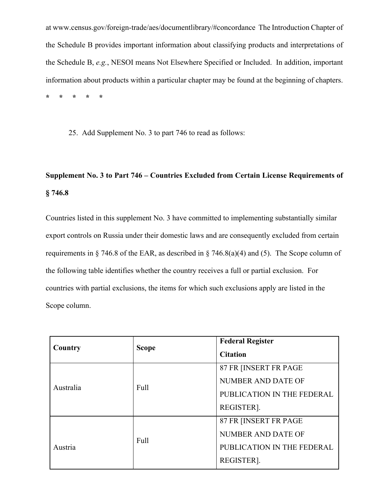at www.census.gov/foreign-trade/aes/documentlibrary/#concordance The Introduction Chapter of the Schedule B provides important information about classifying products and interpretations of the Schedule B, *e.g.*, NESOI means Not Elsewhere Specified or Included. In addition, important information about products within a particular chapter may be found at the beginning of chapters. **\* \* \* \* \***

25. Add Supplement No. 3 to part 746 to read as follows:

# **Supplement No. 3 to Part 746 – Countries Excluded from Certain License Requirements of § 746.8**

Countries listed in this supplement No. 3 have committed to implementing substantially similar export controls on Russia under their domestic laws and are consequently excluded from certain requirements in § 746.8 of the EAR, as described in § 746.8(a)(4) and (5). The Scope column of the following table identifies whether the country receives a full or partial exclusion. For countries with partial exclusions, the items for which such exclusions apply are listed in the Scope column.

| Country   | <b>Scope</b> | <b>Federal Register</b>    |
|-----------|--------------|----------------------------|
|           |              | <b>Citation</b>            |
| Australia | Full         | 87 FR [INSERT FR PAGE      |
|           |              | NUMBER AND DATE OF         |
|           |              | PUBLICATION IN THE FEDERAL |
|           |              | REGISTER].                 |
| Austria   | Full         | 87 FR JINSERT FR PAGE      |
|           |              | NUMBER AND DATE OF         |
|           |              | PUBLICATION IN THE FEDERAL |
|           |              | REGISTER].                 |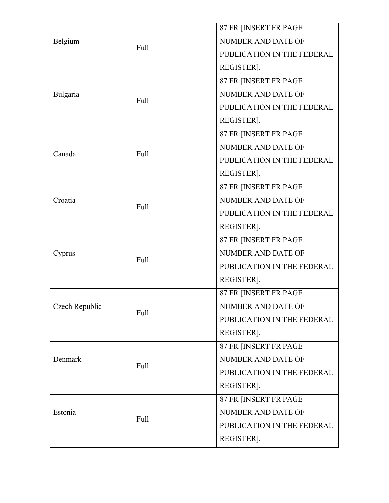|                |             | 87 FR [INSERT FR PAGE      |
|----------------|-------------|----------------------------|
| Belgium        |             | <b>NUMBER AND DATE OF</b>  |
|                | Full        | PUBLICATION IN THE FEDERAL |
|                |             | REGISTER].                 |
|                |             | 87 FR [INSERT FR PAGE      |
| Bulgaria       | <b>Full</b> | NUMBER AND DATE OF         |
|                |             | PUBLICATION IN THE FEDERAL |
|                |             | REGISTER].                 |
|                |             | 87 FR [INSERT FR PAGE      |
| Canada         | Full        | NUMBER AND DATE OF         |
|                |             | PUBLICATION IN THE FEDERAL |
|                |             | REGISTER].                 |
|                |             | 87 FR [INSERT FR PAGE      |
| Croatia        | <b>Full</b> | NUMBER AND DATE OF         |
|                |             | PUBLICATION IN THE FEDERAL |
|                |             | REGISTER].                 |
|                |             | 87 FR [INSERT FR PAGE      |
| Cyprus         | Full        | NUMBER AND DATE OF         |
|                |             | PUBLICATION IN THE FEDERAL |
|                |             | REGISTER].                 |
|                |             | 87 FR [INSERT FR PAGE      |
| Czech Republic | Full        | NUMBER AND DATE OF         |
|                |             | PUBLICATION IN THE FEDERAL |
|                |             | REGISTER].                 |
|                |             | 87 FR [INSERT FR PAGE      |
| Denmark        | Full        | NUMBER AND DATE OF         |
|                |             | PUBLICATION IN THE FEDERAL |
|                |             | REGISTER].                 |
| Estonia        | Full        | 87 FR [INSERT FR PAGE      |
|                |             | NUMBER AND DATE OF         |
|                |             | PUBLICATION IN THE FEDERAL |
|                |             | REGISTER].                 |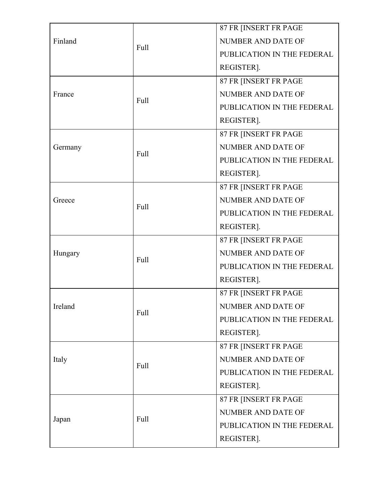|         |              | 87 FR [INSERT FR PAGE      |
|---------|--------------|----------------------------|
| Finland |              | NUMBER AND DATE OF         |
|         | Full         | PUBLICATION IN THE FEDERAL |
|         |              | REGISTER].                 |
|         |              | 87 FR [INSERT FR PAGE      |
| France  | Full<br>Full | NUMBER AND DATE OF         |
|         |              | PUBLICATION IN THE FEDERAL |
|         |              | REGISTER].                 |
|         |              | 87 FR [INSERT FR PAGE      |
| Germany |              | NUMBER AND DATE OF         |
|         |              | PUBLICATION IN THE FEDERAL |
|         |              | REGISTER].                 |
|         |              | 87 FR [INSERT FR PAGE      |
| Greece  | <b>Full</b>  | NUMBER AND DATE OF         |
|         |              | PUBLICATION IN THE FEDERAL |
|         |              | REGISTER].                 |
|         |              | 87 FR [INSERT FR PAGE      |
| Hungary | Full         | NUMBER AND DATE OF         |
|         |              | PUBLICATION IN THE FEDERAL |
|         |              | REGISTER].                 |
|         |              | 87 FR [INSERT FR PAGE      |
| Ireland | Full         | NUMBER AND DATE OF         |
|         |              | PUBLICATION IN THE FEDERAL |
|         |              | REGISTER].                 |
|         |              | 87 FR [INSERT FR PAGE      |
| Italy   | Full         | <b>NUMBER AND DATE OF</b>  |
|         |              | PUBLICATION IN THE FEDERAL |
|         |              | REGISTER].                 |
| Japan   | Full         | 87 FR [INSERT FR PAGE      |
|         |              | NUMBER AND DATE OF         |
|         |              | PUBLICATION IN THE FEDERAL |
|         |              | REGISTER].                 |
|         |              |                            |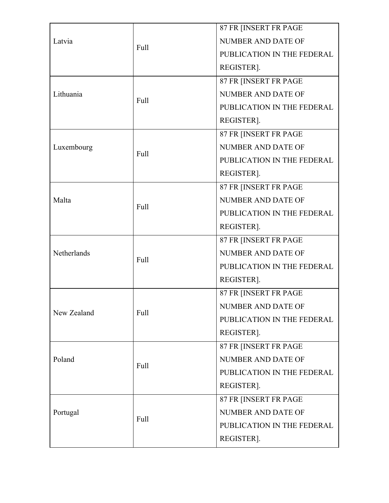|             |      | 87 FR [INSERT FR PAGE      |
|-------------|------|----------------------------|
| Latvia      |      | NUMBER AND DATE OF         |
|             | Full | PUBLICATION IN THE FEDERAL |
|             |      | REGISTER].                 |
|             |      | 87 FR [INSERT FR PAGE      |
| Lithuania   | Full | NUMBER AND DATE OF         |
|             |      | PUBLICATION IN THE FEDERAL |
|             |      | REGISTER].                 |
|             |      | 87 FR [INSERT FR PAGE      |
| Luxembourg  | Full | <b>NUMBER AND DATE OF</b>  |
|             |      | PUBLICATION IN THE FEDERAL |
|             |      | REGISTER].                 |
|             |      | 87 FR [INSERT FR PAGE      |
| Malta       |      | NUMBER AND DATE OF         |
|             | Full | PUBLICATION IN THE FEDERAL |
|             |      | REGISTER].                 |
|             |      | 87 FR [INSERT FR PAGE      |
| Netherlands | Full | NUMBER AND DATE OF         |
|             |      | PUBLICATION IN THE FEDERAL |
|             |      | REGISTER].                 |
|             |      | 87 FR [INSERT FR PAGE      |
| New Zealand | Full | NUMBER AND DATE OF         |
|             |      | PUBLICATION IN THE FEDERAL |
|             |      | REGISTER].                 |
|             |      | 87 FR [INSERT FR PAGE      |
| Poland      | Full | NUMBER AND DATE OF         |
|             |      | PUBLICATION IN THE FEDERAL |
|             |      | REGISTER].                 |
| Portugal    | Full | 87 FR [INSERT FR PAGE      |
|             |      | NUMBER AND DATE OF         |
|             |      | PUBLICATION IN THE FEDERAL |
|             |      | REGISTER].                 |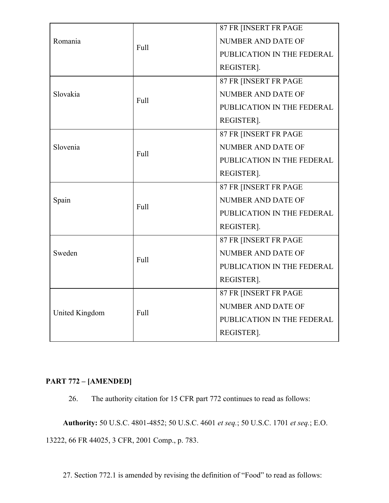| Romania<br>Slovakia | Full<br>Full<br>Full | 87 FR [INSERT FR PAGE      |
|---------------------|----------------------|----------------------------|
|                     |                      | <b>NUMBER AND DATE OF</b>  |
|                     |                      | PUBLICATION IN THE FEDERAL |
|                     |                      | REGISTER].                 |
|                     |                      | 87 FR [INSERT FR PAGE      |
|                     |                      | <b>NUMBER AND DATE OF</b>  |
|                     |                      | PUBLICATION IN THE FEDERAL |
|                     |                      | REGISTER].                 |
|                     |                      | 87 FR [INSERT FR PAGE      |
| Slovenia            |                      | <b>NUMBER AND DATE OF</b>  |
|                     |                      | PUBLICATION IN THE FEDERAL |
|                     |                      | REGISTER].                 |
|                     |                      | 87 FR [INSERT FR PAGE      |
| Spain               | Full                 | <b>NUMBER AND DATE OF</b>  |
|                     |                      | PUBLICATION IN THE FEDERAL |
|                     |                      | REGISTER].                 |
|                     |                      | 87 FR [INSERT FR PAGE      |
| Sweden              | Full                 | <b>NUMBER AND DATE OF</b>  |
|                     |                      | PUBLICATION IN THE FEDERAL |
|                     |                      | REGISTER].                 |
| United Kingdom      | Full                 | 87 FR [INSERT FR PAGE      |
|                     |                      | NUMBER AND DATE OF         |
|                     |                      | PUBLICATION IN THE FEDERAL |
|                     |                      | REGISTER].                 |

## **PART 772 – [AMENDED]**

26. The authority citation for 15 CFR part 772 continues to read as follows:

**Authority:** 50 U.S.C. 4801-4852; 50 U.S.C. 4601 *et seq.*; 50 U.S.C. 1701 *et seq.*; E.O. 13222, 66 FR 44025, 3 CFR, 2001 Comp., p. 783.

27. Section 772.1 is amended by revising the definition of "Food" to read as follows: